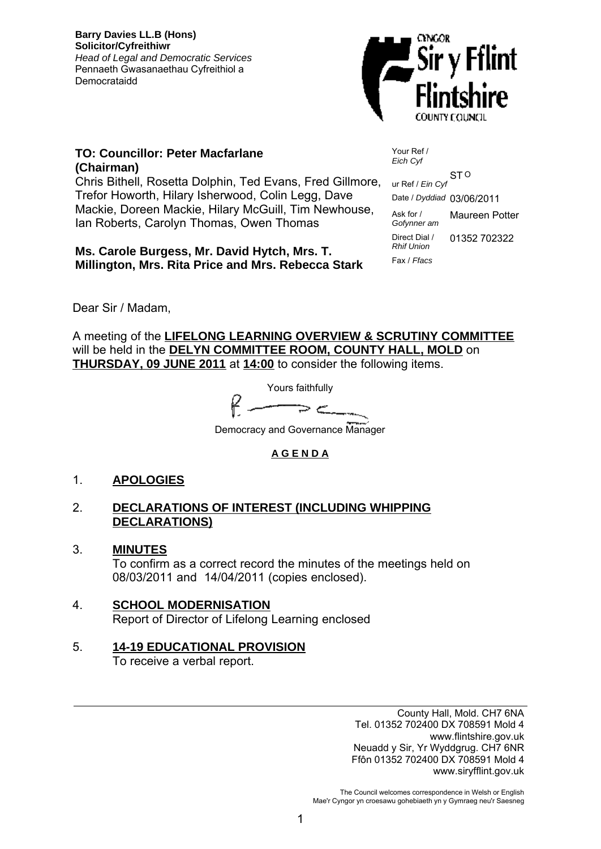**Barry Davies LL.B (Hons) Solicitor/Cyfreithiwr** *Head of Legal and Democratic Services* Pennaeth Gwasanaethau Cyfreithiol a Democrataidd



### **TO: Councillor: Peter Macfarlane (Chairman)**

Chris Bithell, Rosetta Dolphin, Ted Evans, Fred Gillmore, Trefor Howorth, Hilary Isherwood, Colin Legg, Dave Mackie, Doreen Mackie, Hilary McGuill, Tim Newhouse, Ian Roberts, Carolyn Thomas, Owen Thomas

**Ms. Carole Burgess, Mr. David Hytch, Mrs. T. Millington, Mrs. Rita Price and Mrs. Rebecca Stark** Your Ref / *Eich Cyf*

O ur Ref / *Ein Cyf* ST Date / *Dyddiad* 03/06/2011 Ask for / *Gofynner am* Maureen Potter Direct Dial / *Rhif Union* 01352 702322 Fax / *Ffacs*

Dear Sir / Madam,

A meeting of the **LIFELONG LEARNING OVERVIEW & SCRUTINY COMMITTEE** will be held in the **DELYN COMMITTEE ROOM, COUNTY HALL, MOLD** on **THURSDAY, 09 JUNE 2011** at **14:00** to consider the following items.

Yours faithfully

Democracy and Governance Manager

### **A G E N D A**

### 1. **APOLOGIES**

### 2. **DECLARATIONS OF INTEREST (INCLUDING WHIPPING DECLARATIONS)**

- 3. **MINUTES** To confirm as a correct record the minutes of the meetings held on 08/03/2011 and 14/04/2011 (copies enclosed).
- 4. **SCHOOL MODERNISATION** Report of Director of Lifelong Learning enclosed

# 5. **14-19 EDUCATIONAL PROVISION**

To receive a verbal report.

County Hall, Mold. CH7 6NA Tel. 01352 702400 DX 708591 Mold 4 www.flintshire.gov.uk Neuadd y Sir, Yr Wyddgrug. CH7 6NR Ffôn 01352 702400 DX 708591 Mold 4 www.siryfflint.gov.uk

The Council welcomes correspondence in Welsh or English Mae'r Cyngor yn croesawu gohebiaeth yn y Gymraeg neu'r Saesneg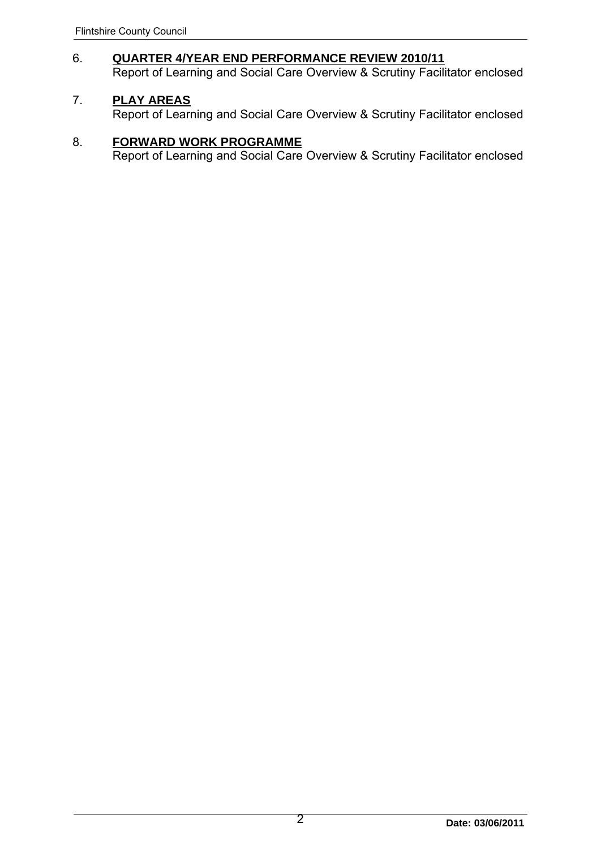# 6. **QUARTER 4/YEAR END PERFORMANCE REVIEW 2010/11**

Report of Learning and Social Care Overview & Scrutiny Facilitator enclosed

### 7. **PLAY AREAS**

Report of Learning and Social Care Overview & Scrutiny Facilitator enclosed

### 8. **FORWARD WORK PROGRAMME**

Report of Learning and Social Care Overview & Scrutiny Facilitator enclosed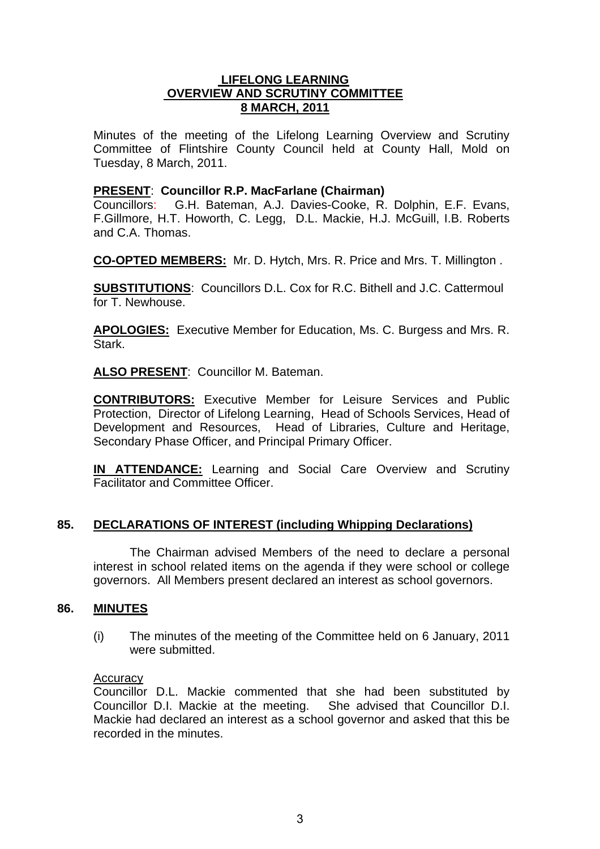### **LIFELONG LEARNING OVERVIEW AND SCRUTINY COMMITTEE 8 MARCH, 2011**

Minutes of the meeting of the Lifelong Learning Overview and Scrutiny Committee of Flintshire County Council held at County Hall, Mold on Tuesday, 8 March, 2011.

### **PRESENT**: **Councillor R.P. MacFarlane (Chairman)**

Councillors: G.H. Bateman, A.J. Davies-Cooke, R. Dolphin, E.F. Evans, F.Gillmore, H.T. Howorth, C. Legg, D.L. Mackie, H.J. McGuill, I.B. Roberts and C.A. Thomas.

**CO-OPTED MEMBERS:** Mr. D. Hytch, Mrs. R. Price and Mrs. T. Millington .

**SUBSTITUTIONS**: Councillors D.L. Cox for R.C. Bithell and J.C. Cattermoul for T. Newhouse.

**APOLOGIES:** Executive Member for Education, Ms. C. Burgess and Mrs. R. Stark.

**ALSO PRESENT**: Councillor M. Bateman.

**CONTRIBUTORS:** Executive Member for Leisure Services and Public Protection, Director of Lifelong Learning, Head of Schools Services, Head of Development and Resources, Head of Libraries, Culture and Heritage, Secondary Phase Officer, and Principal Primary Officer.

**IN ATTENDANCE:** Learning and Social Care Overview and Scrutiny Facilitator and Committee Officer.

### **85. DECLARATIONS OF INTEREST (including Whipping Declarations)**

The Chairman advised Members of the need to declare a personal interest in school related items on the agenda if they were school or college governors. All Members present declared an interest as school governors.

### **86. MINUTES**

(i) The minutes of the meeting of the Committee held on 6 January, 2011 were submitted.

### Accuracy

Councillor D.L. Mackie commented that she had been substituted by Councillor D.I. Mackie at the meeting. She advised that Councillor D.I. Mackie had declared an interest as a school governor and asked that this be recorded in the minutes.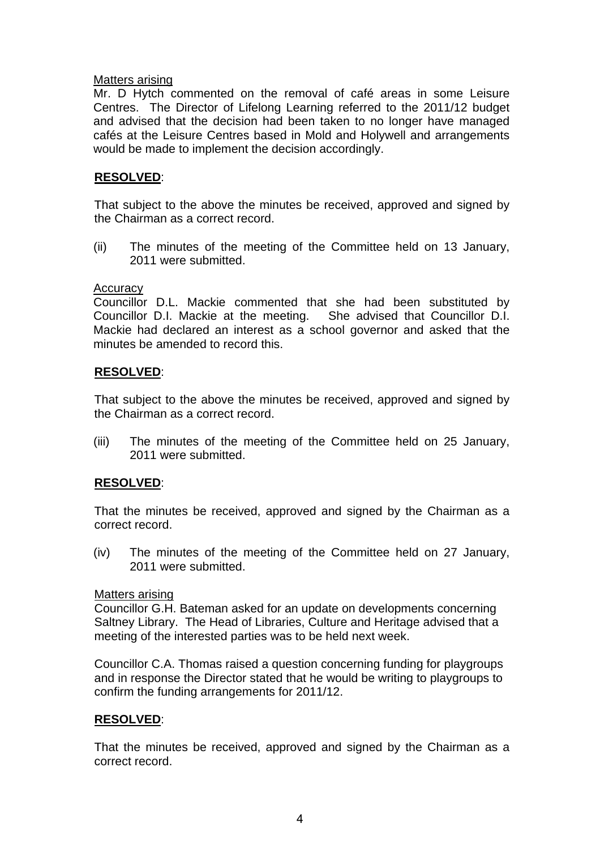### Matters arising

Mr. D Hytch commented on the removal of café areas in some Leisure Centres. The Director of Lifelong Learning referred to the 2011/12 budget and advised that the decision had been taken to no longer have managed cafés at the Leisure Centres based in Mold and Holywell and arrangements would be made to implement the decision accordingly.

### **RESOLVED**:

That subject to the above the minutes be received, approved and signed by the Chairman as a correct record.

(ii) The minutes of the meeting of the Committee held on 13 January, 2011 were submitted.

### **Accuracy**

Councillor D.L. Mackie commented that she had been substituted by Councillor D.I. Mackie at the meeting. She advised that Councillor D.I. Mackie had declared an interest as a school governor and asked that the minutes be amended to record this.

### **RESOLVED**:

That subject to the above the minutes be received, approved and signed by the Chairman as a correct record.

(iii) The minutes of the meeting of the Committee held on 25 January, 2011 were submitted.

### **RESOLVED**:

That the minutes be received, approved and signed by the Chairman as a correct record.

(iv) The minutes of the meeting of the Committee held on 27 January, 2011 were submitted.

### Matters arising

Councillor G.H. Bateman asked for an update on developments concerning Saltney Library. The Head of Libraries, Culture and Heritage advised that a meeting of the interested parties was to be held next week.

Councillor C.A. Thomas raised a question concerning funding for playgroups and in response the Director stated that he would be writing to playgroups to confirm the funding arrangements for 2011/12.

### **RESOLVED**:

That the minutes be received, approved and signed by the Chairman as a correct record.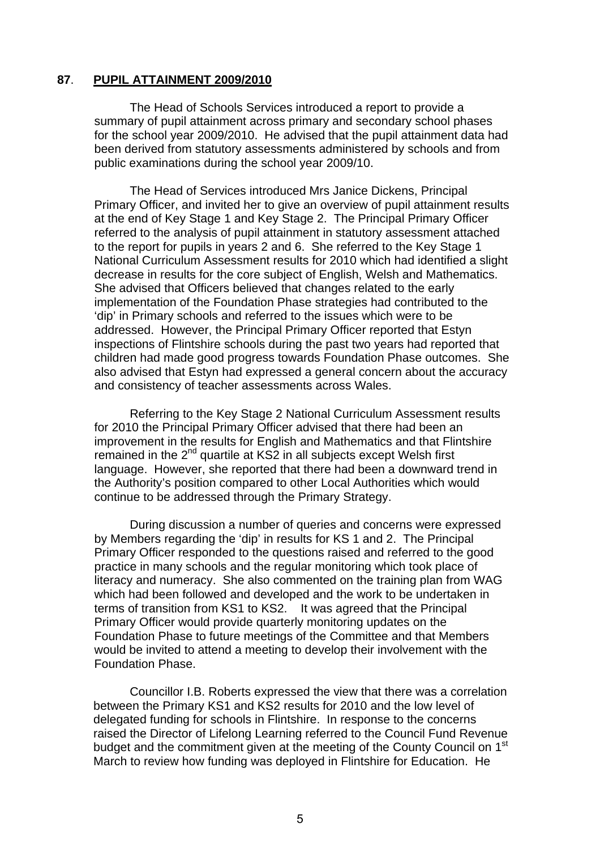### **87**. **PUPIL ATTAINMENT 2009/2010**

The Head of Schools Services introduced a report to provide a summary of pupil attainment across primary and secondary school phases for the school year 2009/2010. He advised that the pupil attainment data had been derived from statutory assessments administered by schools and from public examinations during the school year 2009/10.

The Head of Services introduced Mrs Janice Dickens, Principal Primary Officer, and invited her to give an overview of pupil attainment results at the end of Key Stage 1 and Key Stage 2. The Principal Primary Officer referred to the analysis of pupil attainment in statutory assessment attached to the report for pupils in years 2 and 6. She referred to the Key Stage 1 National Curriculum Assessment results for 2010 which had identified a slight decrease in results for the core subject of English, Welsh and Mathematics. She advised that Officers believed that changes related to the early implementation of the Foundation Phase strategies had contributed to the 'dip' in Primary schools and referred to the issues which were to be addressed. However, the Principal Primary Officer reported that Estyn inspections of Flintshire schools during the past two years had reported that children had made good progress towards Foundation Phase outcomes. She also advised that Estyn had expressed a general concern about the accuracy and consistency of teacher assessments across Wales.

Referring to the Key Stage 2 National Curriculum Assessment results for 2010 the Principal Primary Officer advised that there had been an improvement in the results for English and Mathematics and that Flintshire remained in the 2<sup>nd</sup> quartile at KS2 in all subjects except Welsh first language. However, she reported that there had been a downward trend in the Authority's position compared to other Local Authorities which would continue to be addressed through the Primary Strategy.

During discussion a number of queries and concerns were expressed by Members regarding the 'dip' in results for KS 1 and 2. The Principal Primary Officer responded to the questions raised and referred to the good practice in many schools and the regular monitoring which took place of literacy and numeracy. She also commented on the training plan from WAG which had been followed and developed and the work to be undertaken in terms of transition from KS1 to KS2. It was agreed that the Principal Primary Officer would provide quarterly monitoring updates on the Foundation Phase to future meetings of the Committee and that Members would be invited to attend a meeting to develop their involvement with the Foundation Phase.

Councillor I.B. Roberts expressed the view that there was a correlation between the Primary KS1 and KS2 results for 2010 and the low level of delegated funding for schools in Flintshire. In response to the concerns raised the Director of Lifelong Learning referred to the Council Fund Revenue budget and the commitment given at the meeting of the County Council on 1<sup>st</sup> March to review how funding was deployed in Flintshire for Education. He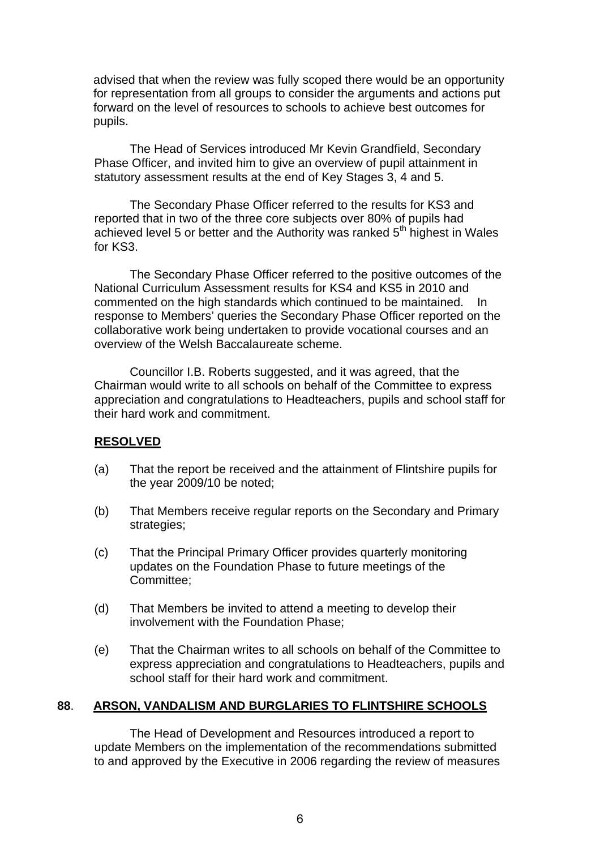advised that when the review was fully scoped there would be an opportunity for representation from all groups to consider the arguments and actions put forward on the level of resources to schools to achieve best outcomes for pupils.

 The Head of Services introduced Mr Kevin Grandfield, Secondary Phase Officer, and invited him to give an overview of pupil attainment in statutory assessment results at the end of Key Stages 3, 4 and 5.

 The Secondary Phase Officer referred to the results for KS3 and reported that in two of the three core subjects over 80% of pupils had achieved level 5 or better and the Authority was ranked  $5<sup>th</sup>$  highest in Wales for KS3.

 The Secondary Phase Officer referred to the positive outcomes of the National Curriculum Assessment results for KS4 and KS5 in 2010 and commented on the high standards which continued to be maintained. In response to Members' queries the Secondary Phase Officer reported on the collaborative work being undertaken to provide vocational courses and an overview of the Welsh Baccalaureate scheme.

Councillor I.B. Roberts suggested, and it was agreed, that the Chairman would write to all schools on behalf of the Committee to express appreciation and congratulations to Headteachers, pupils and school staff for their hard work and commitment.

### **RESOLVED**

- (a) That the report be received and the attainment of Flintshire pupils for the year 2009/10 be noted;
- (b) That Members receive regular reports on the Secondary and Primary strategies;
- (c) That the Principal Primary Officer provides quarterly monitoring updates on the Foundation Phase to future meetings of the Committee;
- (d) That Members be invited to attend a meeting to develop their involvement with the Foundation Phase;
- (e) That the Chairman writes to all schools on behalf of the Committee to express appreciation and congratulations to Headteachers, pupils and school staff for their hard work and commitment.

### **88**. **ARSON, VANDALISM AND BURGLARIES TO FLINTSHIRE SCHOOLS**

The Head of Development and Resources introduced a report to update Members on the implementation of the recommendations submitted to and approved by the Executive in 2006 regarding the review of measures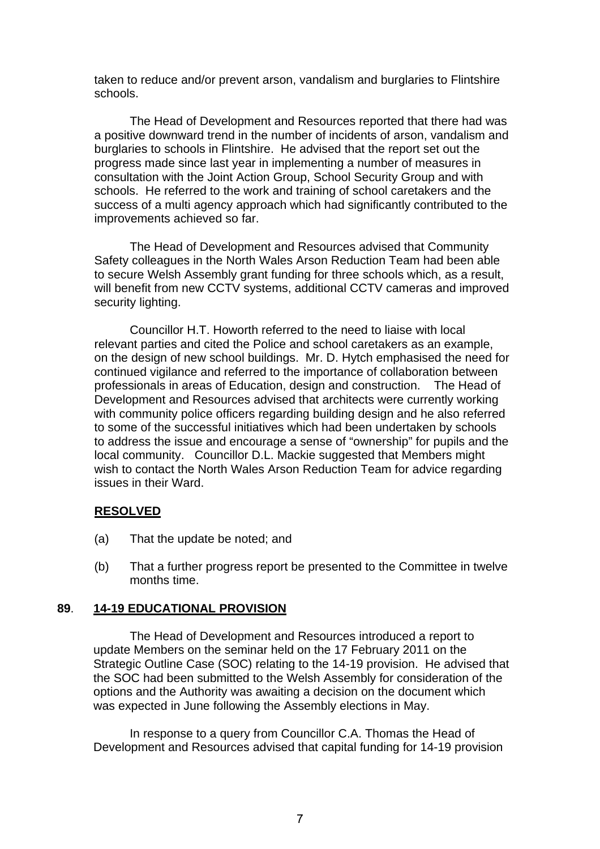taken to reduce and/or prevent arson, vandalism and burglaries to Flintshire schools.

The Head of Development and Resources reported that there had was a positive downward trend in the number of incidents of arson, vandalism and burglaries to schools in Flintshire. He advised that the report set out the progress made since last year in implementing a number of measures in consultation with the Joint Action Group, School Security Group and with schools. He referred to the work and training of school caretakers and the success of a multi agency approach which had significantly contributed to the improvements achieved so far.

The Head of Development and Resources advised that Community Safety colleagues in the North Wales Arson Reduction Team had been able to secure Welsh Assembly grant funding for three schools which, as a result, will benefit from new CCTV systems, additional CCTV cameras and improved security lighting.

Councillor H.T. Howorth referred to the need to liaise with local relevant parties and cited the Police and school caretakers as an example, on the design of new school buildings. Mr. D. Hytch emphasised the need for continued vigilance and referred to the importance of collaboration between professionals in areas of Education, design and construction. The Head of Development and Resources advised that architects were currently working with community police officers regarding building design and he also referred to some of the successful initiatives which had been undertaken by schools to address the issue and encourage a sense of "ownership" for pupils and the local community. Councillor D.L. Mackie suggested that Members might wish to contact the North Wales Arson Reduction Team for advice regarding issues in their Ward.

### **RESOLVED**

- (a) That the update be noted; and
- (b) That a further progress report be presented to the Committee in twelve months time.

### **89**. **14-19 EDUCATIONAL PROVISION**

The Head of Development and Resources introduced a report to update Members on the seminar held on the 17 February 2011 on the Strategic Outline Case (SOC) relating to the 14-19 provision. He advised that the SOC had been submitted to the Welsh Assembly for consideration of the options and the Authority was awaiting a decision on the document which was expected in June following the Assembly elections in May.

In response to a query from Councillor C.A. Thomas the Head of Development and Resources advised that capital funding for 14-19 provision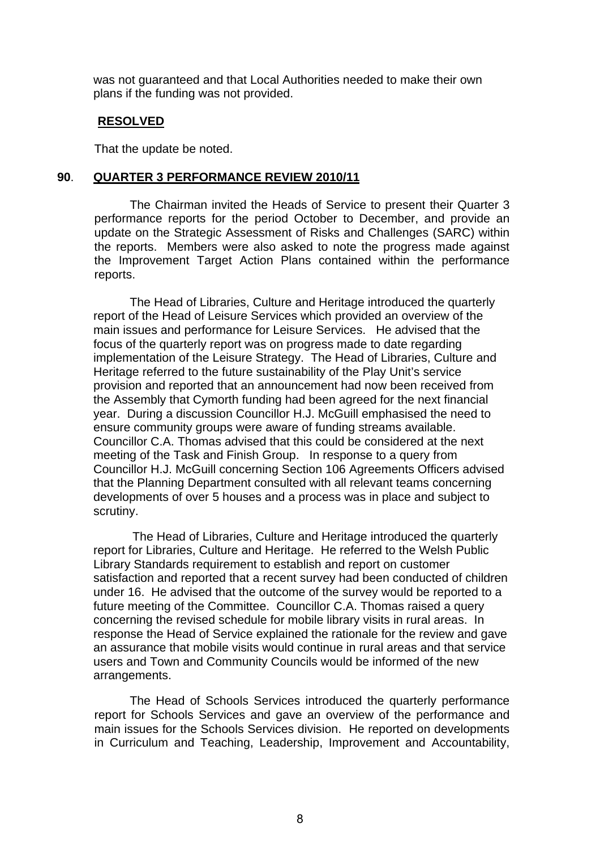was not guaranteed and that Local Authorities needed to make their own plans if the funding was not provided.

### **RESOLVED**

That the update be noted.

### **90**. **QUARTER 3 PERFORMANCE REVIEW 2010/11**

The Chairman invited the Heads of Service to present their Quarter 3 performance reports for the period October to December, and provide an update on the Strategic Assessment of Risks and Challenges (SARC) within the reports. Members were also asked to note the progress made against the Improvement Target Action Plans contained within the performance reports.

The Head of Libraries, Culture and Heritage introduced the quarterly report of the Head of Leisure Services which provided an overview of the main issues and performance for Leisure Services. He advised that the focus of the quarterly report was on progress made to date regarding implementation of the Leisure Strategy. The Head of Libraries, Culture and Heritage referred to the future sustainability of the Play Unit's service provision and reported that an announcement had now been received from the Assembly that Cymorth funding had been agreed for the next financial year. During a discussion Councillor H.J. McGuill emphasised the need to ensure community groups were aware of funding streams available. Councillor C.A. Thomas advised that this could be considered at the next meeting of the Task and Finish Group. In response to a query from Councillor H.J. McGuill concerning Section 106 Agreements Officers advised that the Planning Department consulted with all relevant teams concerning developments of over 5 houses and a process was in place and subject to scrutiny.

The Head of Libraries, Culture and Heritage introduced the quarterly report for Libraries, Culture and Heritage. He referred to the Welsh Public Library Standards requirement to establish and report on customer satisfaction and reported that a recent survey had been conducted of children under 16. He advised that the outcome of the survey would be reported to a future meeting of the Committee. Councillor C.A. Thomas raised a query concerning the revised schedule for mobile library visits in rural areas. In response the Head of Service explained the rationale for the review and gave an assurance that mobile visits would continue in rural areas and that service users and Town and Community Councils would be informed of the new arrangements.

The Head of Schools Services introduced the quarterly performance report for Schools Services and gave an overview of the performance and main issues for the Schools Services division. He reported on developments in Curriculum and Teaching, Leadership, Improvement and Accountability,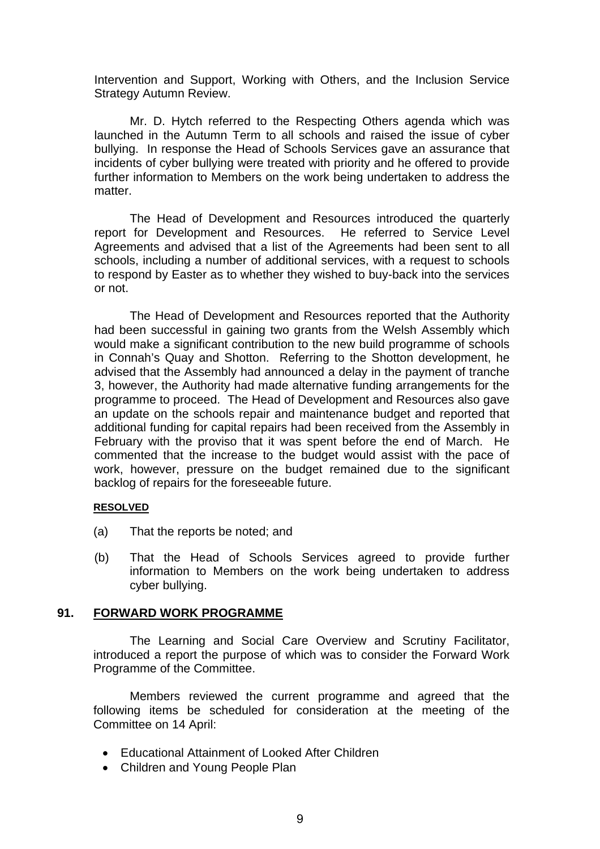Intervention and Support, Working with Others, and the Inclusion Service Strategy Autumn Review.

Mr. D. Hytch referred to the Respecting Others agenda which was launched in the Autumn Term to all schools and raised the issue of cyber bullying. In response the Head of Schools Services gave an assurance that incidents of cyber bullying were treated with priority and he offered to provide further information to Members on the work being undertaken to address the matter.

The Head of Development and Resources introduced the quarterly report for Development and Resources. He referred to Service Level Agreements and advised that a list of the Agreements had been sent to all schools, including a number of additional services, with a request to schools to respond by Easter as to whether they wished to buy-back into the services or not.

The Head of Development and Resources reported that the Authority had been successful in gaining two grants from the Welsh Assembly which would make a significant contribution to the new build programme of schools in Connah's Quay and Shotton. Referring to the Shotton development, he advised that the Assembly had announced a delay in the payment of tranche 3, however, the Authority had made alternative funding arrangements for the programme to proceed. The Head of Development and Resources also gave an update on the schools repair and maintenance budget and reported that additional funding for capital repairs had been received from the Assembly in February with the proviso that it was spent before the end of March. He commented that the increase to the budget would assist with the pace of work, however, pressure on the budget remained due to the significant backlog of repairs for the foreseeable future.

### **RESOLVED**

- (a) That the reports be noted; and
- (b) That the Head of Schools Services agreed to provide further information to Members on the work being undertaken to address cyber bullying.

### **91. FORWARD WORK PROGRAMME**

The Learning and Social Care Overview and Scrutiny Facilitator, introduced a report the purpose of which was to consider the Forward Work Programme of the Committee.

Members reviewed the current programme and agreed that the following items be scheduled for consideration at the meeting of the Committee on 14 April:

- Educational Attainment of Looked After Children
- Children and Young People Plan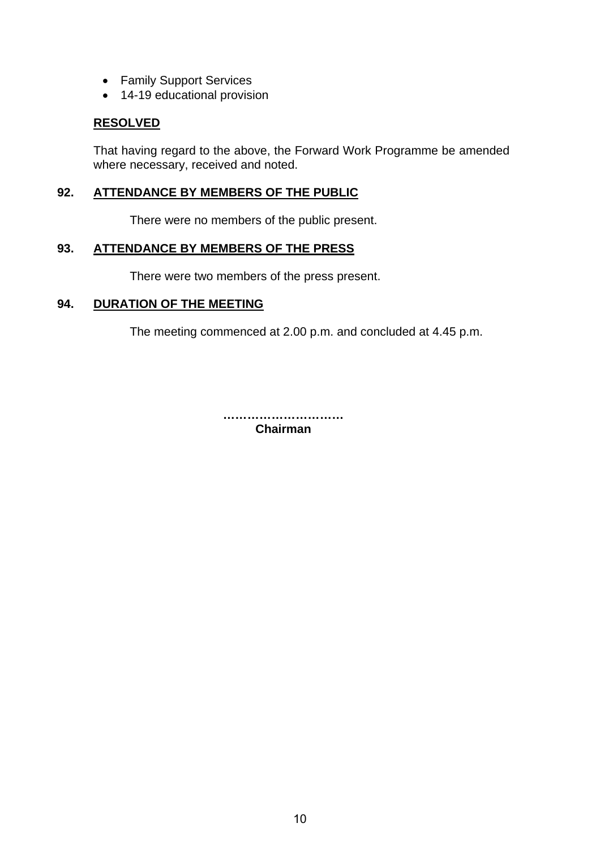- Family Support Services
- 14-19 educational provision

### **RESOLVED**

That having regard to the above, the Forward Work Programme be amended where necessary, received and noted.

### **92. ATTENDANCE BY MEMBERS OF THE PUBLIC**

There were no members of the public present.

### **93. ATTENDANCE BY MEMBERS OF THE PRESS**

There were two members of the press present.

### **94. DURATION OF THE MEETING**

The meeting commenced at 2.00 p.m. and concluded at 4.45 p.m.

**………………………… Chairman**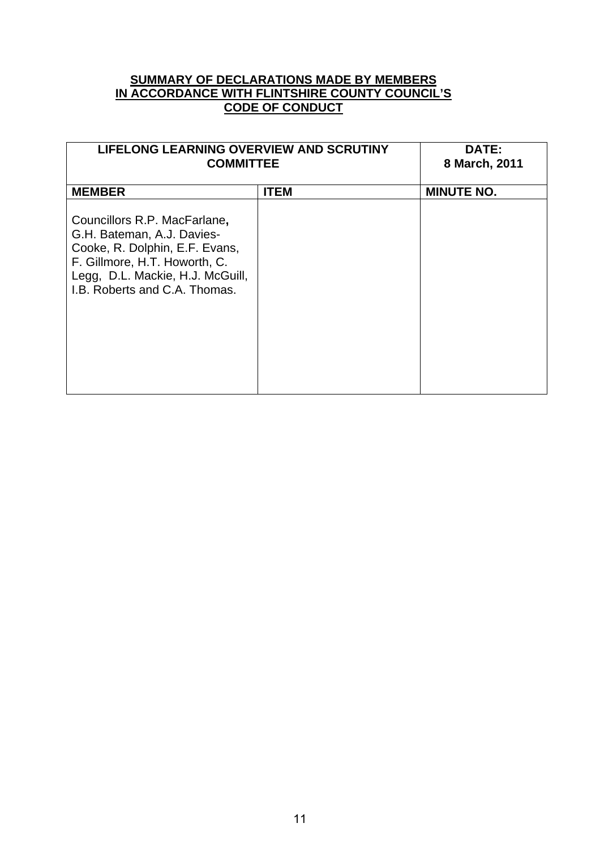### **SUMMARY OF DECLARATIONS MADE BY MEMBERS IN ACCORDANCE WITH FLINTSHIRE COUNTY COUNCIL'S CODE OF CONDUCT**

| <b>LIFELONG LEARNING OVERVIEW AND SCRUTINY</b><br><b>COMMITTEE</b>                                                                                                                                 |             | <b>DATE:</b><br>8 March, 2011 |
|----------------------------------------------------------------------------------------------------------------------------------------------------------------------------------------------------|-------------|-------------------------------|
| <b>MEMBER</b>                                                                                                                                                                                      | <b>ITEM</b> | <b>MINUTE NO.</b>             |
| Councillors R.P. MacFarlane,<br>G.H. Bateman, A.J. Davies-<br>Cooke, R. Dolphin, E.F. Evans,<br>F. Gillmore, H.T. Howorth, C.<br>Legg, D.L. Mackie, H.J. McGuill,<br>I.B. Roberts and C.A. Thomas. |             |                               |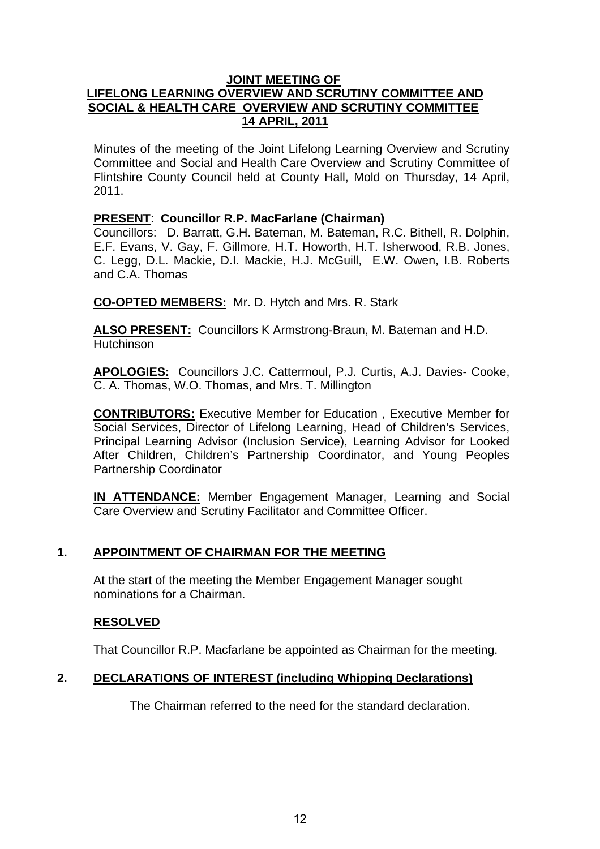### **JOINT MEETING OF LIFELONG LEARNING OVERVIEW AND SCRUTINY COMMITTEE AND SOCIAL & HEALTH CARE OVERVIEW AND SCRUTINY COMMITTEE 14 APRIL, 2011**

Minutes of the meeting of the Joint Lifelong Learning Overview and Scrutiny Committee and Social and Health Care Overview and Scrutiny Committee of Flintshire County Council held at County Hall, Mold on Thursday, 14 April, 2011.

### **PRESENT**: **Councillor R.P. MacFarlane (Chairman)**

Councillors: D. Barratt, G.H. Bateman, M. Bateman, R.C. Bithell, R. Dolphin, E.F. Evans, V. Gay, F. Gillmore, H.T. Howorth, H.T. Isherwood, R.B. Jones, C. Legg, D.L. Mackie, D.I. Mackie, H.J. McGuill, E.W. Owen, I.B. Roberts and C.A. Thomas

**CO-OPTED MEMBERS:** Mr. D. Hytch and Mrs. R. Stark

**ALSO PRESENT:** Councillors K Armstrong-Braun, M. Bateman and H.D. **Hutchinson** 

**APOLOGIES:** Councillors J.C. Cattermoul, P.J. Curtis, A.J. Davies- Cooke, C. A. Thomas, W.O. Thomas, and Mrs. T. Millington

**CONTRIBUTORS:** Executive Member for Education , Executive Member for Social Services, Director of Lifelong Learning, Head of Children's Services, Principal Learning Advisor (Inclusion Service), Learning Advisor for Looked After Children, Children's Partnership Coordinator, and Young Peoples Partnership Coordinator

**IN ATTENDANCE:** Member Engagement Manager, Learning and Social Care Overview and Scrutiny Facilitator and Committee Officer.

### **1. APPOINTMENT OF CHAIRMAN FOR THE MEETING**

At the start of the meeting the Member Engagement Manager sought nominations for a Chairman.

### **RESOLVED**

That Councillor R.P. Macfarlane be appointed as Chairman for the meeting.

### **2. DECLARATIONS OF INTEREST (including Whipping Declarations)**

The Chairman referred to the need for the standard declaration.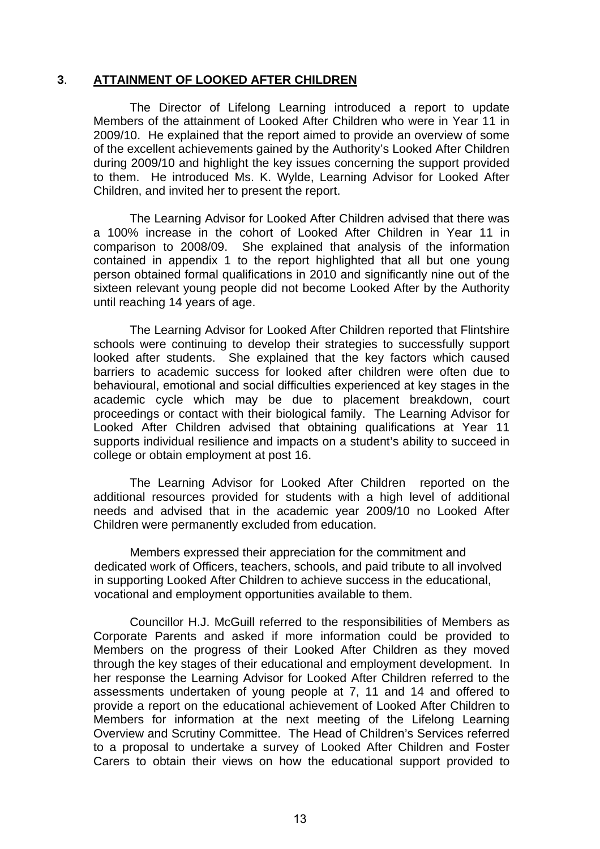### **3**. **ATTAINMENT OF LOOKED AFTER CHILDREN**

The Director of Lifelong Learning introduced a report to update Members of the attainment of Looked After Children who were in Year 11 in 2009/10. He explained that the report aimed to provide an overview of some of the excellent achievements gained by the Authority's Looked After Children during 2009/10 and highlight the key issues concerning the support provided to them. He introduced Ms. K. Wylde, Learning Advisor for Looked After Children, and invited her to present the report.

The Learning Advisor for Looked After Children advised that there was a 100% increase in the cohort of Looked After Children in Year 11 in comparison to 2008/09. She explained that analysis of the information contained in appendix 1 to the report highlighted that all but one young person obtained formal qualifications in 2010 and significantly nine out of the sixteen relevant young people did not become Looked After by the Authority until reaching 14 years of age.

The Learning Advisor for Looked After Children reported that Flintshire schools were continuing to develop their strategies to successfully support looked after students. She explained that the key factors which caused barriers to academic success for looked after children were often due to behavioural, emotional and social difficulties experienced at key stages in the academic cycle which may be due to placement breakdown, court proceedings or contact with their biological family. The Learning Advisor for Looked After Children advised that obtaining qualifications at Year 11 supports individual resilience and impacts on a student's ability to succeed in college or obtain employment at post 16.

The Learning Advisor for Looked After Children reported on the additional resources provided for students with a high level of additional needs and advised that in the academic year 2009/10 no Looked After Children were permanently excluded from education.

Members expressed their appreciation for the commitment and dedicated work of Officers, teachers, schools, and paid tribute to all involved in supporting Looked After Children to achieve success in the educational, vocational and employment opportunities available to them.

Councillor H.J. McGuill referred to the responsibilities of Members as Corporate Parents and asked if more information could be provided to Members on the progress of their Looked After Children as they moved through the key stages of their educational and employment development. In her response the Learning Advisor for Looked After Children referred to the assessments undertaken of young people at 7, 11 and 14 and offered to provide a report on the educational achievement of Looked After Children to Members for information at the next meeting of the Lifelong Learning Overview and Scrutiny Committee. The Head of Children's Services referred to a proposal to undertake a survey of Looked After Children and Foster Carers to obtain their views on how the educational support provided to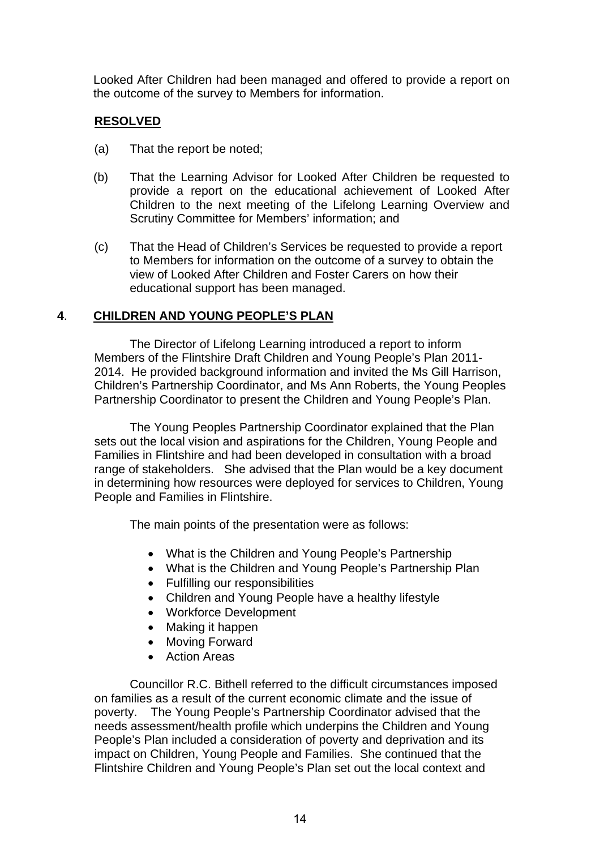Looked After Children had been managed and offered to provide a report on the outcome of the survey to Members for information.

### **RESOLVED**

- (a) That the report be noted;
- (b) That the Learning Advisor for Looked After Children be requested to provide a report on the educational achievement of Looked After Children to the next meeting of the Lifelong Learning Overview and Scrutiny Committee for Members' information; and
- (c) That the Head of Children's Services be requested to provide a report to Members for information on the outcome of a survey to obtain the view of Looked After Children and Foster Carers on how their educational support has been managed.

### **4**. **CHILDREN AND YOUNG PEOPLE'S PLAN**

The Director of Lifelong Learning introduced a report to inform Members of the Flintshire Draft Children and Young People's Plan 2011- 2014. He provided background information and invited the Ms Gill Harrison, Children's Partnership Coordinator, and Ms Ann Roberts, the Young Peoples Partnership Coordinator to present the Children and Young People's Plan.

The Young Peoples Partnership Coordinator explained that the Plan sets out the local vision and aspirations for the Children, Young People and Families in Flintshire and had been developed in consultation with a broad range of stakeholders. She advised that the Plan would be a key document in determining how resources were deployed for services to Children, Young People and Families in Flintshire.

The main points of the presentation were as follows:

- What is the Children and Young People's Partnership
- What is the Children and Young People's Partnership Plan
- Fulfilling our responsibilities
- Children and Young People have a healthy lifestyle
- Workforce Development
- Making it happen
- Moving Forward
- Action Areas

Councillor R.C. Bithell referred to the difficult circumstances imposed on families as a result of the current economic climate and the issue of poverty. The Young People's Partnership Coordinator advised that the needs assessment/health profile which underpins the Children and Young People's Plan included a consideration of poverty and deprivation and its impact on Children, Young People and Families. She continued that the Flintshire Children and Young People's Plan set out the local context and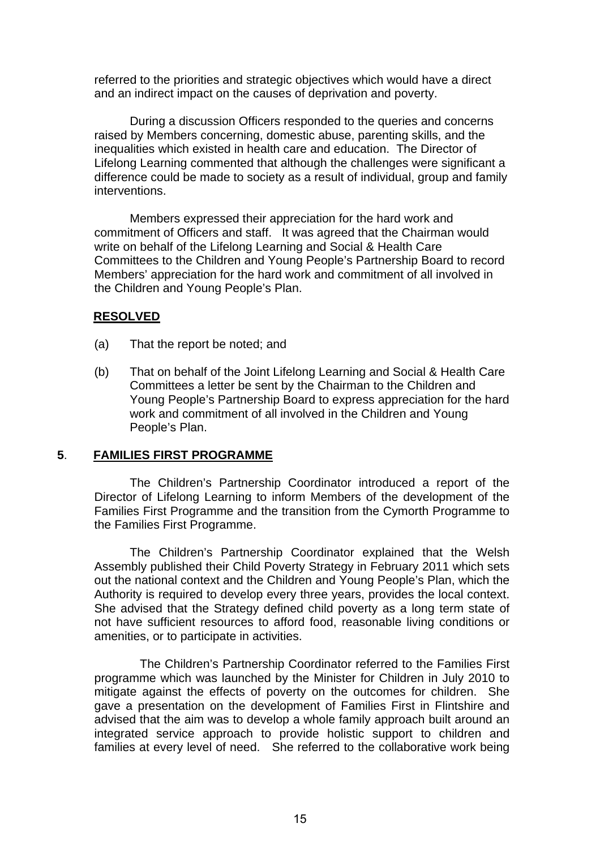referred to the priorities and strategic objectives which would have a direct and an indirect impact on the causes of deprivation and poverty.

During a discussion Officers responded to the queries and concerns raised by Members concerning, domestic abuse, parenting skills, and the inequalities which existed in health care and education. The Director of Lifelong Learning commented that although the challenges were significant a difference could be made to society as a result of individual, group and family interventions.

Members expressed their appreciation for the hard work and commitment of Officers and staff. It was agreed that the Chairman would write on behalf of the Lifelong Learning and Social & Health Care Committees to the Children and Young People's Partnership Board to record Members' appreciation for the hard work and commitment of all involved in the Children and Young People's Plan.

### **RESOLVED**

- (a) That the report be noted; and
- (b) That on behalf of the Joint Lifelong Learning and Social & Health Care Committees a letter be sent by the Chairman to the Children and Young People's Partnership Board to express appreciation for the hard work and commitment of all involved in the Children and Young People's Plan.

### **5**. **FAMILIES FIRST PROGRAMME**

The Children's Partnership Coordinator introduced a report of the Director of Lifelong Learning to inform Members of the development of the Families First Programme and the transition from the Cymorth Programme to the Families First Programme.

The Children's Partnership Coordinator explained that the Welsh Assembly published their Child Poverty Strategy in February 2011 which sets out the national context and the Children and Young People's Plan, which the Authority is required to develop every three years, provides the local context. She advised that the Strategy defined child poverty as a long term state of not have sufficient resources to afford food, reasonable living conditions or amenities, or to participate in activities.

 The Children's Partnership Coordinator referred to the Families First programme which was launched by the Minister for Children in July 2010 to mitigate against the effects of poverty on the outcomes for children. She gave a presentation on the development of Families First in Flintshire and advised that the aim was to develop a whole family approach built around an integrated service approach to provide holistic support to children and families at every level of need. She referred to the collaborative work being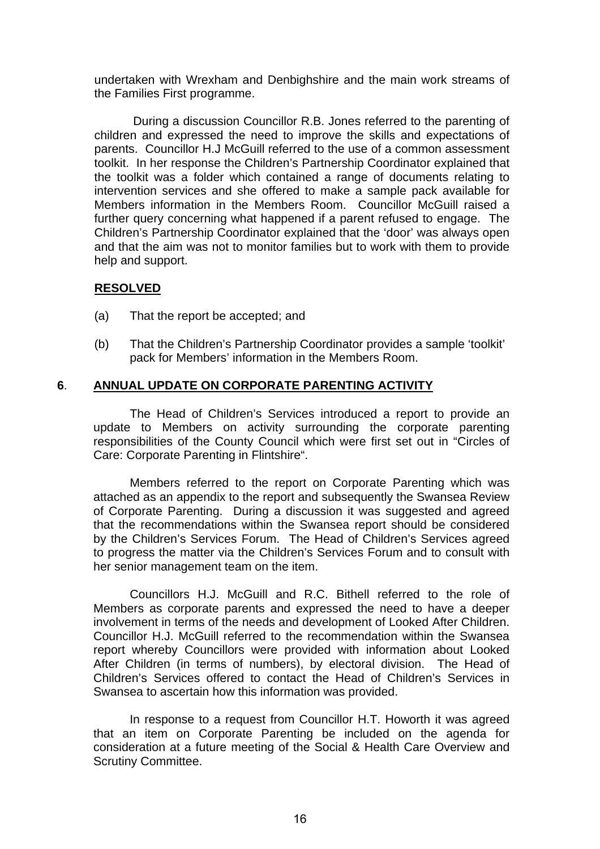undertaken with Wrexham and Denbighshire and the main work streams of the Families First programme.

During a discussion Councillor R.B. Jones referred to the parenting of children and expressed the need to improve the skills and expectations of parents.Councillor H.J McGuill referred to the use of a common assessment toolkit. In her response the Children's Partnership Coordinator explained that the toolkit was a folder which contained a range of documents relating to intervention services and she offered to make a sample pack available for Members information in the Members Room. Councillor McGuill raised a further query concerning what happened if a parent refused to engage. The Children's Partnership Coordinator explained that the 'door' was always open and that the aim was not to monitor families but to work with them to provide help and support.

### **RESOLVED**

- (a) That the report be accepted; and
- (b) That the Children's Partnership Coordinator provides a sample 'toolkit' pack for Members' information in the Members Room.

### **6**. **ANNUAL UPDATE ON CORPORATE PARENTING ACTIVITY**

The Head of Children's Services introduced a report to provide an update to Members on activity surrounding the corporate parenting responsibilities of the County Council which were first set out in "Circles of Care: Corporate Parenting in Flintshire".

Members referred to the report on Corporate Parenting which was attached as an appendix to the report and subsequently the Swansea Review of Corporate Parenting. During a discussion it was suggested and agreed that the recommendations within the Swansea report should be considered by the Children's Services Forum. The Head of Children's Services agreed to progress the matter via the Children's Services Forum and to consult with her senior management team on the item.

Councillors H.J. McGuill and R.C. Bithell referred to the role of Members as corporate parents and expressed the need to have a deeper involvement in terms of the needs and development of Looked After Children. Councillor H.J. McGuill referred to the recommendation within the Swansea report whereby Councillors were provided with information about Looked After Children (in terms of numbers), by electoral division. The Head of Children's Services offered to contact the Head of Children's Services in Swansea to ascertain how this information was provided.

In response to a request from Councillor H.T. Howorth it was agreed that an item on Corporate Parenting be included on the agenda for consideration at a future meeting of the Social & Health Care Overview and Scrutiny Committee.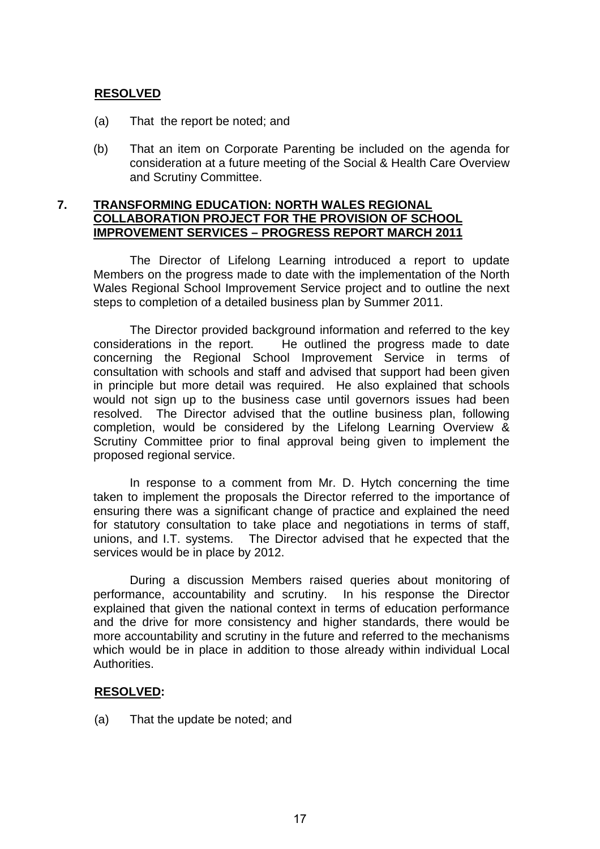### **RESOLVED**

- (a) That the report be noted; and
- (b) That an item on Corporate Parenting be included on the agenda for consideration at a future meeting of the Social & Health Care Overview and Scrutiny Committee.

### **7. TRANSFORMING EDUCATION: NORTH WALES REGIONAL COLLABORATION PROJECT FOR THE PROVISION OF SCHOOL IMPROVEMENT SERVICES – PROGRESS REPORT MARCH 2011**

The Director of Lifelong Learning introduced a report to update Members on the progress made to date with the implementation of the North Wales Regional School Improvement Service project and to outline the next steps to completion of a detailed business plan by Summer 2011.

The Director provided background information and referred to the key considerations in the report. He outlined the progress made to date concerning the Regional School Improvement Service in terms of consultation with schools and staff and advised that support had been given in principle but more detail was required. He also explained that schools would not sign up to the business case until governors issues had been resolved. The Director advised that the outline business plan, following completion, would be considered by the Lifelong Learning Overview & Scrutiny Committee prior to final approval being given to implement the proposed regional service.

In response to a comment from Mr. D. Hytch concerning the time taken to implement the proposals the Director referred to the importance of ensuring there was a significant change of practice and explained the need for statutory consultation to take place and negotiations in terms of staff, unions, and I.T. systems. The Director advised that he expected that the services would be in place by 2012.

During a discussion Members raised queries about monitoring of performance, accountability and scrutiny. In his response the Director explained that given the national context in terms of education performance and the drive for more consistency and higher standards, there would be more accountability and scrutiny in the future and referred to the mechanisms which would be in place in addition to those already within individual Local Authorities.

### **RESOLVED:**

(a) That the update be noted; and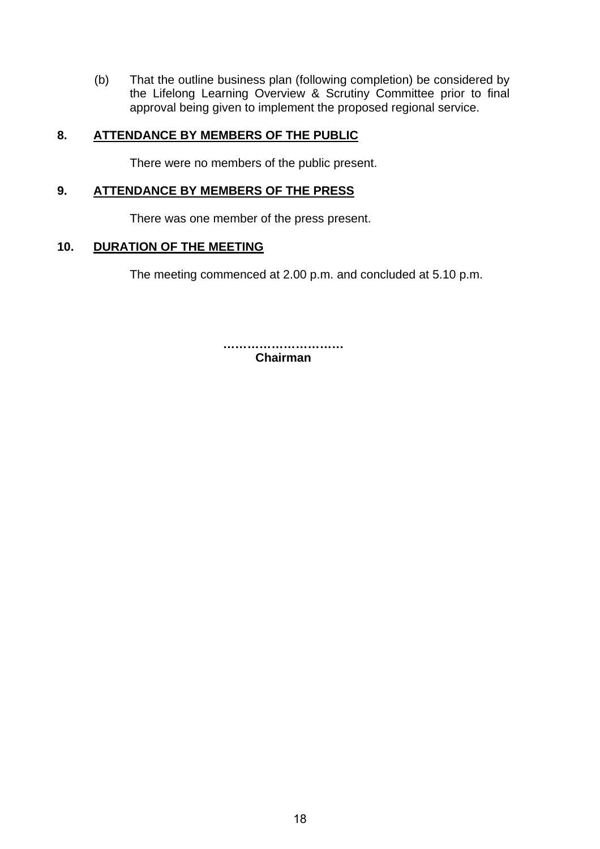(b) That the outline business plan (following completion) be considered by the Lifelong Learning Overview & Scrutiny Committee prior to final approval being given to implement the proposed regional service.

### **8. ATTENDANCE BY MEMBERS OF THE PUBLIC**

There were no members of the public present.

### **9. ATTENDANCE BY MEMBERS OF THE PRESS**

There was one member of the press present.

### **10. DURATION OF THE MEETING**

The meeting commenced at 2.00 p.m. and concluded at 5.10 p.m.

**………………………… Chairman**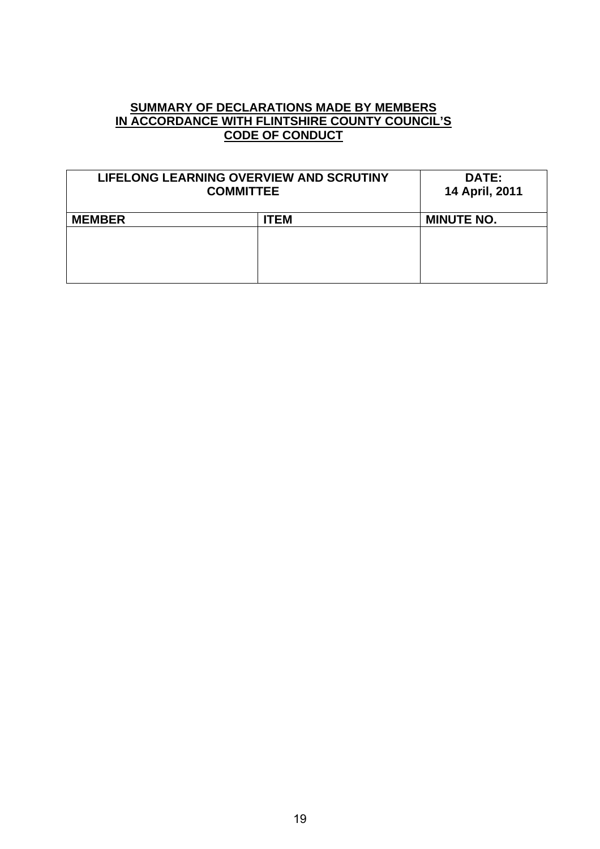### **SUMMARY OF DECLARATIONS MADE BY MEMBERS IN ACCORDANCE WITH FLINTSHIRE COUNTY COUNCIL'S CODE OF CONDUCT**

| LIFELONG LEARNING OVERVIEW AND SCRUTINY<br><b>COMMITTEE</b> |             | DATE:<br>14 April, 2011 |
|-------------------------------------------------------------|-------------|-------------------------|
| <b>MEMBER</b>                                               | <b>ITEM</b> | <b>MINUTE NO.</b>       |
|                                                             |             |                         |
|                                                             |             |                         |
|                                                             |             |                         |
|                                                             |             |                         |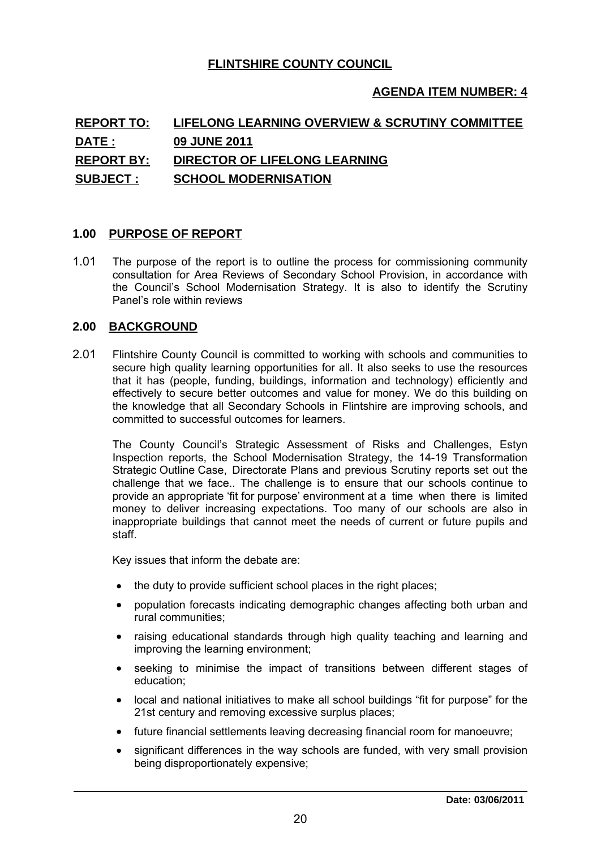### **FLINTSHIRE COUNTY COUNCIL**

### **AGENDA ITEM NUMBER: 4**

# **REPORT TO: LIFELONG LEARNING OVERVIEW & SCRUTINY COMMITTEE DATE : 09 JUNE 2011 REPORT BY: DIRECTOR OF LIFELONG LEARNING SUBJECT : SCHOOL MODERNISATION 1.00 PURPOSE OF REPORT**<br> **1.00 PURPOSE OF REPORT**<br> **1.00 PURPOSE OF REPORT**

1.01 The purpose of the report is to outline the process for commissioning community consultation for Area Reviews of Secondary School Provision, in accordance with the Council's School Modernisation Strategy. It is also to identify the Scrutiny Panel's role within reviews 1.01 The purpose of the report is<br>consultation for Area Reviews<br>the Council's School Moderr<br>Panel's role within reviews<br>2.00 BACKGROUND

2.01 Flintshire County Council is committed to working with schools and communities to secure high quality learning opportunities for all. It also seeks to use the resources that it has (people, funding, buildings, information and technology) efficiently and effectively to secure better outcomes and value for money. We do this building on the knowledge that all Secondary Schools in Flintshire are improving schools, and committed to successful outcomes for learners.

The County Council's Strategic Assessment of Risks and Challenges, Estyn Inspection reports, the School Modernisation Strategy, the 14-19 Transformation Strategic Outline Case, Directorate Plans and previous Scrutiny reports set out the challenge that we face.. The challenge is to ensure that our schools continue to provide an appropriate 'fit for purpose' environment at a time when there is limited money to deliver increasing expectations. Too many of our schools are also in inappropriate buildings that cannot meet the needs of current or future pupils and staff.

Key issues that inform the debate are:

- the duty to provide sufficient school places in the right places;
- population forecasts indicating demographic changes affecting both urban and rural communities;
- raising educational standards through high quality teaching and learning and  $\bullet$ improving the learning environment;
- seeking to minimise the impact of transitions between different stages of education;
- local and national initiatives to make all school buildings "fit for purpose" for the  $\bullet$ 21st century and removing excessive surplus places;
- future financial settlements leaving decreasing financial room for manoeuvre;  $\bullet$
- significant differences in the way schools are funded, with very small provision  $\bullet$ being disproportionately expensive;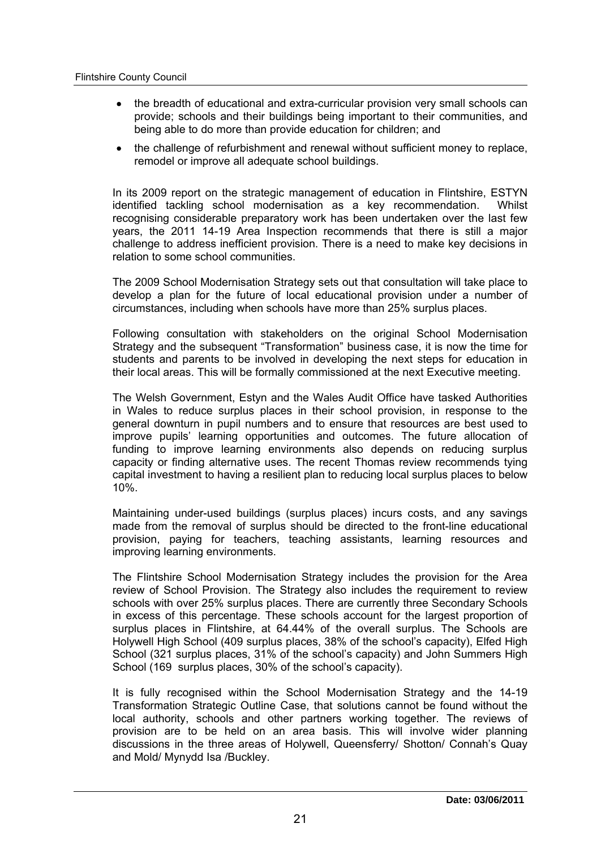- the breadth of educational and extra-curricular provision very small schools can provide; schools and their buildings being important to their communities, and being able to do more than provide education for children; and
- the challenge of refurbishment and renewal without sufficient money to replace, remodel or improve all adequate school buildings.

In its 2009 report on the strategic management of education in Flintshire, ESTYN identified tackling school modernisation as a key recommendation. Whilst recognising considerable preparatory work has been undertaken over the last few years, the 2011 14-19 Area Inspection recommends that there is still a major challenge to address inefficient provision. There is a need to make key decisions in relation to some school communities.

The 2009 School Modernisation Strategy sets out that consultation will take place to develop a plan for the future of local educational provision under a number of circumstances, including when schools have more than 25% surplus places.

Following consultation with stakeholders on the original School Modernisation Strategy and the subsequent "Transformation" business case, it is now the time for students and parents to be involved in developing the next steps for education in their local areas. This will be formally commissioned at the next Executive meeting.

The Welsh Government, Estyn and the Wales Audit Office have tasked Authorities in Wales to reduce surplus places in their school provision, in response to the general downturn in pupil numbers and to ensure that resources are best used to improve pupils' learning opportunities and outcomes. The future allocation of funding to improve learning environments also depends on reducing surplus capacity or finding alternative uses. The recent Thomas review recommends tying capital investment to having a resilient plan to reducing local surplus places to below 10%.

Maintaining under-used buildings (surplus places) incurs costs, and any savings made from the removal of surplus should be directed to the front-line educational provision, paying for teachers, teaching assistants, learning resources and improving learning environments.

The Flintshire School Modernisation Strategy includes the provision for the Area review of School Provision. The Strategy also includes the requirement to review schools with over 25% surplus places. There are currently three Secondary Schools in excess of this percentage. These schools account for the largest proportion of surplus places in Flintshire, at 64.44% of the overall surplus. The Schools are Holywell High School (409 surplus places, 38% of the school's capacity), Elfed High School (321 surplus places, 31% of the school's capacity) and John Summers High School (169 surplus places, 30% of the school's capacity).

It is fully recognised within the School Modernisation Strategy and the 14-19 Transformation Strategic Outline Case, that solutions cannot be found without the local authority, schools and other partners working together. The reviews of provision are to be held on an area basis. This will involve wider planning discussions in the three areas of Holywell, Queensferry/ Shotton/ Connah's Quay and Mold/ Mynydd Isa /Buckley.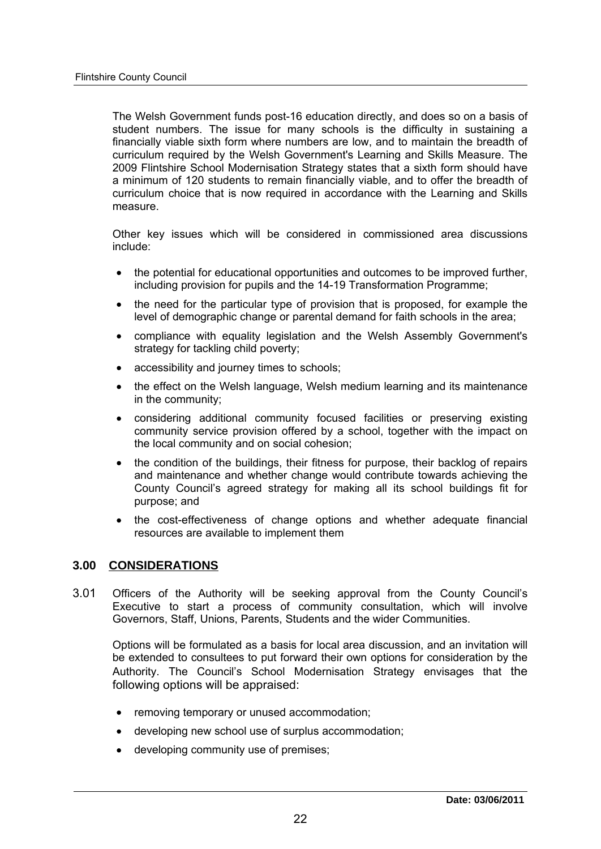The Welsh Government funds post-16 education directly, and does so on a basis of student numbers. The issue for many schools is the difficulty in sustaining a financially viable sixth form where numbers are low, and to maintain the breadth of curriculum required by the Welsh Government's Learning and Skills Measure. The 2009 Flintshire School Modernisation Strategy states that a sixth form should have a minimum of 120 students to remain financially viable, and to offer the breadth of curriculum choice that is now required in accordance with the Learning and Skills measure.

Other key issues which will be considered in commissioned area discussions include:

- the potential for educational opportunities and outcomes to be improved further, including provision for pupils and the 14-19 Transformation Programme;
- the need for the particular type of provision that is proposed, for example the level of demographic change or parental demand for faith schools in the area;
- compliance with equality legislation and the Welsh Assembly Government's strategy for tackling child poverty;
- accessibility and journey times to schools:
- the effect on the Welsh language, Welsh medium learning and its maintenance in the community;
- considering additional community focused facilities or preserving existing community service provision offered by a school, together with the impact on the local community and on social cohesion;
- the condition of the buildings, their fitness for purpose, their backlog of repairs  $\bullet$ and maintenance and whether change would contribute towards achieving the County Council's agreed strategy for making all its school buildings fit for purpose; and
- the cost-effectiveness of change options and whether adequate financial resources are available to implement them **3.00 CONSIDERATIONS**<br> **3.00 CONSIDERATIONS**

3.01 Officers of the Authority will be seeking approval from the County Council's Executive to start a process of community consultation, which will involve Governors, Staff, Unions, Parents, Students and the wider Communities.

Options will be formulated as a basis for local area discussion, and an invitation will be extended to consultees to put forward their own options for consideration by the Authority. The Council's School Modernisation Strategy envisages that the following options will be appraised:

- removing temporary or unused accommodation;
- developing new school use of surplus accommodation;
- developing community use of premises;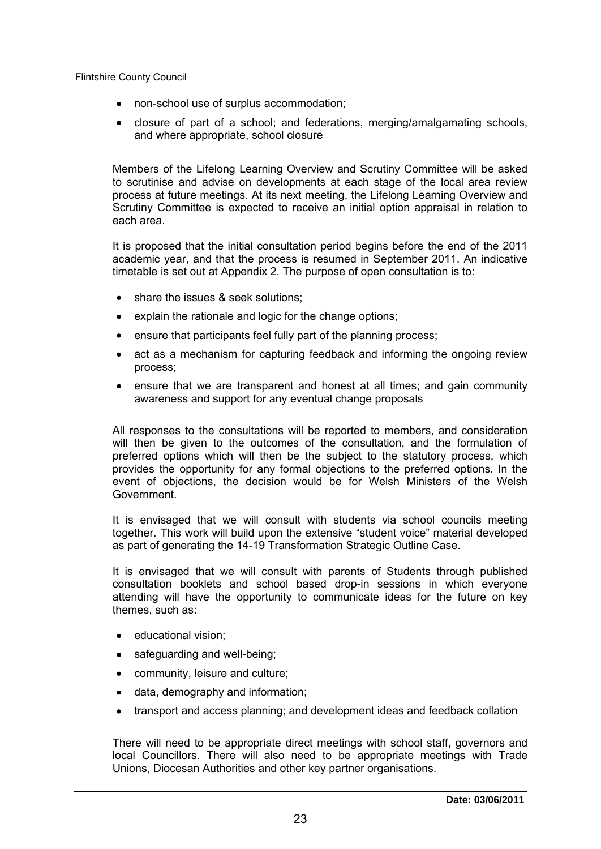- non-school use of surplus accommodation;
- closure of part of a school; and federations, merging/amalgamating schools, and where appropriate, school closure

Members of the Lifelong Learning Overview and Scrutiny Committee will be asked to scrutinise and advise on developments at each stage of the local area review process at future meetings. At its next meeting, the Lifelong Learning Overview and Scrutiny Committee is expected to receive an initial option appraisal in relation to each area.

It is proposed that the initial consultation period begins before the end of the 2011 academic year, and that the process is resumed in September 2011. An indicative timetable is set out at Appendix 2. The purpose of open consultation is to:

- share the issues & seek solutions;
- explain the rationale and logic for the change options:
- ensure that participants feel fully part of the planning process;
- act as a mechanism for capturing feedback and informing the ongoing review process;
- ensure that we are transparent and honest at all times; and gain community awareness and support for any eventual change proposals

All responses to the consultations will be reported to members, and consideration will then be given to the outcomes of the consultation, and the formulation of preferred options which will then be the subject to the statutory process, which provides the opportunity for any formal objections to the preferred options. In the event of objections, the decision would be for Welsh Ministers of the Welsh Government.

It is envisaged that we will consult with students via school councils meeting together. This work will build upon the extensive "student voice" material developed as part of generating the 14-19 Transformation Strategic Outline Case.

It is envisaged that we will consult with parents of Students through published consultation booklets and school based drop-in sessions in which everyone attending will have the opportunity to communicate ideas for the future on key themes, such as:

- educational vision;  $\bullet$
- safeguarding and well-being;
- community, leisure and culture;
- data, demography and information;
- transport and access planning; and development ideas and feedback collation

There will need to be appropriate direct meetings with school staff, governors and local Councillors. There will also need to be appropriate meetings with Trade Unions, Diocesan Authorities and other key partner organisations.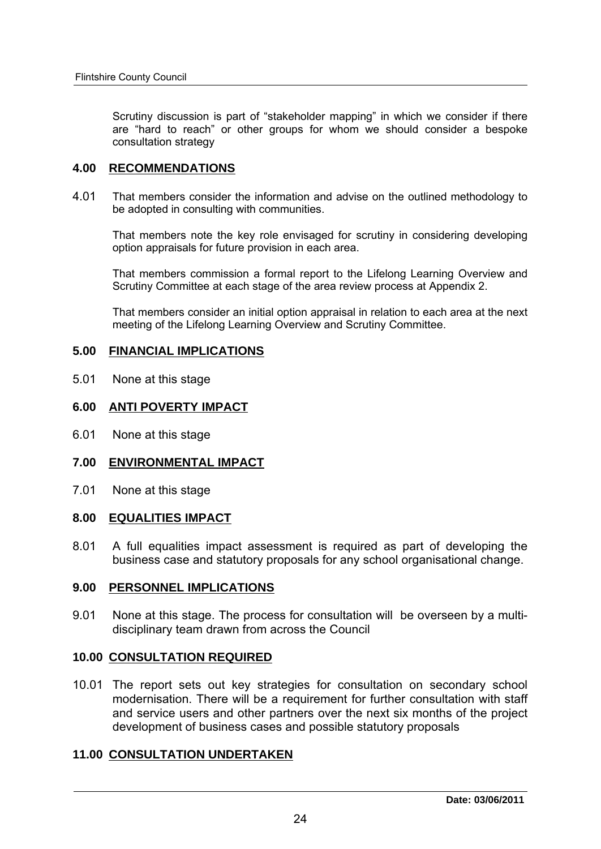Scrutiny discussion is part of "stakeholder mapping" in which we consider if there are "hard to reach" or other groups for whom we should consider a bespoke consultation strategy Scrutiny discussion is part of "stake<br>are "hard to reach" or other group<br>consultation strategy<br>**4.00 RECOMMENDATIONS** 

4.01 That members consider the information and advise on the outlined methodology to be adopted in consulting with communities.

That members note the key role envisaged for scrutiny in considering developing option appraisals for future provision in each area.

That members commission a formal report to the Lifelong Learning Overview and Scrutiny Committee at each stage of the area review process at Appendix 2.

That members consider an initial option appraisal in relation to each area at the next meeting of the Lifelong Learning Overview and Scrutiny Committee. **Scrutiny Committee at each stage of the area That members consider an initial option ap**<br> **FINANCIAL IMPLICATIONS** 

# **5.00 FINANCIAL IMPLICATIONS**<br>**6.01 None at this stage<br><b>6.00 ANTI POVERTY IMPACT**<br>**6.01 None at this stage**

5.01 None at this stage

None at this stage

# **6.00 ANTI POVERTY IMPACT<br>6.01 None at this stage<br>7.00 ENVIRONMENTAL IMPACT 8.00 ENVIRONMENTAL IMPACT<br>19.01 None at this stage<br>8.00 EQUALITIES IMPACT**

7.01 None at this stage

8.01 A full equalities impact assessment is required as part of developing the business case and statutory proposals for any school organisational change. **9.00 EQUALITIES IMPACT**<br> **9.01** A full equalities impact assessment is<br>
business case and statutory proposals fo<br> **9.00 PERSONNEL IMPLICATIONS** 

9.01 None at this stage. The process for consultation will be overseen by a multidisciplinary team drawn from across the Council 9.00 PERSONNEL IMPLICATIONS<br>
9.01 None at this stage. The process for consulation<br>
disciplinary team drawn from across the C<br>
10.00 <u>CONSULTATION REQUIRED</u>

10.01 The report sets out key strategies for consultation on secondary school<br>
modernisation. There will be a requirement for further consultation with staff<br>
and service users and other partners over the next six months o modernisation. There will be a requirement for further consultation with staff and service users and other partners over the next six months of the project development of business cases and possible statutory proposals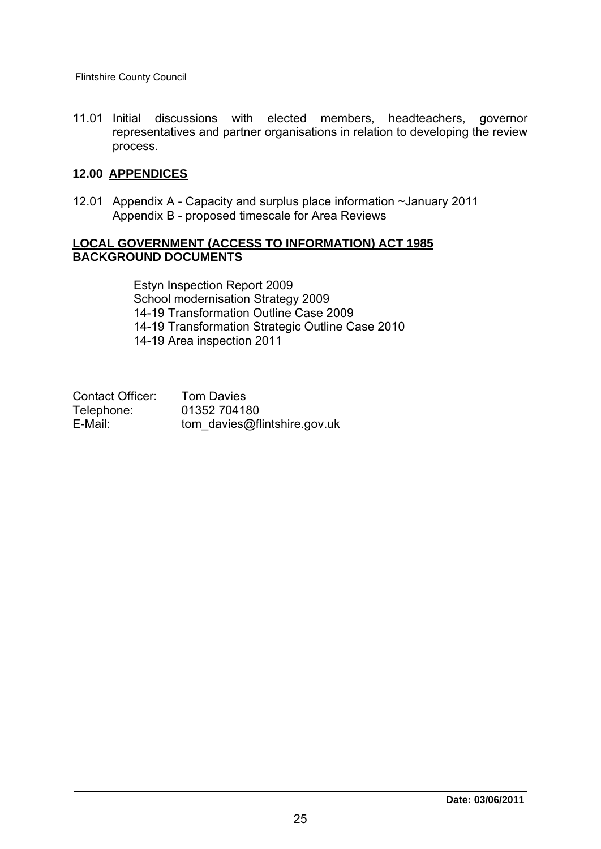11.01 Initial discussions with elected members, headteachers, governor representatives and partner organisations in relation to developing the review process. 11.01 Initial discussions with<br>representatives and part<br>process.<br>**12.00 APPENDICES** 

12.01 Appendix A - Capacity and surplus place information ~January 2011 Appendix B - proposed timescale for Area Reviews

### **LOCAL GOVERNMENT (ACCESS TO INFORMATION) ACT 1985 BACKGROUND DOCUMENTS**

Estyn Inspection Report 2009 School modernisation Strategy 2009 14-19 Transformation Outline Case 2009 14-19 Transformation Strategic Outline Case 2010 14-19 Area inspection 2011

| Contact Officer: | <b>Tom Davies</b>            |
|------------------|------------------------------|
| Telephone:       | 01352 704180                 |
| E-Mail:          | tom davies@flintshire.gov.uk |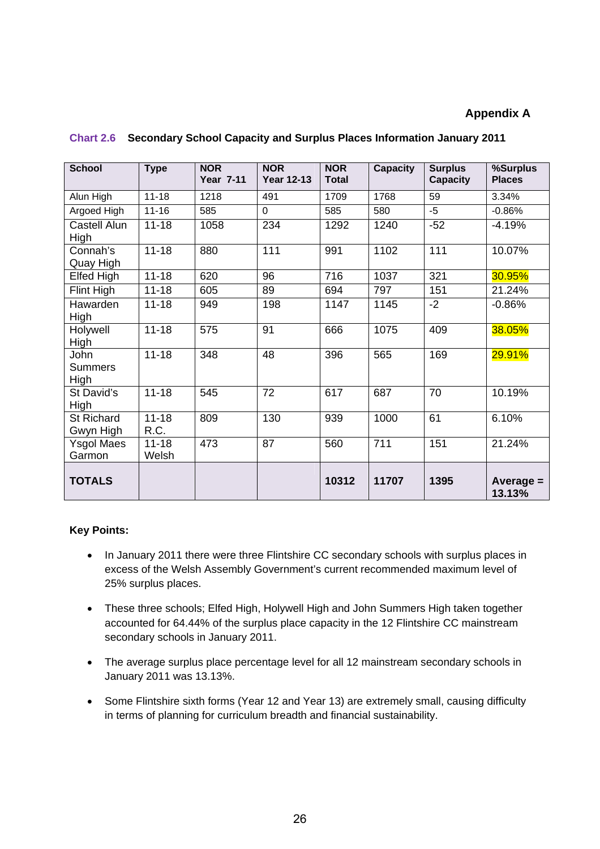### **Appendix A**

| <b>School</b>                  | <b>Type</b>        | <b>NOR</b><br><b>Year 7-11</b> | <b>NOR</b><br><b>Year 12-13</b> | <b>NOR</b><br><b>Total</b> | <b>Capacity</b> | <b>Surplus</b><br><b>Capacity</b> | %Surplus<br><b>Places</b> |
|--------------------------------|--------------------|--------------------------------|---------------------------------|----------------------------|-----------------|-----------------------------------|---------------------------|
| Alun High                      | $11 - 18$          | 1218                           | 491                             | 1709                       | 1768            | 59                                | 3.34%                     |
| Argoed High                    | $11 - 16$          | 585                            | $\Omega$                        | 585                        | 580             | $-5$                              | $-0.86%$                  |
| Castell Alun<br>High           | $11 - 18$          | 1058                           | 234                             | 1292                       | 1240            | $-52$                             | $-4.19%$                  |
| Connah's<br>Quay High          | $11 - 18$          | 880                            | 111                             | 991                        | 1102            | 111                               | 10.07%                    |
| Elfed High                     | $11 - 18$          | 620                            | 96                              | 716                        | 1037            | 321                               | 30.95%                    |
| Flint High                     | $11 - 18$          | 605                            | 89                              | 694                        | 797             | 151                               | 21.24%                    |
| Hawarden<br>High               | $11 - 18$          | 949                            | 198                             | 1147                       | 1145            | $-2$                              | $-0.86%$                  |
| Holywell<br>High               | $11 - 18$          | $\overline{575}$               | 91                              | 666                        | 1075            | 409                               | 38.05%                    |
| John<br><b>Summers</b><br>High | $11 - 18$          | 348                            | 48                              | 396                        | 565             | 169                               | 29.91%                    |
| St David's<br>High             | $11 - 18$          | 545                            | 72                              | 617                        | 687             | 70                                | 10.19%                    |
| St Richard<br>Gwyn High        | $11 - 18$<br>R.C.  | 809                            | 130                             | 939                        | 1000            | 61                                | 6.10%                     |
| <b>Ysgol Maes</b><br>Garmon    | $11 - 18$<br>Welsh | 473                            | 87                              | 560                        | 711             | 151                               | 21.24%                    |
| <b>TOTALS</b>                  |                    |                                |                                 | 10312                      | 11707           | 1395                              | Average $=$<br>13.13%     |

### **Chart 2.6 Secondary School Capacity and Surplus Places Information January 2011**

### **Key Points:**

- In January 2011 there were three Flintshire CC secondary schools with surplus places in excess of the Welsh Assembly Government's current recommended maximum level of 25% surplus places.
- These three schools; Elfed High, Holywell High and John Summers High taken together accounted for 64.44% of the surplus place capacity in the 12 Flintshire CC mainstream secondary schools in January 2011.
- The average surplus place percentage level for all 12 mainstream secondary schools in January 2011 was 13.13%.
- Some Flintshire sixth forms (Year 12 and Year 13) are extremely small, causing difficulty in terms of planning for curriculum breadth and financial sustainability.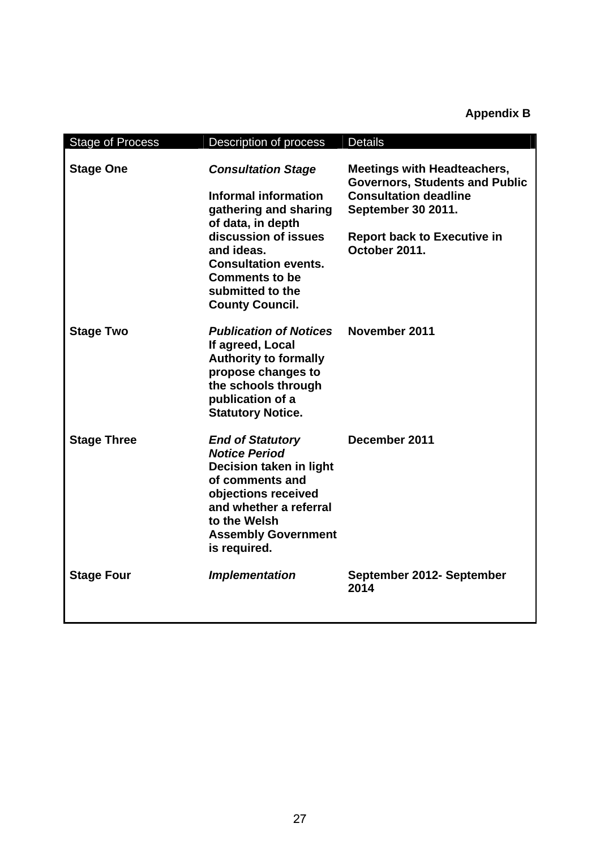# **Appendix B**

| <b>Stage of Process</b> | Description of process                                                                                                                                                                                                                             | <b>Details</b>                                                                                                                                                                                  |
|-------------------------|----------------------------------------------------------------------------------------------------------------------------------------------------------------------------------------------------------------------------------------------------|-------------------------------------------------------------------------------------------------------------------------------------------------------------------------------------------------|
| <b>Stage One</b>        | <b>Consultation Stage</b><br><b>Informal information</b><br>gathering and sharing<br>of data, in depth<br>discussion of issues<br>and ideas.<br><b>Consultation events.</b><br><b>Comments to be</b><br>submitted to the<br><b>County Council.</b> | <b>Meetings with Headteachers,</b><br><b>Governors, Students and Public</b><br><b>Consultation deadline</b><br><b>September 30 2011.</b><br><b>Report back to Executive in</b><br>October 2011. |
| <b>Stage Two</b>        | <b>Publication of Notices</b><br>If agreed, Local<br><b>Authority to formally</b><br>propose changes to<br>the schools through<br>publication of a<br><b>Statutory Notice.</b>                                                                     | November 2011                                                                                                                                                                                   |
| <b>Stage Three</b>      | <b>End of Statutory</b><br><b>Notice Period</b><br>Decision taken in light<br>of comments and<br>objections received<br>and whether a referral<br>to the Welsh<br><b>Assembly Government</b><br>is required.                                       | December 2011                                                                                                                                                                                   |
| <b>Stage Four</b>       | <b>Implementation</b>                                                                                                                                                                                                                              | September 2012- September<br>2014                                                                                                                                                               |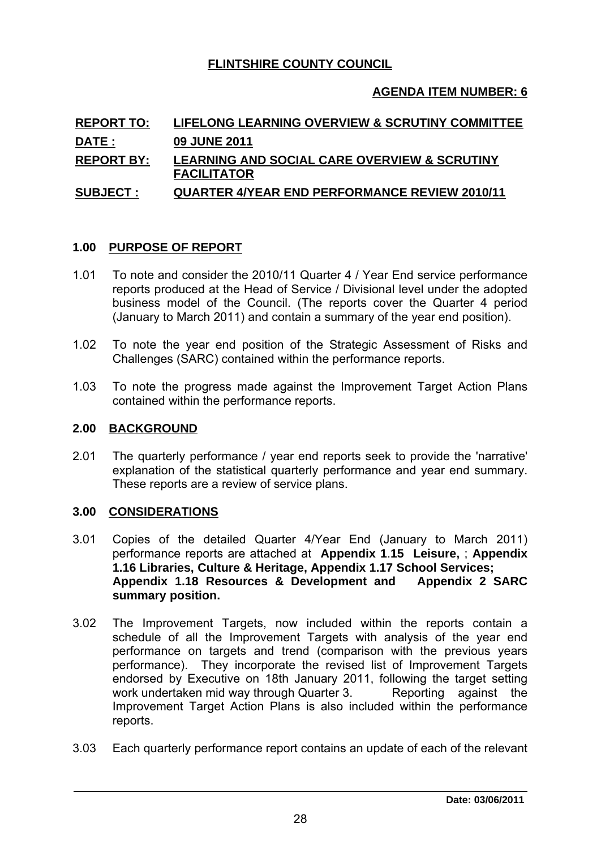### **FLINTSHIRE COUNTY COUNCIL**

### **AGENDA ITEM NUMBER: 6**

# **REPORT TO: LIFELONG LEARNING OVERVIEW & SCRUTINY COMMITTEE DATE : 09 JUNE 2011 REPORT BY: LEARNING AND SOCIAL CARE OVERVIEW & SCRUTINY FACILITATOR SUBJECT : QUARTER 4/YEAR END PERFORMANCE REVIEW 2010/11 <u>PAULITATURE</u>**<br> **1.00 PURPOSE OF REPORT**<br> **1.00 PURPOSE OF REPORT**

- 1.01 To note and consider the 2010/11 Quarter 4 / Year End service performance reports produced at the Head of Service / Divisional level under the adopted business model of the Council. (The reports cover the Quarter 4 period (January to March 2011) and contain a summary of the year end position).
- 1.02 To note the year end position of the Strategic Assessment of Risks and Challenges (SARC) contained within the performance reports.
- 1.03 To note the progress made against the Improvement Target Action Plans contained within the performance reports. Challenges (SARC) container<br>
1.03 To note the progress made<br>
contained within the perform<br>
2.00 BACKGROUND

2.01 The quarterly performance *i* year end reports seek to provide the 'narrative' explanation of the statistical quarterly performance and year end summary.<br>These reports are a review of service plans These reports are a review of service plans. 2.01 The quarterly performance / y<br>explanation of the statistical q<br>These reports are a review of s<br>**3.00 CONSIDERATIONS** 

- 3.01 Copies of the detailed Quarter 4/Year End (January to March 2011) performance reports are attached at **Appendix 1**.**15 Leisure,** ; **Appendix 1.16 Libraries, Culture & Heritage, Appendix 1.17 School Services; Appendix 1.18 Resources & Development and Appendix 2 SARC summary position.** performance reports are attached at **Appendix 1.15 Leisure**, ; Appendix 1.16 Libraries, Culture & Heritage, Appendix 1.17 School Services;<br>Appendix 1.18 Resources & Development and Appendix 2 SARC<br>summary position.<br>3.02 Th
- performance on targets and trend (comparison with the previous years performance). They incorporate the revised list of Improvement Targets endorsed by Executive on 18th January 2011, following the target setting work undertaken mid way through Quarter 3. Reporting against the Improvement Target Action Plans is also included within the performance reports.
- 3.03 Each quarterly performance report contains an update of each of the relevant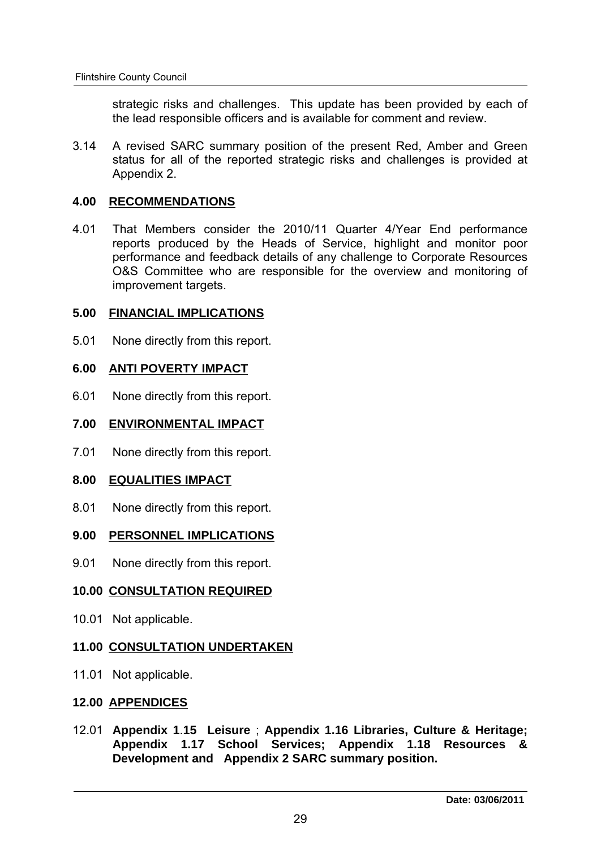strategic risks and challenges. This update has been provided by each of the lead responsible officers and is available for comment and review.

3.14 A revised SARC summary position of the present Red, Amber and Green status for all of the reported strategic risks and challenges is provided at Appendix 2. 1.14 A revised SARC summary positively<br>status for all of the reported stra<br>Appendix 2.<br>**4.00 RECOMMENDATIONS** 

4.01 That Members consider the 2010/11 Quarter 4/Year End performance reports produced by the Heads of Service, highlight and monitor poor performance and feedback details of any challenge to Corporate Resources O&S Committee who are responsible for the overview and monitoring of improvement targets. **5.00 FINANCIAL IMPLICATIONS**<br>
Feature and feedback details of a<br>
5.00 FINANCIAL IMPLICATIONS<br>
Feature and the second improvement targets.<br>
5.00 FINANCIAL IMPLICATIONS

5.01 None directly from this report. **6.00 FINANCIAL IMPLICATIONS<br>
6.01 None directly from this report.<br>
6.00 ANTI POVERTY IMPACT** 

6.01 None directly from this report. **6.00 ANTI POVERTY IMPACT<br>6.01 None directly from this report.<br>7.00 ENVIRONMENTAL IMPACT** 

7.01 None directly from this report. **8.00 ENVIRONMENTAL IMPACT**<br>**8.00 EQUALITIES IMPACT**<br>**8.01 None directly from this report** 

None directly from this report. **9.00 EQUALITIES IMPACT<br>
9.01 None directly from this report.<br>
9.00 PERSONNEL IMPLICATIONS** 

9.01 None directly from this report.

# **10.00 PERSONNEL IMPLICATIONS<br>10.01 None directly from this report.<br>10.00 CONSULTATION REQUIRED**

10.01 Not applicable.

# 10.00 <u>CONSULTATION REQUIRED</u><br>10.01 Not applicable.<br>11.00 <u>CONSULTATION UNDERTAKEN</u> 11.00 CONSULTATION UNDERTAKEN<br>11.01 Not applicable.<br>12.00 APPENDICES

11.01 Not applicable.

12.01 **Appendix 1**.**15 Leisure** ; **Appendix 1.16 Libraries, Culture & Heritage; Appendix 1.17 School Services; Appendix 1.18 Resources & Development and Appendix 2 SARC summary position.**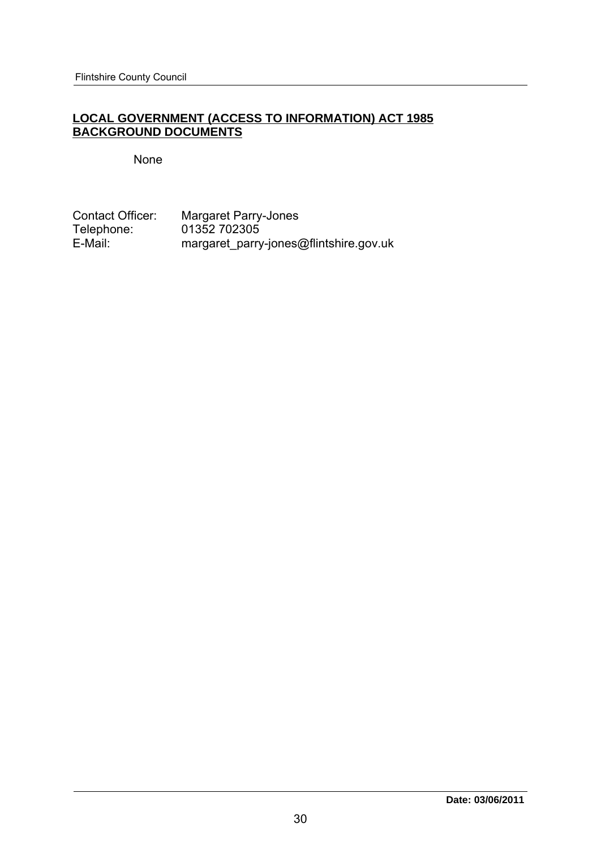### **LOCAL GOVERNMENT (ACCESS TO INFORMATION) ACT 1985 BACKGROUND DOCUMENTS**

### None

Contact Officer: Margaret Parry-Jones<br>Telephone: 01352 702305 Telephone: 01352 702305<br>E-Mail: margaret parry margaret\_parry-jones@flintshire.gov.uk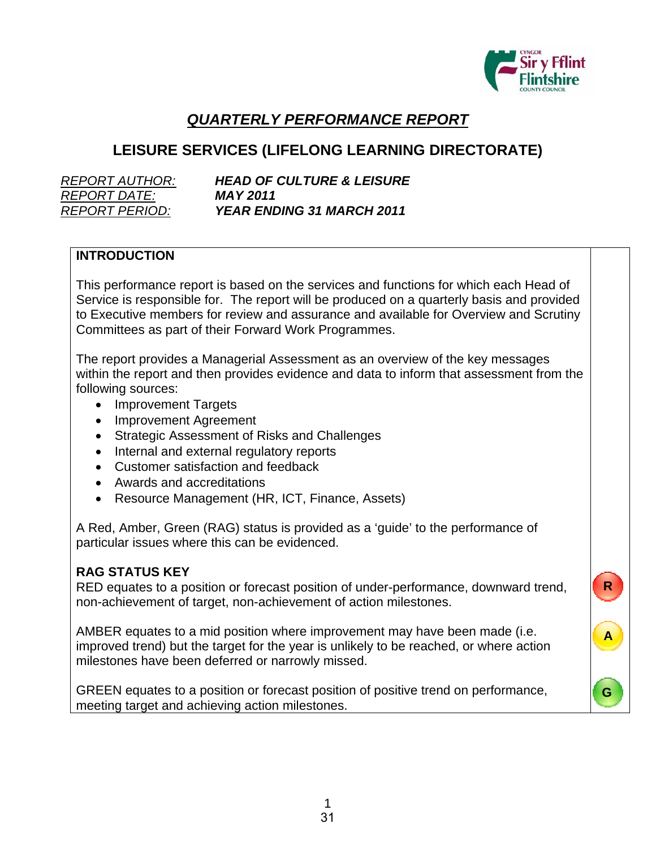

**R**

**A**

**G**

# *QUARTERLY PERFORMANCE REPORT*

# **LEISURE SERVICES (LIFELONG LEARNING DIRECTORATE)**

| <i>REPORT AUTHOR:</i> |
|-----------------------|
| <b>REPORT DATE:</b>   |
| <i>REPORT PERIOD:</i> |

**HEAD OF CULTURE & LEISURE** *REPORT DATE: MAY 2011 REPORT PERIOD: YEAR ENDING 31 MARCH 2011*

### **INTRODUCTION**

This performance report is based on the services and functions for which each Head of Service is responsible for. The report will be produced on a quarterly basis and provided to Executive members for review and assurance and available for Overview and Scrutiny Committees as part of their Forward Work Programmes.

The report provides a Managerial Assessment as an overview of the key messages within the report and then provides evidence and data to inform that assessment from the following sources:

- Improvement Targets
- Improvement Agreement
- Strategic Assessment of Risks and Challenges
- Internal and external regulatory reports
- Customer satisfaction and feedback
- Awards and accreditations
- Resource Management (HR, ICT, Finance, Assets)

A Red, Amber, Green (RAG) status is provided as a 'guide' to the performance of particular issues where this can be evidenced.

### **RAG STATUS KEY**

RED equates to a position or forecast position of under-performance, downward trend, non-achievement of target, non-achievement of action milestones.

AMBER equates to a mid position where improvement may have been made (i.e. improved trend) but the target for the year is unlikely to be reached, or where action milestones have been deferred or narrowly missed.

GREEN equates to a position or forecast position of positive trend on performance, meeting target and achieving action milestones.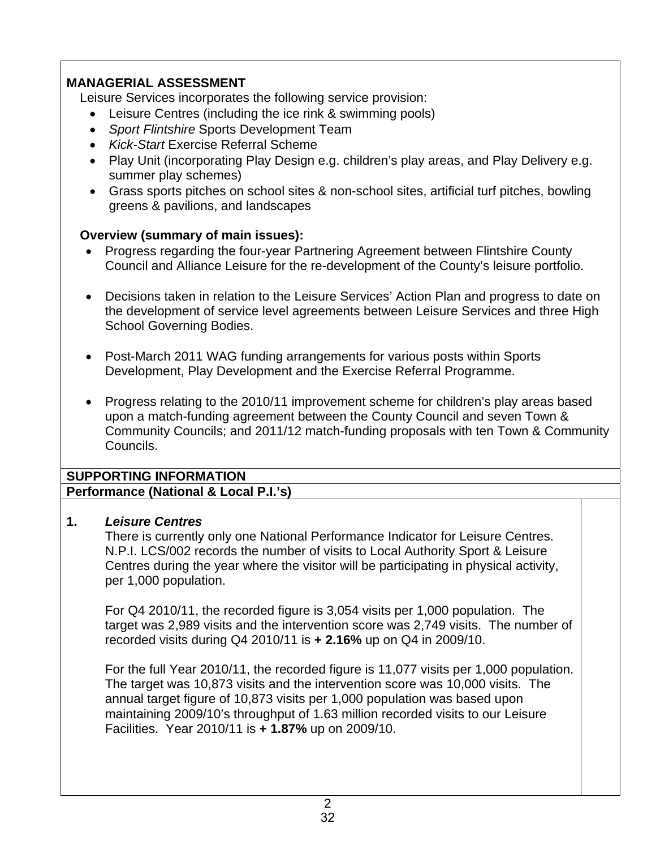# **MANAGERIAL ASSESSMENT**

Leisure Services incorporates the following service provision:

- Leisure Centres (including the ice rink & swimming pools)
- *Sport Flintshire* Sports Development Team
- *Kick-Start* Exercise Referral Scheme
- Play Unit (incorporating Play Design e.g. children's play areas, and Play Delivery e.g. summer play schemes)
- Grass sports pitches on school sites & non-school sites, artificial turf pitches, bowling greens & pavilions, and landscapes

### **Overview (summary of main issues):**

- Progress regarding the four-year Partnering Agreement between Flintshire County Council and Alliance Leisure for the re-development of the County's leisure portfolio.
- Decisions taken in relation to the Leisure Services' Action Plan and progress to date on the development of service level agreements between Leisure Services and three High School Governing Bodies.
- Post-March 2011 WAG funding arrangements for various posts within Sports Development, Play Development and the Exercise Referral Programme.
- Progress relating to the 2010/11 improvement scheme for children's play areas based upon a match-funding agreement between the County Council and seven Town & Community Councils; and 2011/12 match-funding proposals with ten Town & Community Councils.

# **SUPPORTING INFORMATION**

**Performance (National & Local P.I.'s)**

## **1.** *Leisure Centres*

 There is currently only one National Performance Indicator for Leisure Centres. N.P.I. LCS/002 records the number of visits to Local Authority Sport & Leisure Centres during the year where the visitor will be participating in physical activity, per 1,000 population.

 For Q4 2010/11, the recorded figure is 3,054 visits per 1,000 population. The target was 2,989 visits and the intervention score was 2,749 visits. The number of recorded visits during Q4 2010/11 is **+ 2.16%** up on Q4 in 2009/10.

 For the full Year 2010/11, the recorded figure is 11,077 visits per 1,000 population. The target was 10,873 visits and the intervention score was 10,000 visits. The annual target figure of 10,873 visits per 1,000 population was based upon maintaining 2009/10's throughput of 1.63 million recorded visits to our Leisure Facilities. Year 2010/11 is **+ 1.87%** up on 2009/10.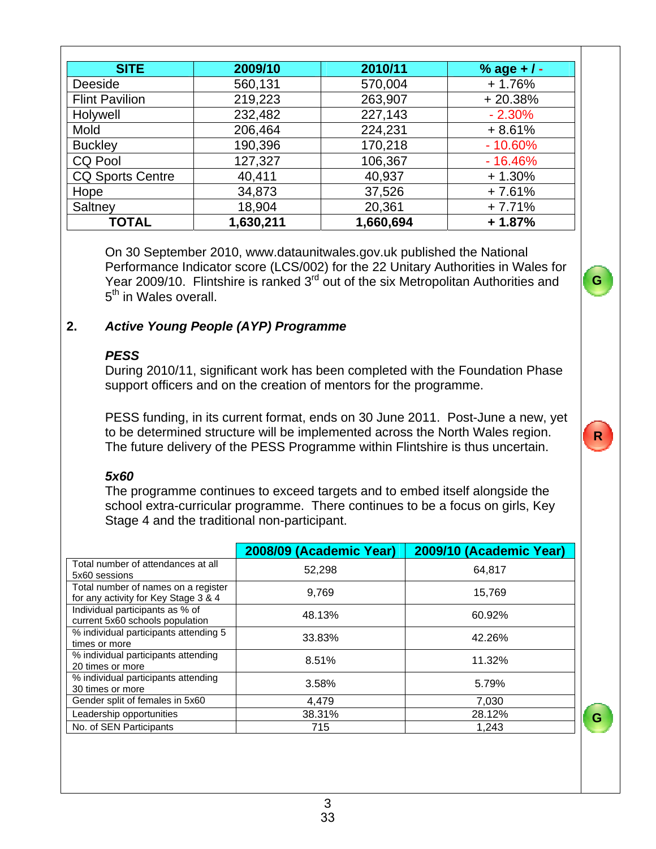| <b>SITE</b>             | 2009/10   | 2010/11   | % age + $/$ - |
|-------------------------|-----------|-----------|---------------|
| Deeside                 | 560,131   | 570,004   | $+1.76%$      |
| <b>Flint Pavilion</b>   | 219,223   | 263,907   | $+20.38%$     |
| Holywell                | 232,482   | 227,143   | $-2.30%$      |
| Mold                    | 206,464   | 224,231   | $+8.61%$      |
| <b>Buckley</b>          | 190,396   | 170,218   | $-10.60%$     |
| <b>CQ Pool</b>          | 127,327   | 106,367   | $-16.46%$     |
| <b>CQ Sports Centre</b> | 40,411    | 40,937    | $+1.30%$      |
| Hope                    | 34,873    | 37,526    | $+7.61%$      |
| Saltney                 | 18,904    | 20,361    | $+7.71%$      |
| <b>TOTAL</b>            | 1,630,211 | 1,660,694 | $+1.87%$      |

 On 30 September 2010, www.dataunitwales.gov.uk published the National Performance Indicator score (LCS/002) for the 22 Unitary Authorities in Wales for Year 2009/10. Flintshire is ranked  $3^{rd}$  out of the six Metropolitan Authorities and 5<sup>th</sup> in Wales overall.

**G**

**R**

**G**

### **2.** *Active Young People (AYP) Programme*

### *PESS*

 During 2010/11, significant work has been completed with the Foundation Phase support officers and on the creation of mentors for the programme.

PESS funding, in its current format, ends on 30 June 2011. Post-June a new, yet to be determined structure will be implemented across the North Wales region. The future delivery of the PESS Programme within Flintshire is thus uncertain.

## *5x60*

 The programme continues to exceed targets and to embed itself alongside the school extra-curricular programme. There continues to be a focus on girls, Key Stage 4 and the traditional non-participant.

|                                                                             | 2008/09 (Academic Year) | 2009/10 (Academic Year) |
|-----------------------------------------------------------------------------|-------------------------|-------------------------|
| Total number of attendances at all<br>5x60 sessions                         | 52.298                  | 64,817                  |
| Total number of names on a register<br>for any activity for Key Stage 3 & 4 | 9.769                   | 15,769                  |
| Individual participants as % of<br>current 5x60 schools population          | 48.13%                  | 60.92%                  |
| % individual participants attending 5<br>times or more                      | 33.83%                  | 42.26%                  |
| % individual participants attending<br>20 times or more                     | 8.51%                   | 11.32%                  |
| % individual participants attending<br>30 times or more                     | 3.58%                   | 5.79%                   |
| Gender split of females in 5x60                                             | 4.479                   | 7,030                   |
| Leadership opportunities                                                    | 38.31%                  | 28.12%                  |
| No. of SEN Participants                                                     | 715                     | 1,243                   |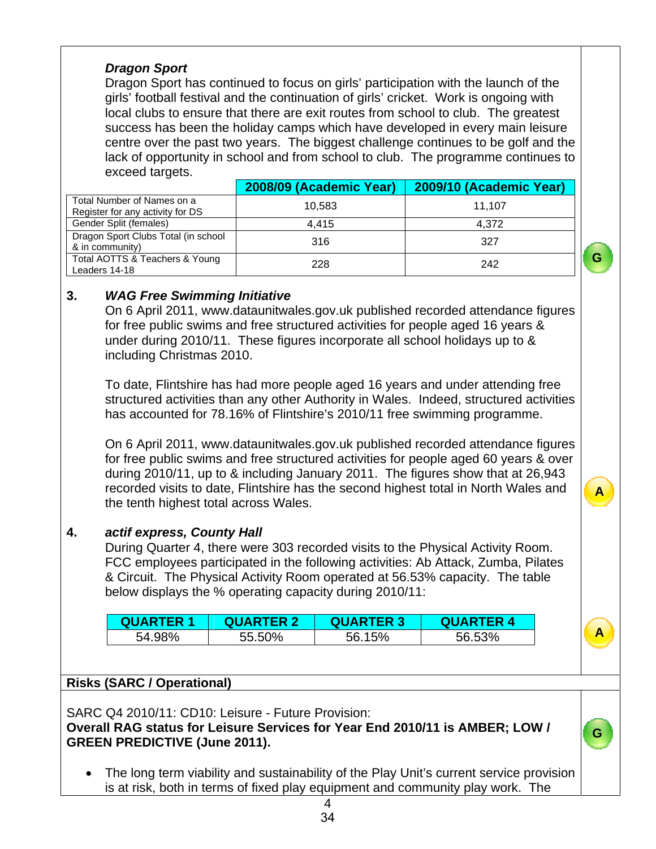### *Dragon Sport*

 Dragon Sport has continued to focus on girls' participation with the launch of the girls' football festival and the continuation of girls' cricket. Work is ongoing with local clubs to ensure that there are exit routes from school to club. The greatest success has been the holiday camps which have developed in every main leisure centre over the past two years. The biggest challenge continues to be golf and the lack of opportunity in school and from school to club. The programme continues to exceed targets.

|                                                                | 2008/09 (Academic Year) | 2009/10 (Academic Year) |
|----------------------------------------------------------------|-------------------------|-------------------------|
| Total Number of Names on a<br>Register for any activity for DS | 10.583                  | 11.107                  |
| Gender Split (females)                                         | 4.415                   | 4.372                   |
| Dragon Sport Clubs Total (in school<br>& in community)         | 316                     | 327                     |
| Total AOTTS & Teachers & Young<br>Leaders 14-18                | 228                     | 242                     |

# **3.** *WAG Free Swimming Initiative*

 On 6 April 2011, www.dataunitwales.gov.uk published recorded attendance figures for free public swims and free structured activities for people aged 16 years & under during 2010/11. These figures incorporate all school holidays up to & including Christmas 2010.

**G**

**A**

**A**

**G**

 To date, Flintshire has had more people aged 16 years and under attending free structured activities than any other Authority in Wales. Indeed, structured activities has accounted for 78.16% of Flintshire's 2010/11 free swimming programme.

 On 6 April 2011, www.dataunitwales.gov.uk published recorded attendance figures for free public swims and free structured activities for people aged 60 years & over during 2010/11, up to & including January 2011. The figures show that at 26,943 recorded visits to date, Flintshire has the second highest total in North Wales and the tenth highest total across Wales.

## **4.** *actif express, County Hall*

During Quarter 4, there were 303 recorded visits to the Physical Activity Room. FCC employees participated in the following activities: Ab Attack, Zumba, Pilates & Circuit. The Physical Activity Room operated at 56.53% capacity. The table below displays the % operating capacity during 2010/11:

| <b>QUARTER 1</b> | <b>QUARTER 2</b> | <b>QUARTER 3</b> | <b>QUARTER 4</b> |
|------------------|------------------|------------------|------------------|
| 54.98%           | 55.50%           | 56.15%           | 56.53%           |

## **Risks (SARC / Operational)**

SARC Q4 2010/11: CD10: Leisure - Future Provision:

### **Overall RAG status for Leisure Services for Year End 2010/11 is AMBER; LOW / GREEN PREDICTIVE (June 2011).**

 The long term viability and sustainability of the Play Unit's current service provision is at risk, both in terms of fixed play equipment and community play work. The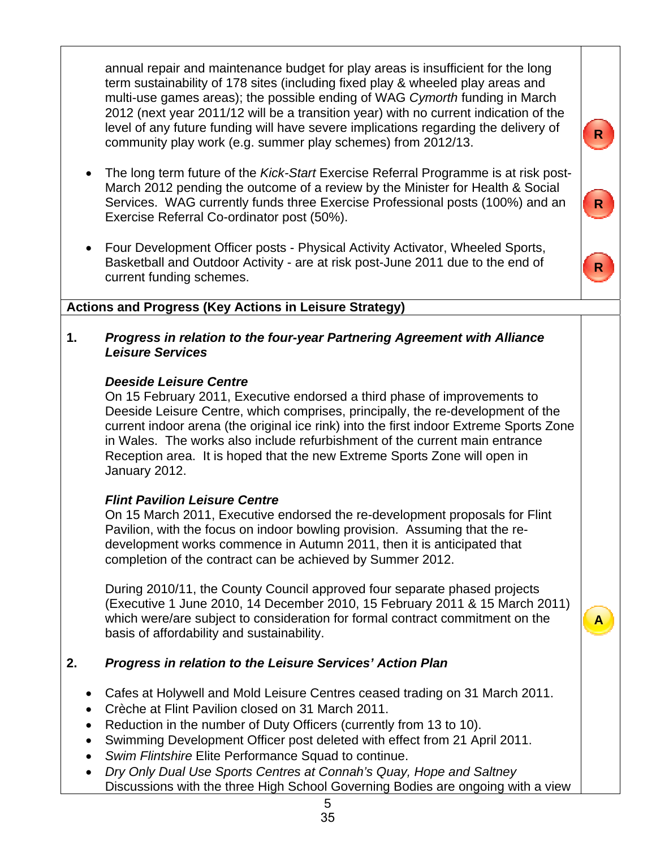annual repair and maintenance budget for play areas is insufficient for the long term sustainability of 178 sites (including fixed play & wheeled play areas and multi-use games areas); the possible ending of WAG *Cymorth* funding in March 2012 (next year 2011/12 will be a transition year) with no current indication of the level of any future funding will have severe implications regarding the delivery of community play work (e.g. summer play schemes) from 2012/13.

- The long term future of the *Kick-Start* Exercise Referral Programme is at risk post-March 2012 pending the outcome of a review by the Minister for Health & Social Services. WAG currently funds three Exercise Professional posts (100%) and an Exercise Referral Co-ordinator post (50%).
- Four Development Officer posts Physical Activity Activator, Wheeled Sports, Basketball and Outdoor Activity - are at risk post-June 2011 due to the end of current funding schemes.



**A**

**R**

### **Actions and Progress (Key Actions in Leisure Strategy)**

**1.** *Progress in relation to the four-year Partnering Agreement with Alliance Leisure Services* 

### *Deeside Leisure Centre*

 On 15 February 2011, Executive endorsed a third phase of improvements to Deeside Leisure Centre, which comprises, principally, the re-development of the current indoor arena (the original ice rink) into the first indoor Extreme Sports Zone in Wales. The works also include refurbishment of the current main entrance Reception area. It is hoped that the new Extreme Sports Zone will open in January 2012.

## *Flint Pavilion Leisure Centre*

 On 15 March 2011, Executive endorsed the re-development proposals for Flint Pavilion, with the focus on indoor bowling provision. Assuming that the re development works commence in Autumn 2011, then it is anticipated that completion of the contract can be achieved by Summer 2012.

 During 2010/11, the County Council approved four separate phased projects (Executive 1 June 2010, 14 December 2010, 15 February 2011 & 15 March 2011) which were/are subject to consideration for formal contract commitment on the basis of affordability and sustainability.

## **2.** *Progress in relation to the Leisure Services' Action Plan*

- Cafes at Holywell and Mold Leisure Centres ceased trading on 31 March 2011.
- Crèche at Flint Pavilion closed on 31 March 2011.
- Reduction in the number of Duty Officers (currently from 13 to 10).
- Swimming Development Officer post deleted with effect from 21 April 2011.
- *Swim Flintshire* Elite Performance Squad to continue.
- *Dry Only Dual Use Sports Centres at Connah's Quay, Hope and Saltney* Discussions with the three High School Governing Bodies are ongoing with a view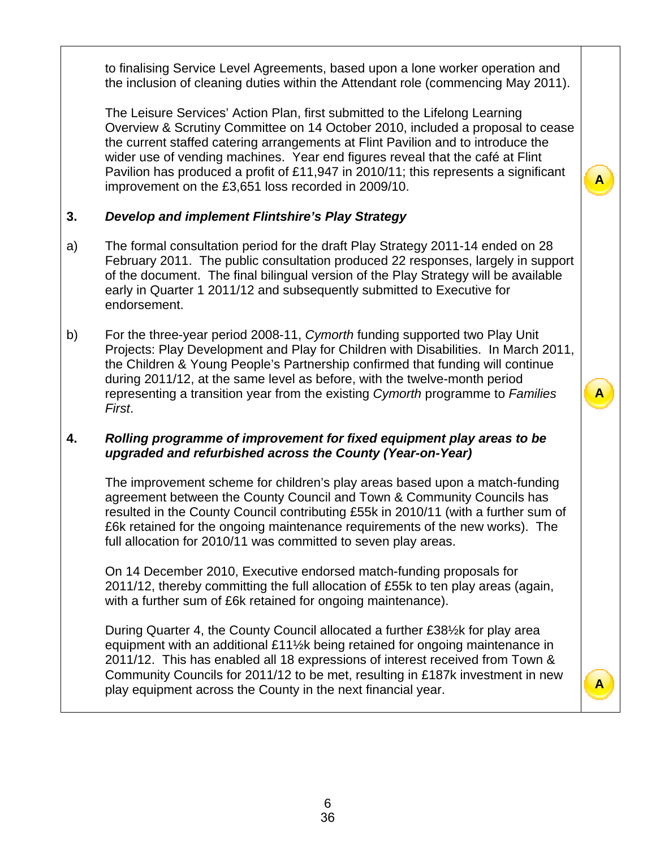to finalising Service Level Agreements, based upon a lone worker operation and the inclusion of cleaning duties within the Attendant role (commencing May 2011).

 The Leisure Services' Action Plan, first submitted to the Lifelong Learning Overview & Scrutiny Committee on 14 October 2010, included a proposal to cease the current staffed catering arrangements at Flint Pavilion and to introduce the wider use of vending machines. Year end figures reveal that the café at Flint Pavilion has produced a profit of £11,947 in 2010/11; this represents a significant improvement on the £3,651 loss recorded in 2009/10.

### **3.** *Develop and implement Flintshire's Play Strategy*

- a) The formal consultation period for the draft Play Strategy 2011-14 ended on 28 February 2011. The public consultation produced 22 responses, largely in support of the document. The final bilingual version of the Play Strategy will be available early in Quarter 1 2011/12 and subsequently submitted to Executive for endorsement.
- b) For the three-year period 2008-11, *Cymorth* funding supported two Play Unit Projects: Play Development and Play for Children with Disabilities. In March 2011, the Children & Young People's Partnership confirmed that funding will continue during 2011/12, at the same level as before, with the twelve-month period representing a transition year from the existing *Cymorth* programme to *Families First*.

**A**

**A**

**A**

### **4.** *Rolling programme of improvement for fixed equipment play areas to be upgraded and refurbished across the County (Year-on-Year)*

 The improvement scheme for children's play areas based upon a match-funding agreement between the County Council and Town & Community Councils has resulted in the County Council contributing £55k in 2010/11 (with a further sum of £6k retained for the ongoing maintenance requirements of the new works). The full allocation for 2010/11 was committed to seven play areas.

 On 14 December 2010, Executive endorsed match-funding proposals for 2011/12, thereby committing the full allocation of £55k to ten play areas (again, with a further sum of £6k retained for ongoing maintenance).

 During Quarter 4, the County Council allocated a further £38½k for play area equipment with an additional £11½k being retained for ongoing maintenance in 2011/12. This has enabled all 18 expressions of interest received from Town & Community Councils for 2011/12 to be met, resulting in £187k investment in new play equipment across the County in the next financial year.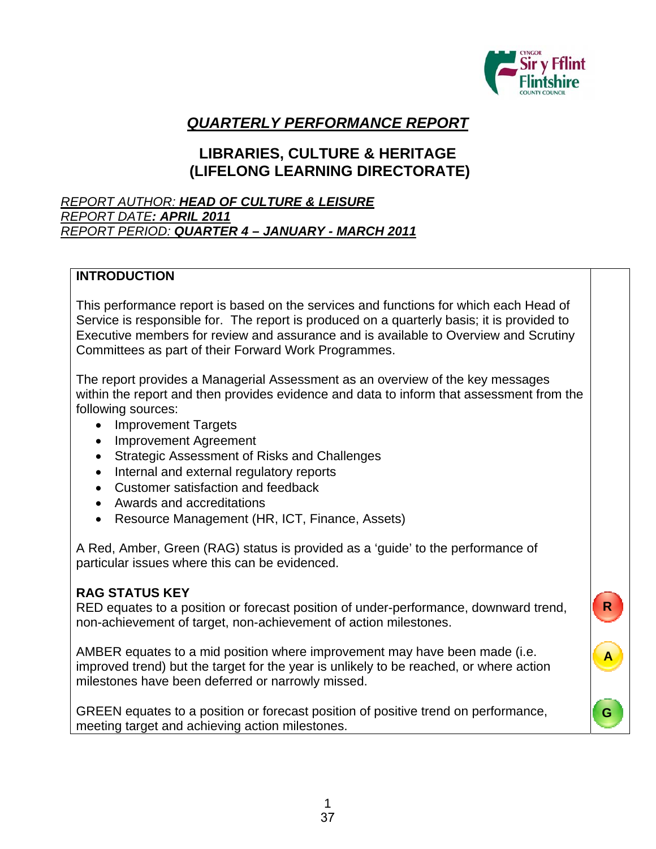

**R**

**A**

**G**

# *QUARTERLY PERFORMANCE REPORT*

# **LIBRARIES, CULTURE & HERITAGE (LIFELONG LEARNING DIRECTORATE)**

### *REPORT AUTHOR: HEAD OF CULTURE & LEISURE REPORT DATE: APRIL 2011 REPORT PERIOD: QUARTER 4 – JANUARY - MARCH 2011*

### **INTRODUCTION**

This performance report is based on the services and functions for which each Head of Service is responsible for. The report is produced on a quarterly basis; it is provided to Executive members for review and assurance and is available to Overview and Scrutiny Committees as part of their Forward Work Programmes.

The report provides a Managerial Assessment as an overview of the key messages within the report and then provides evidence and data to inform that assessment from the following sources:

- Improvement Targets
- Improvement Agreement
- Strategic Assessment of Risks and Challenges
- Internal and external regulatory reports
- Customer satisfaction and feedback
- Awards and accreditations
- Resource Management (HR, ICT, Finance, Assets)

A Red, Amber, Green (RAG) status is provided as a 'guide' to the performance of particular issues where this can be evidenced.

### **RAG STATUS KEY**

RED equates to a position or forecast position of under-performance, downward trend, non-achievement of target, non-achievement of action milestones.

AMBER equates to a mid position where improvement may have been made (i.e. improved trend) but the target for the year is unlikely to be reached, or where action milestones have been deferred or narrowly missed.

GREEN equates to a position or forecast position of positive trend on performance, meeting target and achieving action milestones.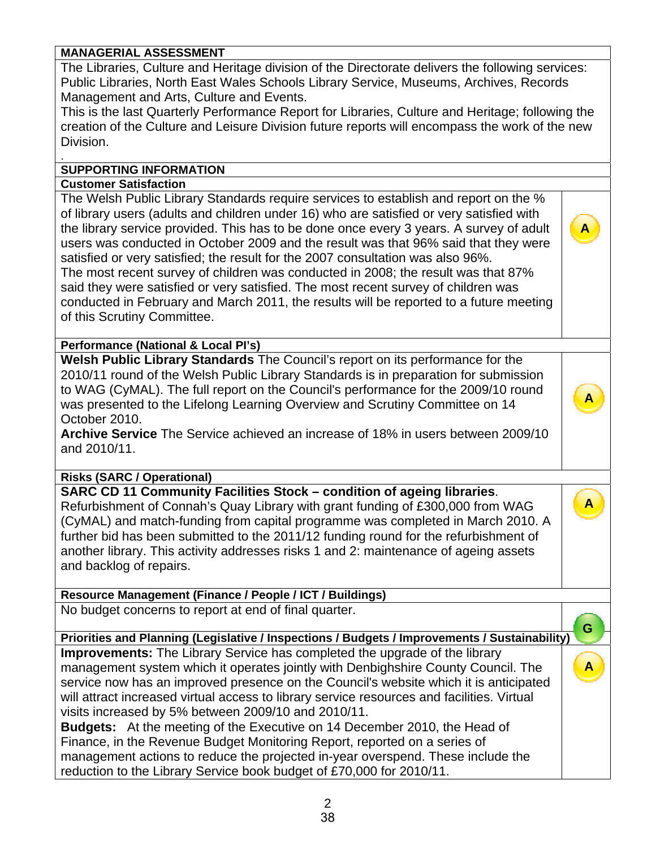### **MANAGERIAL ASSESSMENT**

The Libraries, Culture and Heritage division of the Directorate delivers the following services: Public Libraries, North East Wales Schools Library Service, Museums, Archives, Records Management and Arts, Culture and Events.

This is the last Quarterly Performance Report for Libraries, Culture and Heritage; following the creation of the Culture and Leisure Division future reports will encompass the work of the new Division.

**A**

**A**

**A**

### **SUPPORTING INFORMATION**

### **Customer Satisfaction**

.

The Welsh Public Library Standards require services to establish and report on the % of library users (adults and children under 16) who are satisfied or very satisfied with the library service provided. This has to be done once every 3 years. A survey of adult users was conducted in October 2009 and the result was that 96% said that they were satisfied or very satisfied; the result for the 2007 consultation was also 96%. The most recent survey of children was conducted in 2008; the result was that 87% said they were satisfied or very satisfied. The most recent survey of children was conducted in February and March 2011, the results will be reported to a future meeting of this Scrutiny Committee.

**Performance (National & Local PI's)**

**Welsh Public Library Standards** The Council's report on its performance for the 2010/11 round of the Welsh Public Library Standards is in preparation for submission to WAG (CyMAL). The full report on the Council's performance for the 2009/10 round was presented to the Lifelong Learning Overview and Scrutiny Committee on 14 October 2010.

**Archive Service** The Service achieved an increase of 18% in users between 2009/10 and 2010/11.

**Risks (SARC / Operational)** 

**SARC CD 11 Community Facilities Stock – condition of ageing libraries**. Refurbishment of Connah's Quay Library with grant funding of £300,000 from WAG (CyMAL) and match-funding from capital programme was completed in March 2010. A further bid has been submitted to the 2011/12 funding round for the refurbishment of another library. This activity addresses risks 1 and 2: maintenance of ageing assets and backlog of repairs.

**Resource Management (Finance / People / ICT / Buildings)**

No budget concerns to report at end of final quarter.

**Priorities and Planning (Legislative / Inspections / Budgets / Improvements / Sustainability) Improvements:** The Library Service has completed the upgrade of the library management system which it operates jointly with Denbighshire County Council. The service now has an improved presence on the Council's website which it is anticipated will attract increased virtual access to library service resources and facilities. Virtual visits increased by 5% between 2009/10 and 2010/11. **G A**

**Budgets:** At the meeting of the Executive on 14 December 2010, the Head of Finance, in the Revenue Budget Monitoring Report, reported on a series of management actions to reduce the projected in-year overspend. These include the reduction to the Library Service book budget of £70,000 for 2010/11.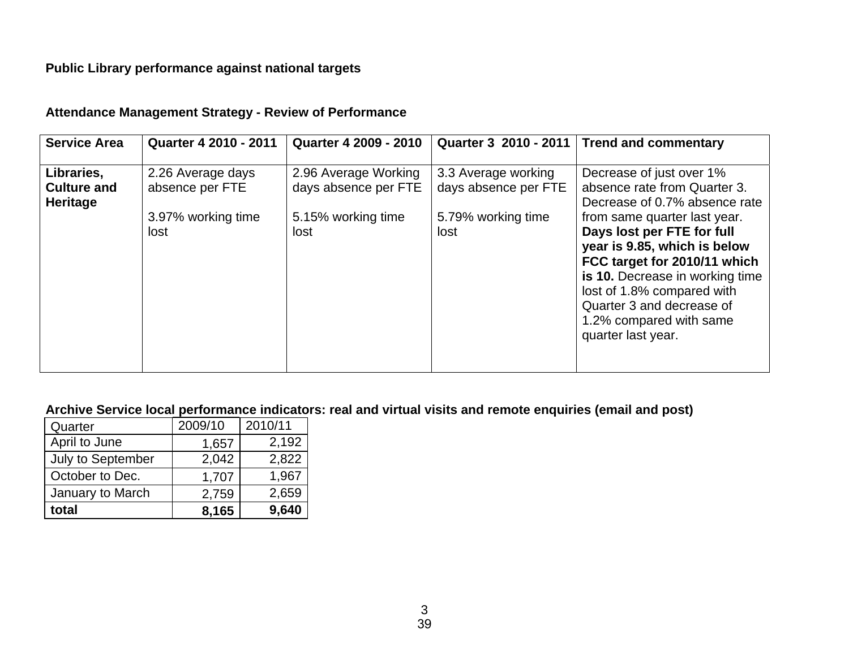# **Public Library performance against national targets**

| <b>Service Area</b><br><b>Quarter 4 2009 - 2010</b><br>Quarter 3 2010 - 2011   Trend and commentary<br><b>Quarter 4 2010 - 2011</b>                                                                                                                                                                                                                                                                                                                                                                                                                                                                                                                            |  |
|----------------------------------------------------------------------------------------------------------------------------------------------------------------------------------------------------------------------------------------------------------------------------------------------------------------------------------------------------------------------------------------------------------------------------------------------------------------------------------------------------------------------------------------------------------------------------------------------------------------------------------------------------------------|--|
| Libraries,<br>2.96 Average Working<br>Decrease of just over 1%<br>3.3 Average working<br>2.26 Average days<br>days absence per FTE<br>days absence per FTE<br>absence per FTE<br>absence rate from Quarter 3.<br><b>Culture and</b><br><b>Heritage</b><br>Decrease of 0.7% absence rate<br>5.79% working time<br>3.97% working time<br>5.15% working time<br>from same quarter last year.<br>Days lost per FTE for full<br>lost<br>lost<br>lost<br>year is 9.85, which is below<br>FCC target for 2010/11 which<br>is 10. Decrease in working time<br>lost of 1.8% compared with<br>Quarter 3 and decrease of<br>1.2% compared with same<br>quarter last year. |  |

### **Attendance Management Strategy - Review of Performance**

### **Archive Service local performance indicators: real and virtual visits and remote enquiries (email and post)**

| total             | 8,165   | 9,640   |
|-------------------|---------|---------|
| January to March  | 2,759   | 2,659   |
| October to Dec.   | 1,707   | 1,967   |
| July to September | 2,042   | 2,822   |
| April to June     | 1,657   | 2,192   |
| Quarter           | 2009/10 | 2010/11 |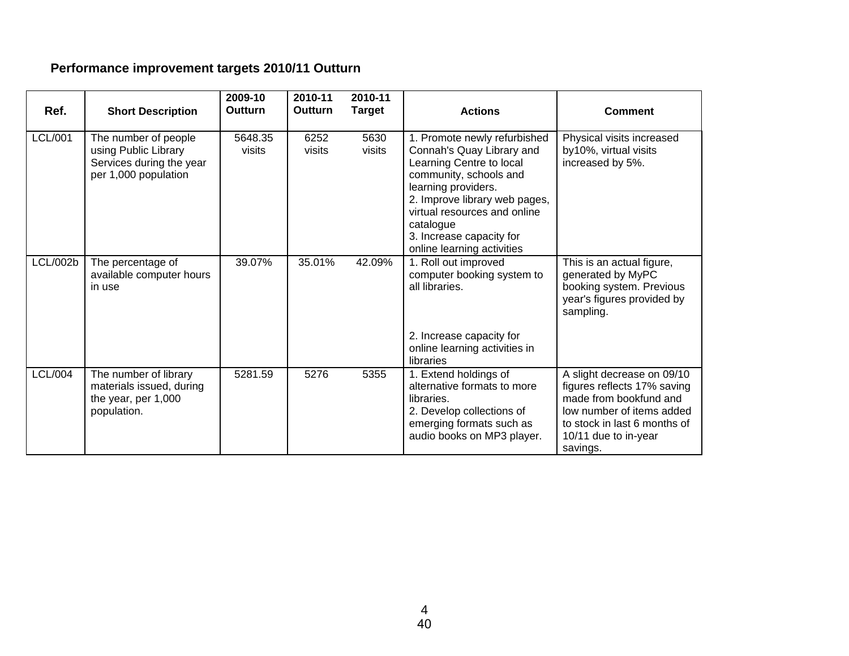# **Performance improvement targets 2010/11 Outturn**

| Ref.            | <b>Short Description</b>                                                                         | 2009-10<br>Outturn | 2010-11<br><b>Outturn</b> | 2010-11<br><b>Target</b> | <b>Actions</b>                                                                                                                                                                                                                                                                 | <b>Comment</b>                                                                                                                                                                       |
|-----------------|--------------------------------------------------------------------------------------------------|--------------------|---------------------------|--------------------------|--------------------------------------------------------------------------------------------------------------------------------------------------------------------------------------------------------------------------------------------------------------------------------|--------------------------------------------------------------------------------------------------------------------------------------------------------------------------------------|
| <b>LCL/001</b>  | The number of people<br>using Public Library<br>Services during the year<br>per 1,000 population | 5648.35<br>visits  | 6252<br>visits            | 5630<br>visits           | 1. Promote newly refurbished<br>Connah's Quay Library and<br>Learning Centre to local<br>community, schools and<br>learning providers.<br>2. Improve library web pages,<br>virtual resources and online<br>catalogue<br>3. Increase capacity for<br>online learning activities | Physical visits increased<br>by10%, virtual visits<br>increased by 5%.                                                                                                               |
| <b>LCL/002b</b> | The percentage of<br>available computer hours<br>in use                                          | 39.07%             | 35.01%                    | 42.09%                   | 1. Roll out improved<br>computer booking system to<br>all libraries.<br>2. Increase capacity for<br>online learning activities in<br>libraries                                                                                                                                 | This is an actual figure,<br>generated by MyPC<br>booking system. Previous<br>year's figures provided by<br>sampling.                                                                |
| <b>LCL/004</b>  | The number of library<br>materials issued, during<br>the year, per 1,000<br>population.          | 5281.59            | 5276                      | 5355                     | 1. Extend holdings of<br>alternative formats to more<br>libraries.<br>2. Develop collections of<br>emerging formats such as<br>audio books on MP3 player.                                                                                                                      | A slight decrease on 09/10<br>figures reflects 17% saving<br>made from bookfund and<br>low number of items added<br>to stock in last 6 months of<br>10/11 due to in-year<br>savings. |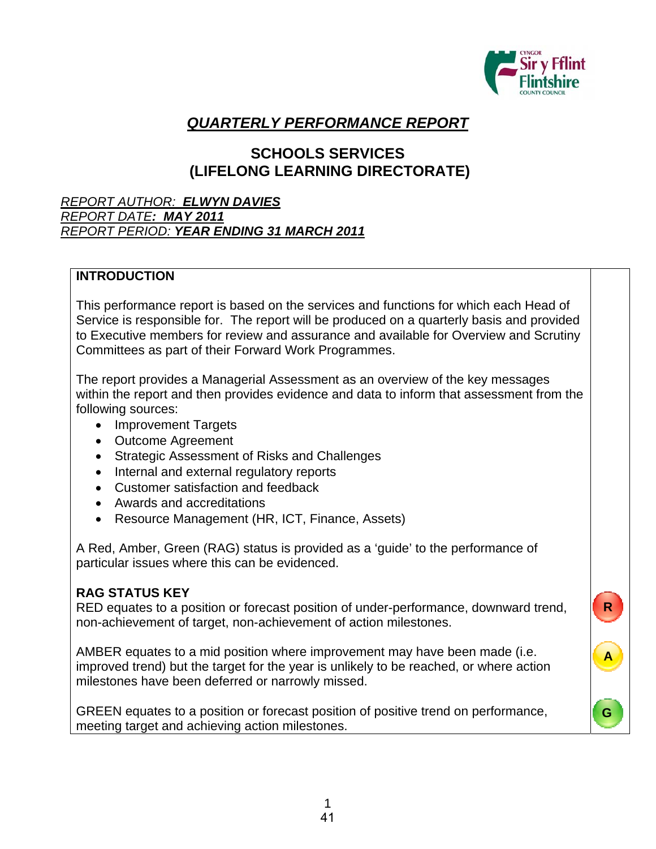

**R**

**A**

**G**

# *QUARTERLY PERFORMANCE REPORT*

# **SCHOOLS SERVICES (LIFELONG LEARNING DIRECTORATE)**

### *REPORT AUTHOR: ELWYN DAVIES REPORT DATE: MAY 2011 REPORT PERIOD: YEAR ENDING 31 MARCH 2011*

### **INTRODUCTION**

This performance report is based on the services and functions for which each Head of Service is responsible for. The report will be produced on a quarterly basis and provided to Executive members for review and assurance and available for Overview and Scrutiny Committees as part of their Forward Work Programmes.

The report provides a Managerial Assessment as an overview of the key messages within the report and then provides evidence and data to inform that assessment from the following sources:

- Improvement Targets
- Outcome Agreement
- Strategic Assessment of Risks and Challenges
- Internal and external regulatory reports
- Customer satisfaction and feedback
- Awards and accreditations
- Resource Management (HR, ICT, Finance, Assets)

A Red, Amber, Green (RAG) status is provided as a 'guide' to the performance of particular issues where this can be evidenced.

### **RAG STATUS KEY**

RED equates to a position or forecast position of under-performance, downward trend, non-achievement of target, non-achievement of action milestones.

AMBER equates to a mid position where improvement may have been made (i.e. improved trend) but the target for the year is unlikely to be reached, or where action milestones have been deferred or narrowly missed.

GREEN equates to a position or forecast position of positive trend on performance, meeting target and achieving action milestones.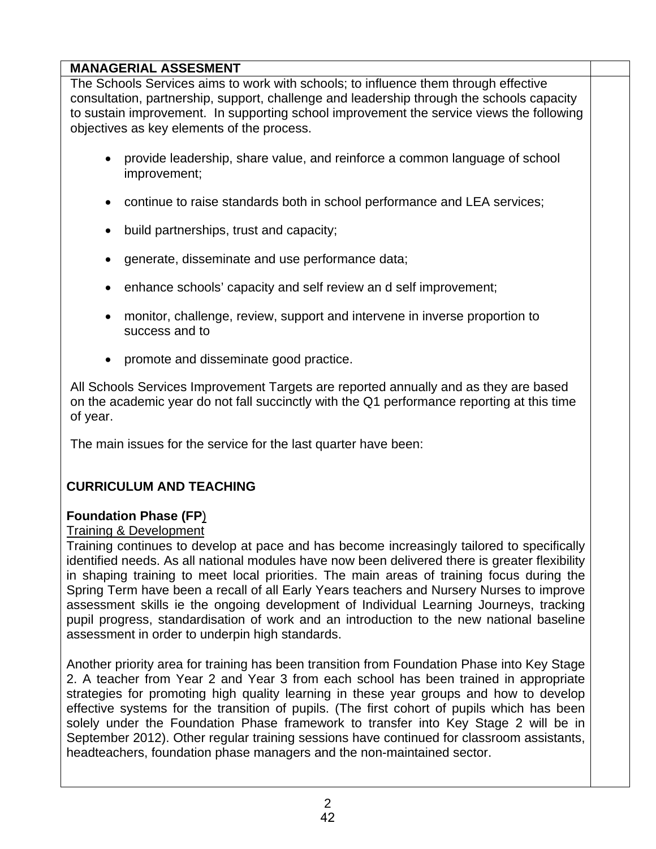## **MANAGERIAL ASSESMENT**

The Schools Services aims to work with schools; to influence them through effective consultation, partnership, support, challenge and leadership through the schools capacity to sustain improvement. In supporting school improvement the service views the following objectives as key elements of the process.

- provide leadership, share value, and reinforce a common language of school improvement;
- continue to raise standards both in school performance and LEA services;
- build partnerships, trust and capacity;
- generate, disseminate and use performance data;
- enhance schools' capacity and self review an d self improvement;
- monitor, challenge, review, support and intervene in inverse proportion to success and to
- promote and disseminate good practice.

All Schools Services Improvement Targets are reported annually and as they are based on the academic year do not fall succinctly with the Q1 performance reporting at this time of year.

The main issues for the service for the last quarter have been:

# **CURRICULUM AND TEACHING**

## **Foundation Phase (FP**)

### Training & Development

Training continues to develop at pace and has become increasingly tailored to specifically identified needs. As all national modules have now been delivered there is greater flexibility in shaping training to meet local priorities. The main areas of training focus during the Spring Term have been a recall of all Early Years teachers and Nursery Nurses to improve assessment skills ie the ongoing development of Individual Learning Journeys, tracking pupil progress, standardisation of work and an introduction to the new national baseline assessment in order to underpin high standards.

Another priority area for training has been transition from Foundation Phase into Key Stage 2. A teacher from Year 2 and Year 3 from each school has been trained in appropriate strategies for promoting high quality learning in these year groups and how to develop effective systems for the transition of pupils. (The first cohort of pupils which has been solely under the Foundation Phase framework to transfer into Key Stage 2 will be in September 2012). Other regular training sessions have continued for classroom assistants, headteachers, foundation phase managers and the non-maintained sector.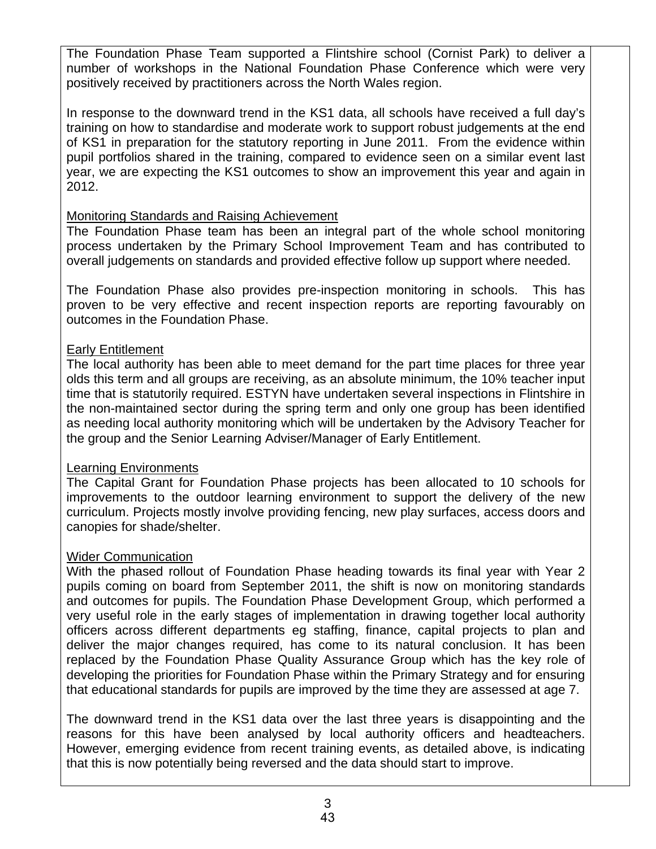The Foundation Phase Team supported a Flintshire school (Cornist Park) to deliver a number of workshops in the National Foundation Phase Conference which were very positively received by practitioners across the North Wales region.

In response to the downward trend in the KS1 data, all schools have received a full day's training on how to standardise and moderate work to support robust judgements at the end of KS1 in preparation for the statutory reporting in June 2011. From the evidence within pupil portfolios shared in the training, compared to evidence seen on a similar event last year, we are expecting the KS1 outcomes to show an improvement this year and again in 2012.

### Monitoring Standards and Raising Achievement

The Foundation Phase team has been an integral part of the whole school monitoring process undertaken by the Primary School Improvement Team and has contributed to overall judgements on standards and provided effective follow up support where needed.

The Foundation Phase also provides pre-inspection monitoring in schools. This has proven to be very effective and recent inspection reports are reporting favourably on outcomes in the Foundation Phase.

### Early Entitlement

The local authority has been able to meet demand for the part time places for three year olds this term and all groups are receiving, as an absolute minimum, the 10% teacher input time that is statutorily required. ESTYN have undertaken several inspections in Flintshire in the non-maintained sector during the spring term and only one group has been identified as needing local authority monitoring which will be undertaken by the Advisory Teacher for the group and the Senior Learning Adviser/Manager of Early Entitlement.

## Learning Environments

The Capital Grant for Foundation Phase projects has been allocated to 10 schools for improvements to the outdoor learning environment to support the delivery of the new curriculum. Projects mostly involve providing fencing, new play surfaces, access doors and canopies for shade/shelter.

## Wider Communication

With the phased rollout of Foundation Phase heading towards its final year with Year 2 pupils coming on board from September 2011, the shift is now on monitoring standards and outcomes for pupils. The Foundation Phase Development Group, which performed a very useful role in the early stages of implementation in drawing together local authority officers across different departments eg staffing, finance, capital projects to plan and deliver the major changes required, has come to its natural conclusion. It has been replaced by the Foundation Phase Quality Assurance Group which has the key role of developing the priorities for Foundation Phase within the Primary Strategy and for ensuring that educational standards for pupils are improved by the time they are assessed at age 7.

The downward trend in the KS1 data over the last three years is disappointing and the reasons for this have been analysed by local authority officers and headteachers. However, emerging evidence from recent training events, as detailed above, is indicating that this is now potentially being reversed and the data should start to improve.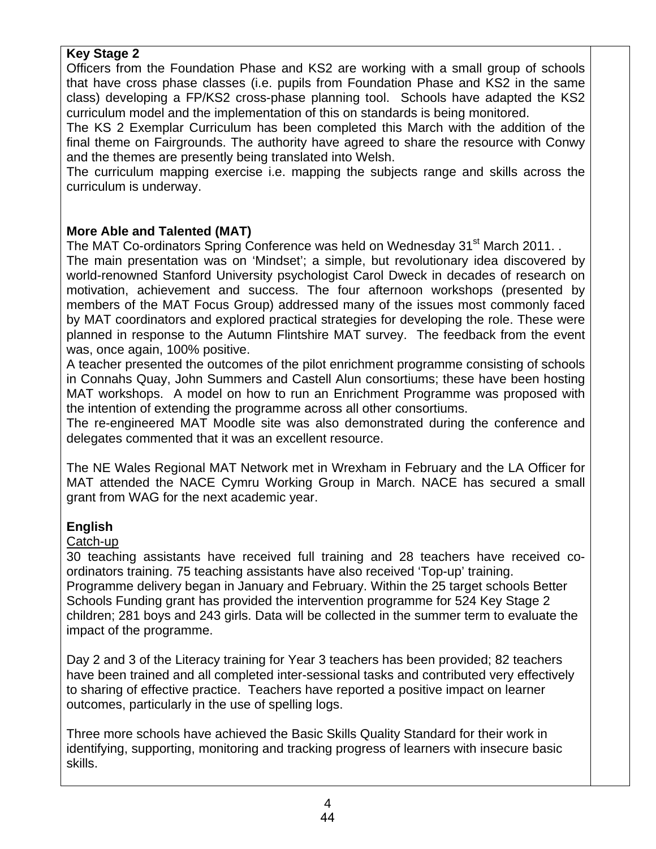### **Key Stage 2**

Officers from the Foundation Phase and KS2 are working with a small group of schools that have cross phase classes (i.e. pupils from Foundation Phase and KS2 in the same class) developing a FP/KS2 cross-phase planning tool. Schools have adapted the KS2 curriculum model and the implementation of this on standards is being monitored.

The KS 2 Exemplar Curriculum has been completed this March with the addition of the final theme on Fairgrounds. The authority have agreed to share the resource with Conwy and the themes are presently being translated into Welsh.

The curriculum mapping exercise i.e. mapping the subjects range and skills across the curriculum is underway.

### **More Able and Talented (MAT)**

The MAT Co-ordinators Spring Conference was held on Wednesday 31<sup>st</sup> March 2011. .

The main presentation was on 'Mindset'; a simple, but revolutionary idea discovered by world-renowned Stanford University psychologist Carol Dweck in decades of research on motivation, achievement and success. The four afternoon workshops (presented by members of the MAT Focus Group) addressed many of the issues most commonly faced by MAT coordinators and explored practical strategies for developing the role. These were planned in response to the Autumn Flintshire MAT survey. The feedback from the event was, once again, 100% positive.

A teacher presented the outcomes of the pilot enrichment programme consisting of schools in Connahs Quay, John Summers and Castell Alun consortiums; these have been hosting MAT workshops. A model on how to run an Enrichment Programme was proposed with the intention of extending the programme across all other consortiums.

The re-engineered MAT Moodle site was also demonstrated during the conference and delegates commented that it was an excellent resource.

The NE Wales Regional MAT Network met in Wrexham in February and the LA Officer for MAT attended the NACE Cymru Working Group in March. NACE has secured a small grant from WAG for the next academic year.

## **English**

### Catch-up

30 teaching assistants have received full training and 28 teachers have received coordinators training. 75 teaching assistants have also received 'Top-up' training. Programme delivery began in January and February. Within the 25 target schools Better Schools Funding grant has provided the intervention programme for 524 Key Stage 2 children; 281 boys and 243 girls. Data will be collected in the summer term to evaluate the impact of the programme.

Day 2 and 3 of the Literacy training for Year 3 teachers has been provided; 82 teachers have been trained and all completed inter-sessional tasks and contributed very effectively to sharing of effective practice. Teachers have reported a positive impact on learner outcomes, particularly in the use of spelling logs.

Three more schools have achieved the Basic Skills Quality Standard for their work in identifying, supporting, monitoring and tracking progress of learners with insecure basic skills.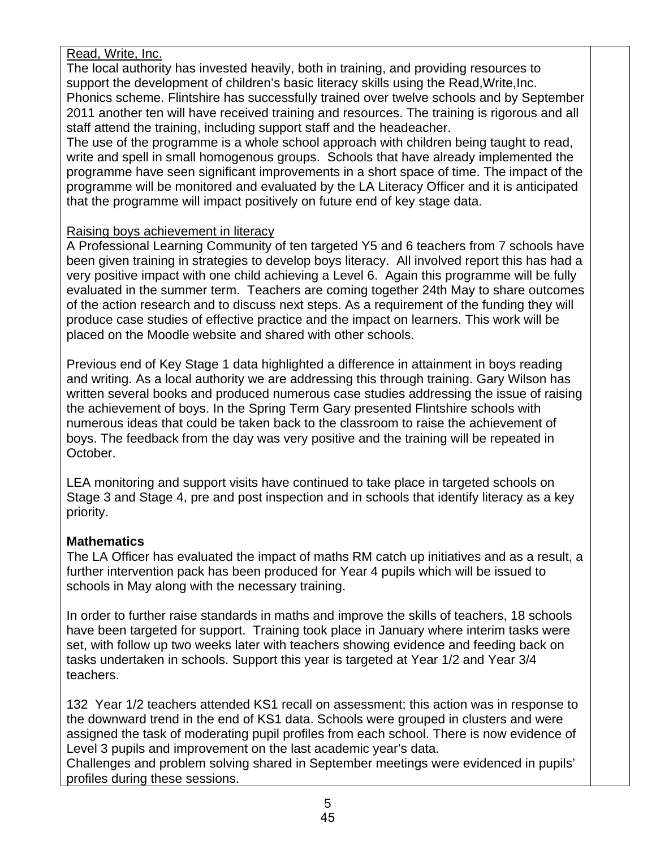### Read, Write, Inc.

The local authority has invested heavily, both in training, and providing resources to support the development of children's basic literacy skills using the Read,Write,Inc. Phonics scheme. Flintshire has successfully trained over twelve schools and by September 2011 another ten will have received training and resources. The training is rigorous and all staff attend the training, including support staff and the headeacher.

The use of the programme is a whole school approach with children being taught to read, write and spell in small homogenous groups. Schools that have already implemented the programme have seen significant improvements in a short space of time. The impact of the programme will be monitored and evaluated by the LA Literacy Officer and it is anticipated that the programme will impact positively on future end of key stage data.

### Raising boys achievement in literacy

A Professional Learning Community of ten targeted Y5 and 6 teachers from 7 schools have been given training in strategies to develop boys literacy. All involved report this has had a very positive impact with one child achieving a Level 6. Again this programme will be fully evaluated in the summer term. Teachers are coming together 24th May to share outcomes of the action research and to discuss next steps. As a requirement of the funding they will produce case studies of effective practice and the impact on learners. This work will be placed on the Moodle website and shared with other schools.

Previous end of Key Stage 1 data highlighted a difference in attainment in boys reading and writing. As a local authority we are addressing this through training. Gary Wilson has written several books and produced numerous case studies addressing the issue of raising the achievement of boys. In the Spring Term Gary presented Flintshire schools with numerous ideas that could be taken back to the classroom to raise the achievement of boys. The feedback from the day was very positive and the training will be repeated in October.

LEA monitoring and support visits have continued to take place in targeted schools on Stage 3 and Stage 4, pre and post inspection and in schools that identify literacy as a key priority.

### **Mathematics**

The LA Officer has evaluated the impact of maths RM catch up initiatives and as a result, a further intervention pack has been produced for Year 4 pupils which will be issued to schools in May along with the necessary training.

In order to further raise standards in maths and improve the skills of teachers, 18 schools have been targeted for support. Training took place in January where interim tasks were set, with follow up two weeks later with teachers showing evidence and feeding back on tasks undertaken in schools. Support this year is targeted at Year 1/2 and Year 3/4 teachers.

132 Year 1/2 teachers attended KS1 recall on assessment; this action was in response to the downward trend in the end of KS1 data. Schools were grouped in clusters and were assigned the task of moderating pupil profiles from each school. There is now evidence of Level 3 pupils and improvement on the last academic year's data.

Challenges and problem solving shared in September meetings were evidenced in pupils' profiles during these sessions.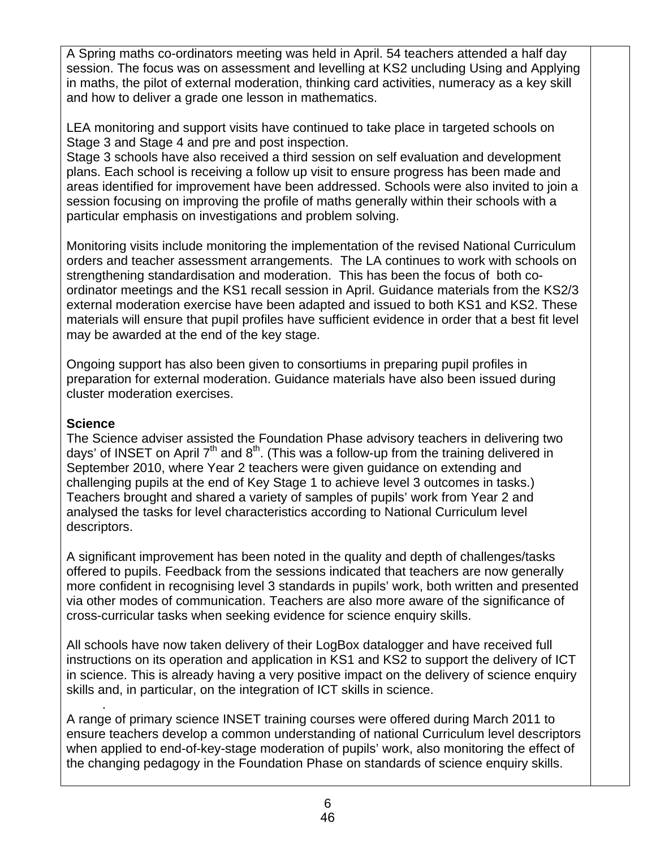A Spring maths co-ordinators meeting was held in April. 54 teachers attended a half day session. The focus was on assessment and levelling at KS2 uncluding Using and Applying in maths, the pilot of external moderation, thinking card activities, numeracy as a key skill and how to deliver a grade one lesson in mathematics.

LEA monitoring and support visits have continued to take place in targeted schools on Stage 3 and Stage 4 and pre and post inspection.

Stage 3 schools have also received a third session on self evaluation and development plans. Each school is receiving a follow up visit to ensure progress has been made and areas identified for improvement have been addressed. Schools were also invited to join a session focusing on improving the profile of maths generally within their schools with a particular emphasis on investigations and problem solving.

Monitoring visits include monitoring the implementation of the revised National Curriculum orders and teacher assessment arrangements. The LA continues to work with schools on strengthening standardisation and moderation. This has been the focus of both coordinator meetings and the KS1 recall session in April. Guidance materials from the KS2/3 external moderation exercise have been adapted and issued to both KS1 and KS2. These materials will ensure that pupil profiles have sufficient evidence in order that a best fit level may be awarded at the end of the key stage.

Ongoing support has also been given to consortiums in preparing pupil profiles in preparation for external moderation. Guidance materials have also been issued during cluster moderation exercises.

### **Science**

The Science adviser assisted the Foundation Phase advisory teachers in delivering two days' of INSET on April  $7<sup>th</sup>$  and  $8<sup>th</sup>$ . (This was a follow-up from the training delivered in September 2010, where Year 2 teachers were given guidance on extending and challenging pupils at the end of Key Stage 1 to achieve level 3 outcomes in tasks.) Teachers brought and shared a variety of samples of pupils' work from Year 2 and analysed the tasks for level characteristics according to National Curriculum level descriptors.

A significant improvement has been noted in the quality and depth of challenges/tasks offered to pupils. Feedback from the sessions indicated that teachers are now generally more confident in recognising level 3 standards in pupils' work, both written and presented via other modes of communication. Teachers are also more aware of the significance of cross-curricular tasks when seeking evidence for science enquiry skills.

All schools have now taken delivery of their LogBox datalogger and have received full instructions on its operation and application in KS1 and KS2 to support the delivery of ICT in science. This is already having a very positive impact on the delivery of science enquiry skills and, in particular, on the integration of ICT skills in science.

 . A range of primary science INSET training courses were offered during March 2011 to ensure teachers develop a common understanding of national Curriculum level descriptors when applied to end-of-key-stage moderation of pupils' work, also monitoring the effect of the changing pedagogy in the Foundation Phase on standards of science enquiry skills.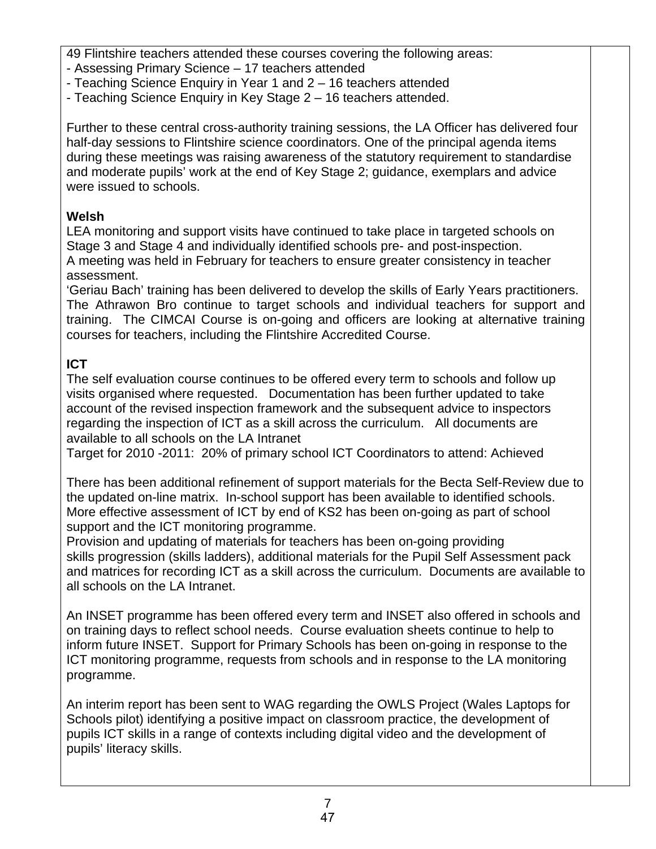49 Flintshire teachers attended these courses covering the following areas:

- Assessing Primary Science 17 teachers attended
- Teaching Science Enquiry in Year 1 and 2 16 teachers attended
- Teaching Science Enquiry in Key Stage 2 16 teachers attended.

Further to these central cross-authority training sessions, the LA Officer has delivered four half-day sessions to Flintshire science coordinators. One of the principal agenda items during these meetings was raising awareness of the statutory requirement to standardise and moderate pupils' work at the end of Key Stage 2; guidance, exemplars and advice were issued to schools.

# **Welsh**

LEA monitoring and support visits have continued to take place in targeted schools on Stage 3 and Stage 4 and individually identified schools pre- and post-inspection. A meeting was held in February for teachers to ensure greater consistency in teacher assessment.

'Geriau Bach' training has been delivered to develop the skills of Early Years practitioners. The Athrawon Bro continue to target schools and individual teachers for support and training. The CIMCAI Course is on-going and officers are looking at alternative training courses for teachers, including the Flintshire Accredited Course.

# **ICT**

The self evaluation course continues to be offered every term to schools and follow up visits organised where requested. Documentation has been further updated to take account of the revised inspection framework and the subsequent advice to inspectors regarding the inspection of ICT as a skill across the curriculum. All documents are available to all schools on the LA Intranet

Target for 2010 -2011: 20% of primary school ICT Coordinators to attend: Achieved

There has been additional refinement of support materials for the Becta Self-Review due to the updated on-line matrix. In-school support has been available to identified schools. More effective assessment of ICT by end of KS2 has been on-going as part of school support and the ICT monitoring programme.

Provision and updating of materials for teachers has been on-going providing skills progression (skills ladders), additional materials for the Pupil Self Assessment pack and matrices for recording ICT as a skill across the curriculum. Documents are available to all schools on the LA Intranet.

An INSET programme has been offered every term and INSET also offered in schools and on training days to reflect school needs. Course evaluation sheets continue to help to inform future INSET. Support for Primary Schools has been on-going in response to the ICT monitoring programme, requests from schools and in response to the LA monitoring programme.

An interim report has been sent to WAG regarding the OWLS Project (Wales Laptops for Schools pilot) identifying a positive impact on classroom practice, the development of pupils ICT skills in a range of contexts including digital video and the development of pupils' literacy skills.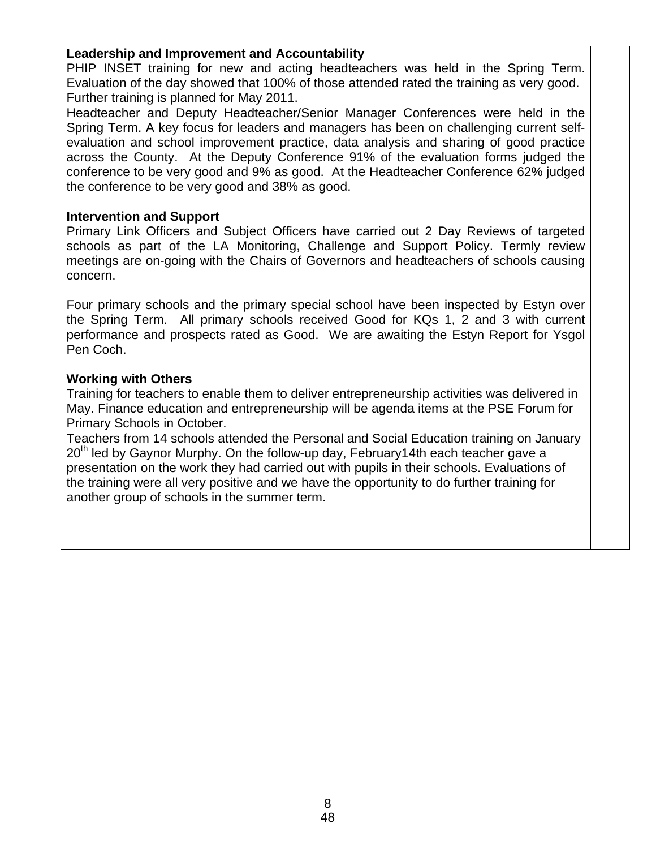### **Leadership and Improvement and Accountability**

PHIP INSET training for new and acting headteachers was held in the Spring Term. Evaluation of the day showed that 100% of those attended rated the training as very good. Further training is planned for May 2011.

Headteacher and Deputy Headteacher/Senior Manager Conferences were held in the Spring Term. A key focus for leaders and managers has been on challenging current selfevaluation and school improvement practice, data analysis and sharing of good practice across the County. At the Deputy Conference 91% of the evaluation forms judged the conference to be very good and 9% as good. At the Headteacher Conference 62% judged the conference to be very good and 38% as good.

### **Intervention and Support**

Primary Link Officers and Subject Officers have carried out 2 Day Reviews of targeted schools as part of the LA Monitoring, Challenge and Support Policy. Termly review meetings are on-going with the Chairs of Governors and headteachers of schools causing concern.

Four primary schools and the primary special school have been inspected by Estyn over the Spring Term. All primary schools received Good for KQs 1, 2 and 3 with current performance and prospects rated as Good. We are awaiting the Estyn Report for Ysgol Pen Coch.

### **Working with Others**

Training for teachers to enable them to deliver entrepreneurship activities was delivered in May. Finance education and entrepreneurship will be agenda items at the PSE Forum for Primary Schools in October.

Teachers from 14 schools attended the Personal and Social Education training on January  $20<sup>th</sup>$  led by Gaynor Murphy. On the follow-up day, February 14th each teacher gave a presentation on the work they had carried out with pupils in their schools. Evaluations of the training were all very positive and we have the opportunity to do further training for another group of schools in the summer term.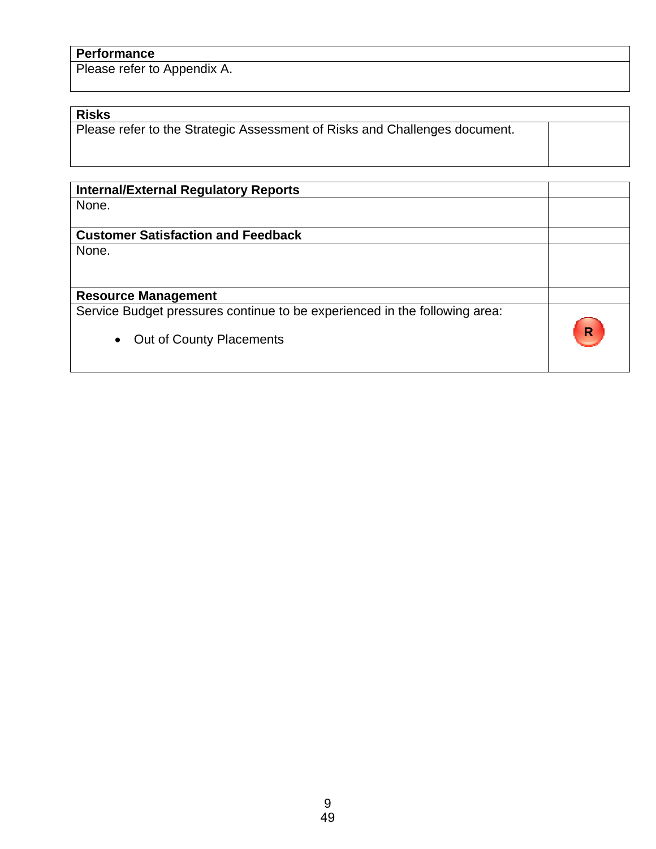# **Performance**

Please refer to Appendix A.

### **Risks**

**Please refer to the Strategic Assessment of Risks and Challenges document.** 

| <b>Internal/External Regulatory Reports</b>                                |   |
|----------------------------------------------------------------------------|---|
| None.                                                                      |   |
|                                                                            |   |
|                                                                            |   |
| <b>Customer Satisfaction and Feedback</b>                                  |   |
| None.                                                                      |   |
|                                                                            |   |
|                                                                            |   |
|                                                                            |   |
| <b>Resource Management</b>                                                 |   |
| Service Budget pressures continue to be experienced in the following area: |   |
|                                                                            |   |
|                                                                            | R |
| Out of County Placements<br>$\bullet$                                      |   |
|                                                                            |   |
|                                                                            |   |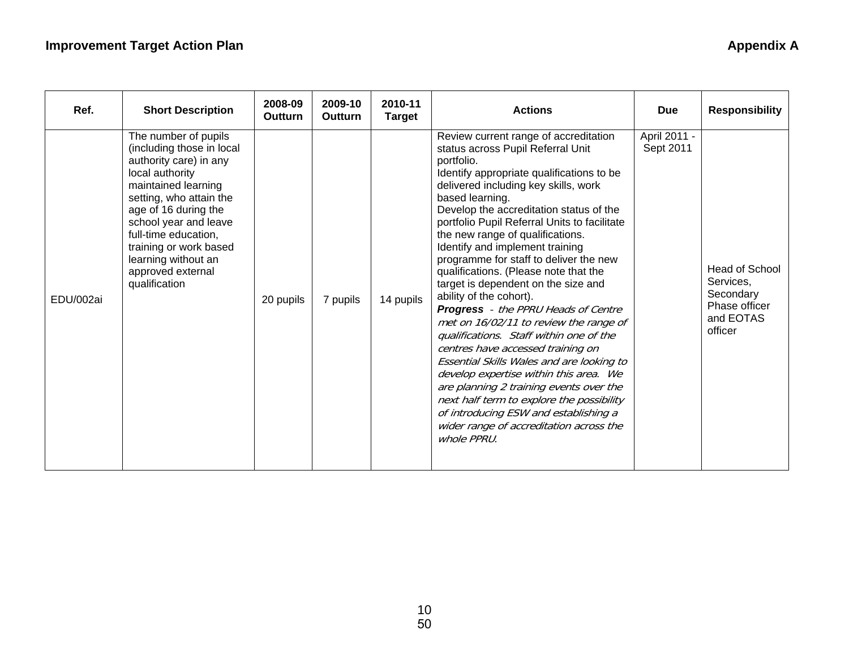# **Improvement Target Action Plan Appendix A Appendix A Appendix A**

| Ref.      | <b>Short Description</b>                                                                                                                                                                                                                                                                                         | 2008-09<br>Outturn | 2009-10<br>Outturn | 2010-11<br><b>Target</b> | <b>Actions</b>                                                                                                                                                                                                                                                                                                                                                                                                                                                                                                                                                                                                                                                                                                                                                                                                                                                                                                                                                                    | <b>Due</b>                | <b>Responsibility</b>                                                                    |
|-----------|------------------------------------------------------------------------------------------------------------------------------------------------------------------------------------------------------------------------------------------------------------------------------------------------------------------|--------------------|--------------------|--------------------------|-----------------------------------------------------------------------------------------------------------------------------------------------------------------------------------------------------------------------------------------------------------------------------------------------------------------------------------------------------------------------------------------------------------------------------------------------------------------------------------------------------------------------------------------------------------------------------------------------------------------------------------------------------------------------------------------------------------------------------------------------------------------------------------------------------------------------------------------------------------------------------------------------------------------------------------------------------------------------------------|---------------------------|------------------------------------------------------------------------------------------|
| EDU/002ai | The number of pupils<br>(including those in local<br>authority care) in any<br>local authority<br>maintained learning<br>setting, who attain the<br>age of 16 during the<br>school year and leave<br>full-time education,<br>training or work based<br>learning without an<br>approved external<br>qualification | 20 pupils          | 7 pupils           | 14 pupils                | Review current range of accreditation<br>status across Pupil Referral Unit<br>portfolio.<br>Identify appropriate qualifications to be<br>delivered including key skills, work<br>based learning.<br>Develop the accreditation status of the<br>portfolio Pupil Referral Units to facilitate<br>the new range of qualifications.<br>Identify and implement training<br>programme for staff to deliver the new<br>qualifications. (Please note that the<br>target is dependent on the size and<br>ability of the cohort).<br><b>Progress</b> - the PPRU Heads of Centre<br>met on 16/02/11 to review the range of<br>qualifications. Staff within one of the<br>centres have accessed training on<br>Essential Skills Wales and are looking to<br>develop expertise within this area. We<br>are planning 2 training events over the<br>next half term to explore the possibility<br>of introducing ESW and establishing a<br>wider range of accreditation across the<br>whole PPRU. | April 2011 -<br>Sept 2011 | <b>Head of School</b><br>Services,<br>Secondary<br>Phase officer<br>and EOTAS<br>officer |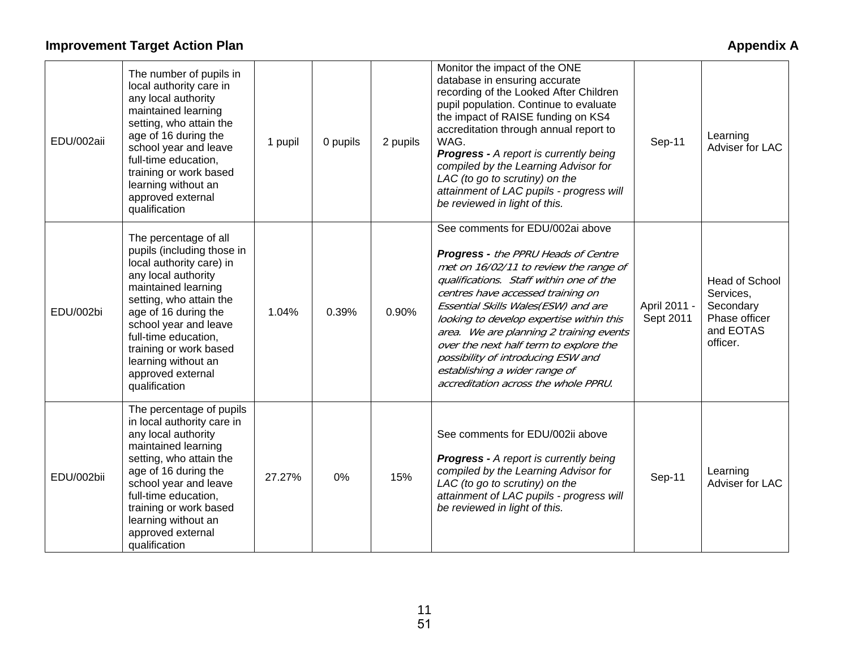# **Improvement Target Action Plan Appendix A Appendix A Appendix A**

| EDU/002aii | The number of pupils in<br>local authority care in<br>any local authority<br>maintained learning<br>setting, who attain the<br>age of 16 during the<br>school year and leave<br>full-time education,<br>training or work based<br>learning without an<br>approved external<br>qualification                              | 1 pupil | 0 pupils | 2 pupils | Monitor the impact of the ONE<br>database in ensuring accurate<br>recording of the Looked After Children<br>pupil population. Continue to evaluate<br>the impact of RAISE funding on KS4<br>accreditation through annual report to<br>WAG.<br><b>Progress - A report is currently being</b><br>compiled by the Learning Advisor for<br>LAC (to go to scrutiny) on the<br>attainment of LAC pupils - progress will<br>be reviewed in light of this.                                              | Sep-11                    | Learning<br>Adviser for LAC                                                               |
|------------|--------------------------------------------------------------------------------------------------------------------------------------------------------------------------------------------------------------------------------------------------------------------------------------------------------------------------|---------|----------|----------|-------------------------------------------------------------------------------------------------------------------------------------------------------------------------------------------------------------------------------------------------------------------------------------------------------------------------------------------------------------------------------------------------------------------------------------------------------------------------------------------------|---------------------------|-------------------------------------------------------------------------------------------|
| EDU/002bi  | The percentage of all<br>pupils (including those in<br>local authority care) in<br>any local authority<br>maintained learning<br>setting, who attain the<br>age of 16 during the<br>school year and leave<br>full-time education,<br>training or work based<br>learning without an<br>approved external<br>qualification | 1.04%   | 0.39%    | 0.90%    | See comments for EDU/002ai above<br><b>Progress - the PPRU Heads of Centre</b><br>met on 16/02/11 to review the range of<br>qualifications. Staff within one of the<br>centres have accessed training on<br>Essential Skills Wales(ESW) and are<br>looking to develop expertise within this<br>area. We are planning 2 training events<br>over the next half term to explore the<br>possibility of introducing ESW and<br>establishing a wider range of<br>accreditation across the whole PPRU. | April 2011 -<br>Sept 2011 | <b>Head of School</b><br>Services,<br>Secondary<br>Phase officer<br>and EOTAS<br>officer. |
| EDU/002bii | The percentage of pupils<br>in local authority care in<br>any local authority<br>maintained learning<br>setting, who attain the<br>age of 16 during the<br>school year and leave<br>full-time education,<br>training or work based<br>learning without an<br>approved external<br>qualification                          | 27.27%  | 0%       | 15%      | See comments for EDU/002ii above<br><b>Progress - A report is currently being</b><br>compiled by the Learning Advisor for<br>LAC (to go to scrutiny) on the<br>attainment of LAC pupils - progress will<br>be reviewed in light of this.                                                                                                                                                                                                                                                        | Sep-11                    | Learning<br>Adviser for LAC                                                               |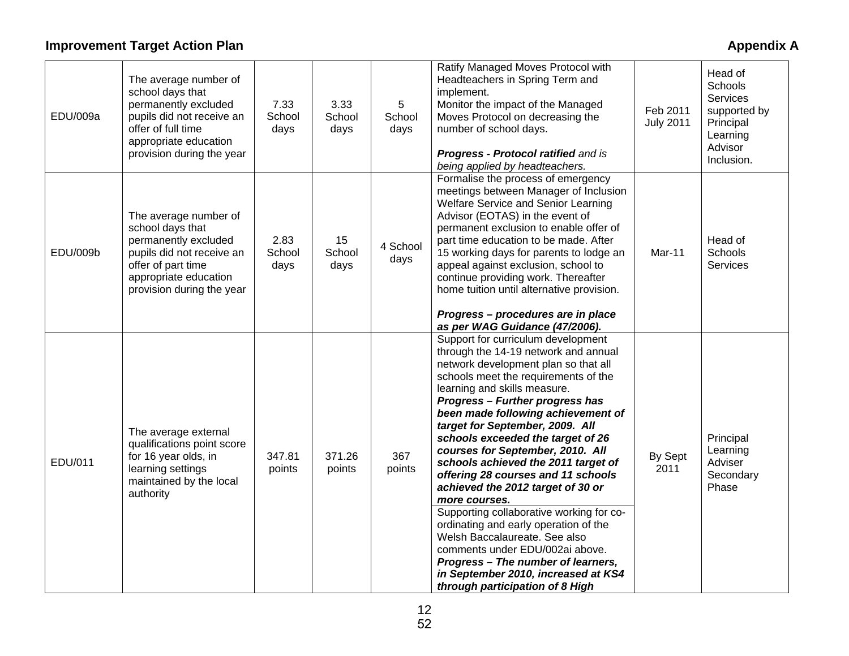# **Improvement Target Action Plan Appendix A Appendix A Appendix A**

| EDU/009a | The average number of<br>school days that<br>permanently excluded<br>pupils did not receive an<br>offer of full time<br>appropriate education<br>provision during the year | 7.33<br>School<br>days | 3.33<br>School<br>days | $5\phantom{.0}$<br>School<br>days | Ratify Managed Moves Protocol with<br>Headteachers in Spring Term and<br>implement.<br>Monitor the impact of the Managed<br>Moves Protocol on decreasing the<br>number of school days.<br>Progress - Protocol ratified and is<br>being applied by headteachers.                                                                                                                                                                                                                                                                                                                                                                                                                                                                                                                             | Feb 2011<br><b>July 2011</b> | Head of<br><b>Schools</b><br><b>Services</b><br>supported by<br>Principal<br>Learning<br>Advisor<br>Inclusion. |
|----------|----------------------------------------------------------------------------------------------------------------------------------------------------------------------------|------------------------|------------------------|-----------------------------------|---------------------------------------------------------------------------------------------------------------------------------------------------------------------------------------------------------------------------------------------------------------------------------------------------------------------------------------------------------------------------------------------------------------------------------------------------------------------------------------------------------------------------------------------------------------------------------------------------------------------------------------------------------------------------------------------------------------------------------------------------------------------------------------------|------------------------------|----------------------------------------------------------------------------------------------------------------|
| EDU/009b | The average number of<br>school days that<br>permanently excluded<br>pupils did not receive an<br>offer of part time<br>appropriate education<br>provision during the year | 2.83<br>School<br>days | 15<br>School<br>days   | 4 School<br>days                  | Formalise the process of emergency<br>meetings between Manager of Inclusion<br>Welfare Service and Senior Learning<br>Advisor (EOTAS) in the event of<br>permanent exclusion to enable offer of<br>part time education to be made. After<br>15 working days for parents to lodge an<br>appeal against exclusion, school to<br>continue providing work. Thereafter<br>home tuition until alternative provision.<br>Progress - procedures are in place<br>as per WAG Guidance (47/2006).                                                                                                                                                                                                                                                                                                      | Mar-11                       | Head of<br>Schools<br><b>Services</b>                                                                          |
| EDU/011  | The average external<br>qualifications point score<br>for 16 year olds, in<br>learning settings<br>maintained by the local<br>authority                                    | 347.81<br>points       | 371.26<br>points       | 367<br>points                     | Support for curriculum development<br>through the 14-19 network and annual<br>network development plan so that all<br>schools meet the requirements of the<br>learning and skills measure.<br>Progress - Further progress has<br>been made following achievement of<br>target for September, 2009. All<br>schools exceeded the target of 26<br>courses for September, 2010. All<br>schools achieved the 2011 target of<br>offering 28 courses and 11 schools<br>achieved the 2012 target of 30 or<br>more courses.<br>Supporting collaborative working for co-<br>ordinating and early operation of the<br>Welsh Baccalaureate. See also<br>comments under EDU/002ai above.<br>Progress - The number of learners,<br>in September 2010, increased at KS4<br>through participation of 8 High | By Sept<br>2011              | Principal<br>Learning<br>Adviser<br>Secondary<br>Phase                                                         |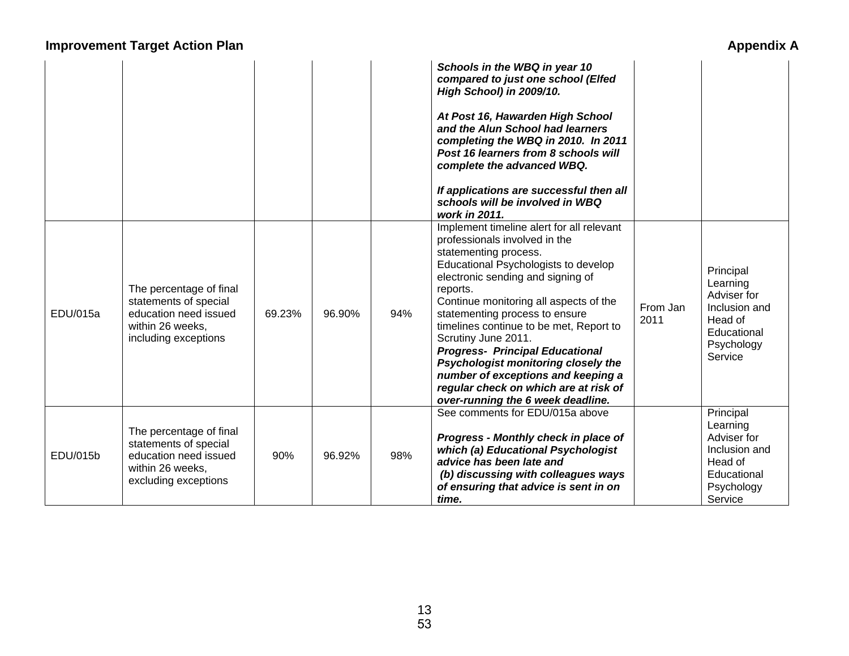# **Improvement Target Action Plan Appendix A Appendix A**

|          |                                                                                                                       |        |        |     | Schools in the WBQ in year 10<br>compared to just one school (Elfed<br>High School) in 2009/10.<br>At Post 16, Hawarden High School<br>and the Alun School had learners<br>completing the WBQ in 2010. In 2011<br>Post 16 learners from 8 schools will<br>complete the advanced WBQ.<br>If applications are successful then all<br>schools will be involved in WBQ<br>work in 2011.                                                                                                                                                             |                  |                                                                                                          |
|----------|-----------------------------------------------------------------------------------------------------------------------|--------|--------|-----|-------------------------------------------------------------------------------------------------------------------------------------------------------------------------------------------------------------------------------------------------------------------------------------------------------------------------------------------------------------------------------------------------------------------------------------------------------------------------------------------------------------------------------------------------|------------------|----------------------------------------------------------------------------------------------------------|
| EDU/015a | The percentage of final<br>statements of special<br>education need issued<br>within 26 weeks,<br>including exceptions | 69.23% | 96.90% | 94% | Implement timeline alert for all relevant<br>professionals involved in the<br>statementing process.<br>Educational Psychologists to develop<br>electronic sending and signing of<br>reports.<br>Continue monitoring all aspects of the<br>statementing process to ensure<br>timelines continue to be met, Report to<br>Scrutiny June 2011.<br><b>Progress- Principal Educational</b><br>Psychologist monitoring closely the<br>number of exceptions and keeping a<br>regular check on which are at risk of<br>over-running the 6 week deadline. | From Jan<br>2011 | Principal<br>Learning<br>Adviser for<br>Inclusion and<br>Head of<br>Educational<br>Psychology<br>Service |
| EDU/015b | The percentage of final<br>statements of special<br>education need issued<br>within 26 weeks,<br>excluding exceptions | 90%    | 96.92% | 98% | See comments for EDU/015a above<br>Progress - Monthly check in place of<br>which (a) Educational Psychologist<br>advice has been late and<br>(b) discussing with colleagues ways<br>of ensuring that advice is sent in on<br>time.                                                                                                                                                                                                                                                                                                              |                  | Principal<br>Learning<br>Adviser for<br>Inclusion and<br>Head of<br>Educational<br>Psychology<br>Service |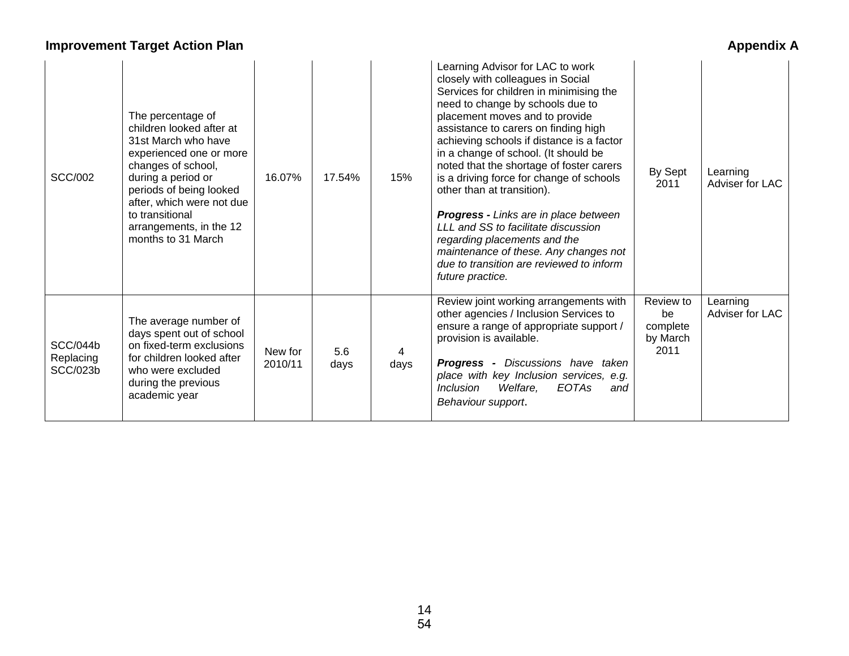# **Improvement Target Action Plan**

| <b>Appendix A</b> |  |
|-------------------|--|
|-------------------|--|

| <b>SCC/002</b>                                  | The percentage of<br>children looked after at<br>31st March who have<br>experienced one or more<br>changes of school,<br>during a period or<br>periods of being looked<br>after, which were not due<br>to transitional<br>arrangements, in the 12<br>months to 31 March | 16.07%             | 17.54%      | 15%  | Learning Advisor for LAC to work<br>closely with colleagues in Social<br>Services for children in minimising the<br>need to change by schools due to<br>placement moves and to provide<br>assistance to carers on finding high<br>achieving schools if distance is a factor<br>in a change of school. (It should be<br>noted that the shortage of foster carers<br>is a driving force for change of schools<br>other than at transition).<br><b>Progress - Links are in place between</b><br>LLL and SS to facilitate discussion<br>regarding placements and the<br>maintenance of these. Any changes not<br>due to transition are reviewed to inform<br>future practice. | By Sept<br>2011                                 | Learning<br>Adviser for LAC |
|-------------------------------------------------|-------------------------------------------------------------------------------------------------------------------------------------------------------------------------------------------------------------------------------------------------------------------------|--------------------|-------------|------|---------------------------------------------------------------------------------------------------------------------------------------------------------------------------------------------------------------------------------------------------------------------------------------------------------------------------------------------------------------------------------------------------------------------------------------------------------------------------------------------------------------------------------------------------------------------------------------------------------------------------------------------------------------------------|-------------------------------------------------|-----------------------------|
| <b>SCC/044b</b><br>Replacing<br><b>SCC/023b</b> | The average number of<br>days spent out of school<br>on fixed-term exclusions<br>for children looked after<br>who were excluded<br>during the previous<br>academic year                                                                                                 | New for<br>2010/11 | 5.6<br>days | days | Review joint working arrangements with<br>other agencies / Inclusion Services to<br>ensure a range of appropriate support /<br>provision is available.<br><b>Progress -</b> Discussions have taken<br>place with key Inclusion services, e.g.<br>Welfare,<br><b>EOTAs</b><br><i>Inclusion</i><br>and<br>Behaviour support.                                                                                                                                                                                                                                                                                                                                                | Review to<br>be<br>complete<br>by March<br>2011 | Learning<br>Adviser for LAC |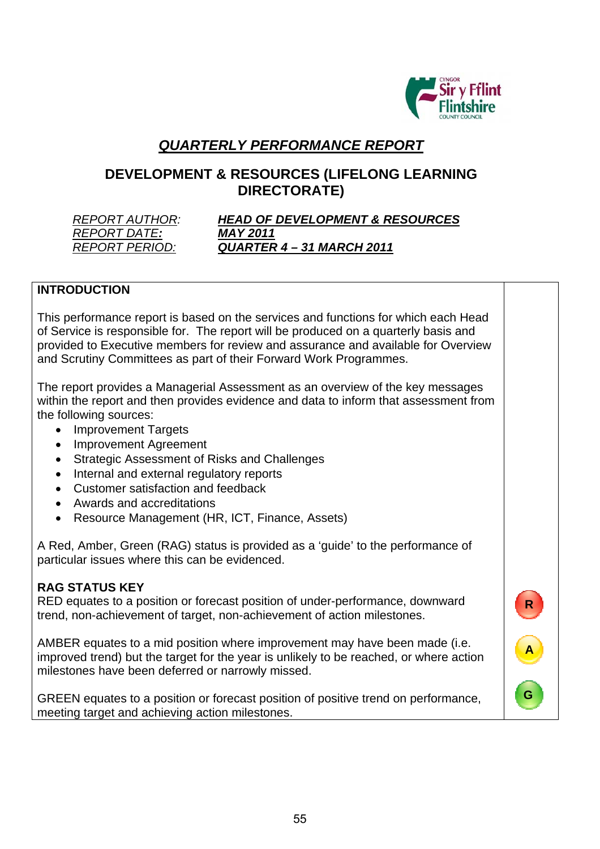

**R**

**A**

**G**

# *QUARTERLY PERFORMANCE REPORT*

# **DEVELOPMENT & RESOURCES (LIFELONG LEARNING DIRECTORATE)**

*REPORT DATE: MAY 2011*

# *REPORT AUTHOR: HEAD OF DEVELOPMENT & RESOURCES REPORT PERIOD: QUARTER 4 – 31 MARCH 2011*

### **INTRODUCTION**

This performance report is based on the services and functions for which each Head of Service is responsible for. The report will be produced on a quarterly basis and provided to Executive members for review and assurance and available for Overview and Scrutiny Committees as part of their Forward Work Programmes.

The report provides a Managerial Assessment as an overview of the key messages within the report and then provides evidence and data to inform that assessment from the following sources:

- Improvement Targets
- Improvement Agreement
- Strategic Assessment of Risks and Challenges
- Internal and external regulatory reports
- Customer satisfaction and feedback
- Awards and accreditations
- Resource Management (HR, ICT, Finance, Assets)

A Red, Amber, Green (RAG) status is provided as a 'guide' to the performance of particular issues where this can be evidenced.

### **RAG STATUS KEY**

RED equates to a position or forecast position of under-performance, downward trend, non-achievement of target, non-achievement of action milestones.

AMBER equates to a mid position where improvement may have been made (i.e. improved trend) but the target for the year is unlikely to be reached, or where action milestones have been deferred or narrowly missed.

GREEN equates to a position or forecast position of positive trend on performance, meeting target and achieving action milestones.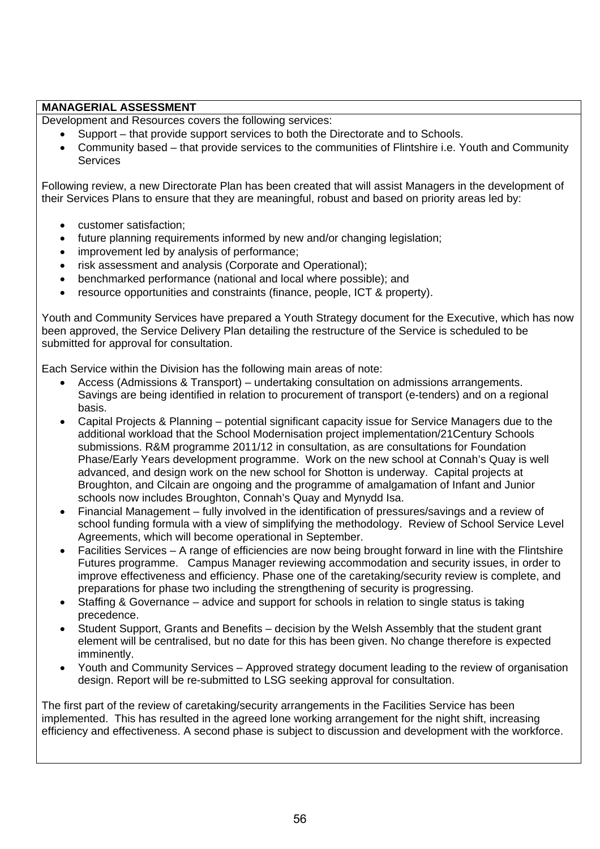### **MANAGERIAL ASSESSMENT**

Development and Resources covers the following services:

- Support that provide support services to both the Directorate and to Schools.
- Community based that provide services to the communities of Flintshire i.e. Youth and Community **Services**

Following review, a new Directorate Plan has been created that will assist Managers in the development of their Services Plans to ensure that they are meaningful, robust and based on priority areas led by:

- customer satisfaction;
- future planning requirements informed by new and/or changing legislation;
- improvement led by analysis of performance:
- risk assessment and analysis (Corporate and Operational);
- benchmarked performance (national and local where possible); and
- resource opportunities and constraints (finance, people, ICT & property).

Youth and Community Services have prepared a Youth Strategy document for the Executive, which has now been approved, the Service Delivery Plan detailing the restructure of the Service is scheduled to be submitted for approval for consultation.

Each Service within the Division has the following main areas of note:

- Access (Admissions & Transport) undertaking consultation on admissions arrangements. Savings are being identified in relation to procurement of transport (e-tenders) and on a regional basis.
- Capital Projects & Planning potential significant capacity issue for Service Managers due to the additional workload that the School Modernisation project implementation/21Century Schools submissions. R&M programme 2011/12 in consultation, as are consultations for Foundation Phase/Early Years development programme. Work on the new school at Connah's Quay is well advanced, and design work on the new school for Shotton is underway. Capital projects at Broughton, and Cilcain are ongoing and the programme of amalgamation of Infant and Junior schools now includes Broughton, Connah's Quay and Mynydd Isa.
- Financial Management fully involved in the identification of pressures/savings and a review of school funding formula with a view of simplifying the methodology. Review of School Service Level Agreements, which will become operational in September.
- Facilities Services A range of efficiencies are now being brought forward in line with the Flintshire Futures programme. Campus Manager reviewing accommodation and security issues, in order to improve effectiveness and efficiency. Phase one of the caretaking/security review is complete, and preparations for phase two including the strengthening of security is progressing.
- Staffing & Governance advice and support for schools in relation to single status is taking precedence.
- Student Support, Grants and Benefits decision by the Welsh Assembly that the student grant element will be centralised, but no date for this has been given. No change therefore is expected imminently.
- Youth and Community Services Approved strategy document leading to the review of organisation design. Report will be re-submitted to LSG seeking approval for consultation.

The first part of the review of caretaking/security arrangements in the Facilities Service has been implemented. This has resulted in the agreed lone working arrangement for the night shift, increasing efficiency and effectiveness. A second phase is subject to discussion and development with the workforce.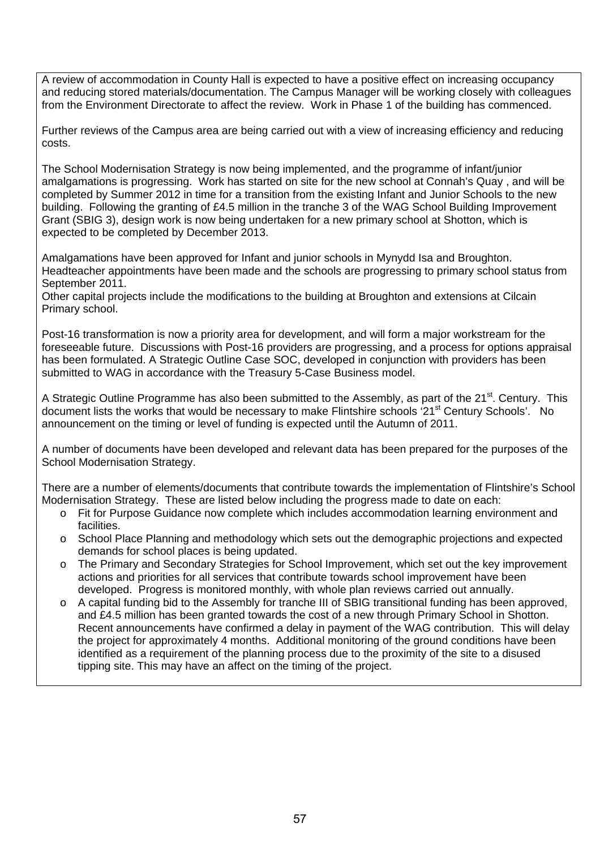A review of accommodation in County Hall is expected to have a positive effect on increasing occupancy and reducing stored materials/documentation. The Campus Manager will be working closely with colleagues from the Environment Directorate to affect the review. Work in Phase 1 of the building has commenced.

Further reviews of the Campus area are being carried out with a view of increasing efficiency and reducing costs.

The School Modernisation Strategy is now being implemented, and the programme of infant/junior amalgamations is progressing. Work has started on site for the new school at Connah's Quay , and will be completed by Summer 2012 in time for a transition from the existing Infant and Junior Schools to the new building. Following the granting of £4.5 million in the tranche 3 of the WAG School Building Improvement Grant (SBIG 3), design work is now being undertaken for a new primary school at Shotton, which is expected to be completed by December 2013.

Amalgamations have been approved for Infant and junior schools in Mynydd Isa and Broughton. Headteacher appointments have been made and the schools are progressing to primary school status from September 2011.

Other capital projects include the modifications to the building at Broughton and extensions at Cilcain Primary school.

Post-16 transformation is now a priority area for development, and will form a major workstream for the foreseeable future. Discussions with Post-16 providers are progressing, and a process for options appraisal has been formulated. A Strategic Outline Case SOC, developed in conjunction with providers has been submitted to WAG in accordance with the Treasury 5-Case Business model.

A Strategic Outline Programme has also been submitted to the Assembly, as part of the 21<sup>st</sup>. Century. This document lists the works that would be necessary to make Flintshire schools '21<sup>st</sup> Century Schools'. No announcement on the timing or level of funding is expected until the Autumn of 2011.

A number of documents have been developed and relevant data has been prepared for the purposes of the School Modernisation Strategy.

There are a number of elements/documents that contribute towards the implementation of Flintshire's School Modernisation Strategy. These are listed below including the progress made to date on each:

- o Fit for Purpose Guidance now complete which includes accommodation learning environment and facilities.
- o School Place Planning and methodology which sets out the demographic projections and expected demands for school places is being updated.
- o The Primary and Secondary Strategies for School Improvement, which set out the key improvement actions and priorities for all services that contribute towards school improvement have been developed. Progress is monitored monthly, with whole plan reviews carried out annually.
- o A capital funding bid to the Assembly for tranche III of SBIG transitional funding has been approved, and £4.5 million has been granted towards the cost of a new through Primary School in Shotton. Recent announcements have confirmed a delay in payment of the WAG contribution. This will delay the project for approximately 4 months. Additional monitoring of the ground conditions have been identified as a requirement of the planning process due to the proximity of the site to a disused tipping site. This may have an affect on the timing of the project.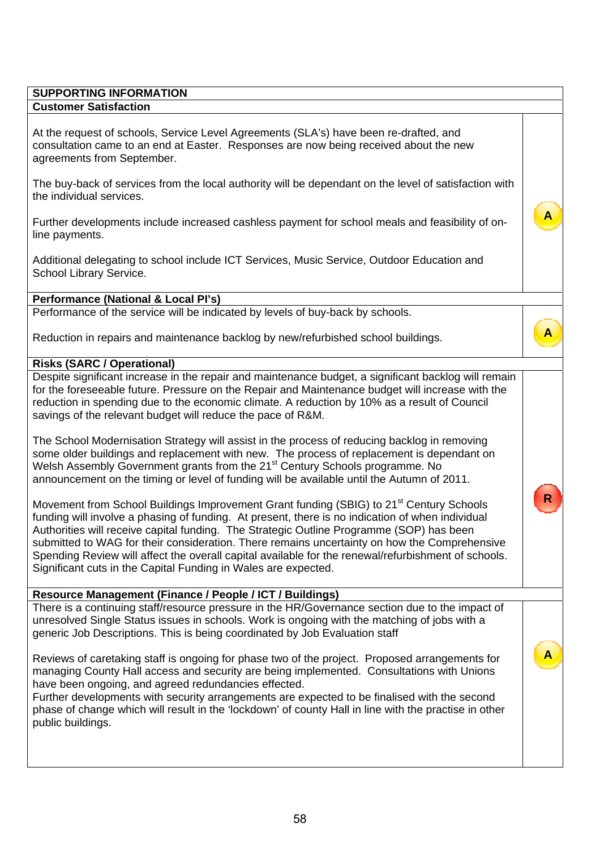### **SUPPORTING INFORMATION Customer Satisfaction**

At the request of schools, Service Level Agreements (SLA's) have been re-drafted, and consultation came to an end at Easter. Responses are now being received about the new agreements from September.

The buy-back of services from the local authority will be dependant on the level of satisfaction with the individual services.

**A**

**A**

**R**

**A**

Further developments include increased cashless payment for school meals and feasibility of online payments.

Additional delegating to school include ICT Services, Music Service, Outdoor Education and School Library Service.

### **Performance (National & Local PI's)**

Performance of the service will be indicated by levels of buy-back by schools.

Reduction in repairs and maintenance backlog by new/refurbished school buildings.

### **Risks (SARC / Operational)**

Despite significant increase in the repair and maintenance budget, a significant backlog will remain for the foreseeable future. Pressure on the Repair and Maintenance budget will increase with the reduction in spending due to the economic climate. A reduction by 10% as a result of Council savings of the relevant budget will reduce the pace of R&M.

The School Modernisation Strategy will assist in the process of reducing backlog in removing some older buildings and replacement with new. The process of replacement is dependant on Welsh Assembly Government grants from the 21<sup>st</sup> Century Schools programme. No announcement on the timing or level of funding will be available until the Autumn of 2011.

Movement from School Buildings Improvement Grant funding (SBIG) to 21<sup>st</sup> Century Schools funding will involve a phasing of funding. At present, there is no indication of when individual Authorities will receive capital funding. The Strategic Outline Programme (SOP) has been submitted to WAG for their consideration. There remains uncertainty on how the Comprehensive Spending Review will affect the overall capital available for the renewal/refurbishment of schools. Significant cuts in the Capital Funding in Wales are expected.

### **Resource Management (Finance / People / ICT / Buildings)**

There is a continuing staff/resource pressure in the HR/Governance section due to the impact of unresolved Single Status issues in schools. Work is ongoing with the matching of jobs with a generic Job Descriptions. This is being coordinated by Job Evaluation staff

Reviews of caretaking staff is ongoing for phase two of the project. Proposed arrangements for managing County Hall access and security are being implemented. Consultations with Unions have been ongoing, and agreed redundancies effected.

Further developments with security arrangements are expected to be finalised with the second phase of change which will result in the 'lockdown' of county Hall in line with the practise in other public buildings.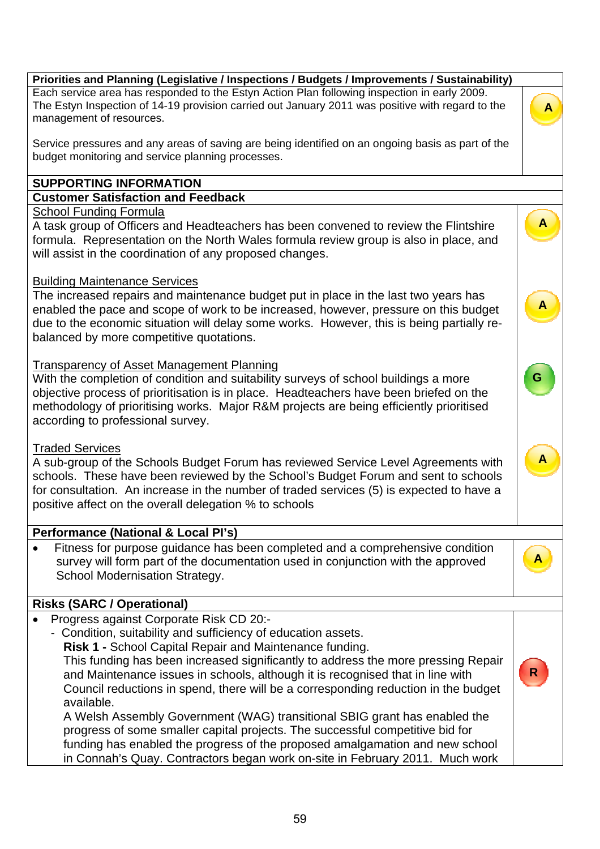# The Estyn Inspection of 14-19 provision carried out January 2011 was positive with regard to the management of resources. Service pressures and any areas of saving are being identified on an ongoing basis as part of the budget monitoring and service planning processes.

**Priorities and Planning (Legislative / Inspections / Budgets / Improvements / Sustainability)**  Each service area has responded to the Estyn Action Plan following inspection in early 2009.

# **SUPPORTING INFORMATION**

# **Customer Satisfaction and Feedback**

# School Funding Formula

A task group of Officers and Headteachers has been convened to review the Flintshire formula. Representation on the North Wales formula review group is also in place, and will assist in the coordination of any proposed changes.

# Building Maintenance Services

The increased repairs and maintenance budget put in place in the last two years has enabled the pace and scope of work to be increased, however, pressure on this budget due to the economic situation will delay some works. However, this is being partially rebalanced by more competitive quotations.

# Transparency of Asset Management Planning

With the completion of condition and suitability surveys of school buildings a more objective process of prioritisation is in place. Headteachers have been briefed on the methodology of prioritising works. Major R&M projects are being efficiently prioritised according to professional survey.

## Traded Services

A sub-group of the Schools Budget Forum has reviewed Service Level Agreements with schools. These have been reviewed by the School's Budget Forum and sent to schools for consultation. An increase in the number of traded services (5) is expected to have a positive affect on the overall delegation % to schools

## **Performance (National & Local PI's)**

 Fitness for purpose guidance has been completed and a comprehensive condition survey will form part of the documentation used in conjunction with the approved School Modernisation Strategy.

# **Risks (SARC / Operational)**

- Progress against Corporate Risk CD 20:-
- Condition, suitability and sufficiency of education assets.
	- **Risk 1** School Capital Repair and Maintenance funding.

This funding has been increased significantly to address the more pressing Repair and Maintenance issues in schools, although it is recognised that in line with Council reductions in spend, there will be a corresponding reduction in the budget available.

A Welsh Assembly Government (WAG) transitional SBIG grant has enabled the progress of some smaller capital projects. The successful competitive bid for funding has enabled the progress of the proposed amalgamation and new school in Connah's Quay. Contractors began work on-site in February 2011. Much work



 **A** 

 **A** 

**G**

 **A** 

**A**

**R**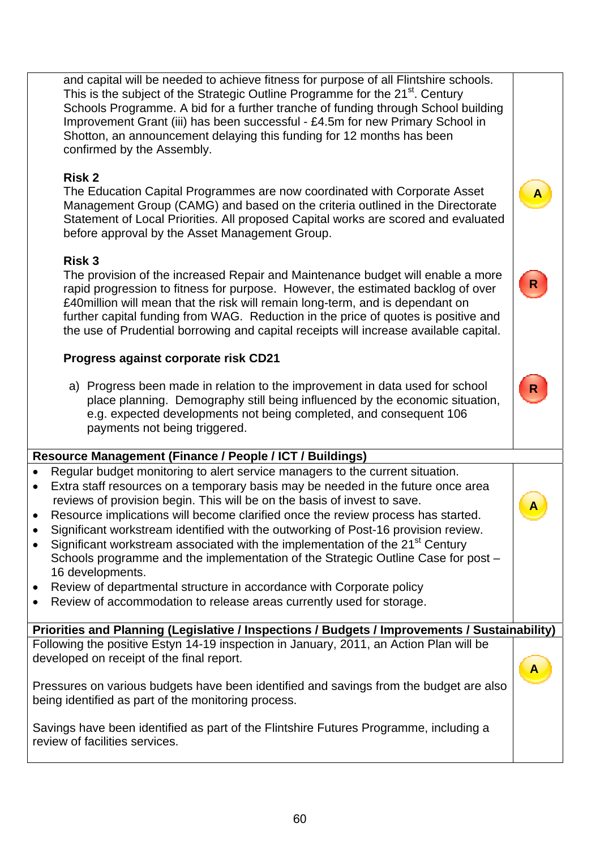and capital will be needed to achieve fitness for purpose of all Flintshire schools. This is the subject of the Strategic Outline Programme for the 21<sup>st</sup>. Century Schools Programme. A bid for a further tranche of funding through School building Improvement Grant (iii) has been successful - £4.5m for new Primary School in Shotton, an announcement delaying this funding for 12 months has been confirmed by the Assembly.

### **Risk 2**

The Education Capital Programmes are now coordinated with Corporate Asset Management Group (CAMG) and based on the criteria outlined in the Directorate Statement of Local Priorities. All proposed Capital works are scored and evaluated before approval by the Asset Management Group.

 **A**

**R**

**R**

**A**

### **Risk 3**

The provision of the increased Repair and Maintenance budget will enable a more rapid progression to fitness for purpose. However, the estimated backlog of over £40million will mean that the risk will remain long-term, and is dependant on further capital funding from WAG. Reduction in the price of quotes is positive and the use of Prudential borrowing and capital receipts will increase available capital.

## **Progress against corporate risk CD21**

a) Progress been made in relation to the improvement in data used for school place planning. Demography still being influenced by the economic situation, e.g. expected developments not being completed, and consequent 106 payments not being triggered.

## **Resource Management (Finance / People / ICT / Buildings)**

- Regular budget monitoring to alert service managers to the current situation.
- Extra staff resources on a temporary basis may be needed in the future once area reviews of provision begin. This will be on the basis of invest to save.
- Resource implications will become clarified once the review process has started.
- Significant workstream identified with the outworking of Post-16 provision review.
- Significant workstream associated with the implementation of the  $21<sup>st</sup>$  Century Schools programme and the implementation of the Strategic Outline Case for post – 16 developments.
- Review of departmental structure in accordance with Corporate policy
- Review of accommodation to release areas currently used for storage.

**Priorities and Planning (Legislative / Inspections / Budgets / Improvements / Sustainability)** Following the positive Estyn 14-19 inspection in January, 2011, an Action Plan will be developed on receipt of the final report. **A**

Pressures on various budgets have been identified and savings from the budget are also being identified as part of the monitoring process.

Savings have been identified as part of the Flintshire Futures Programme, including a review of facilities services.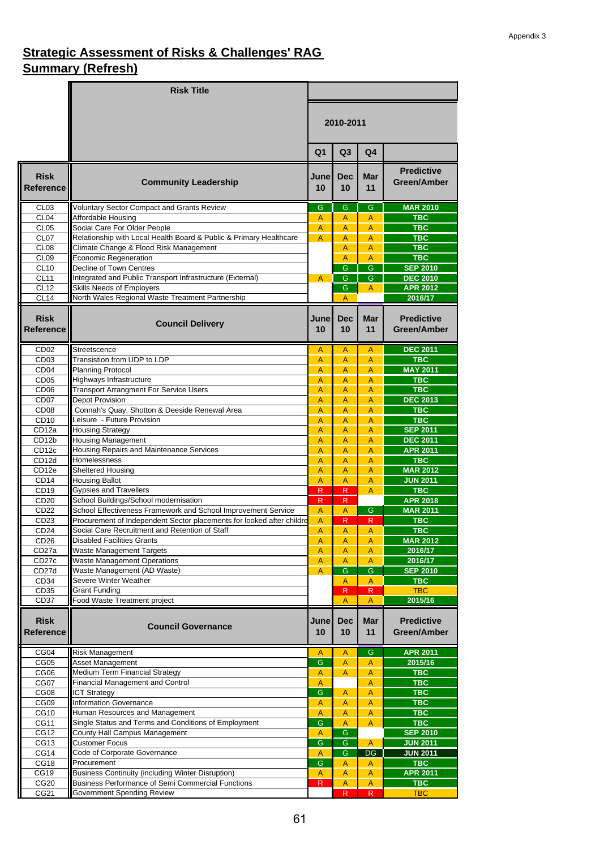# **Strategic Assessment of Risks & Challenges' RAG Summary (Refresh)**

|                                       | <b>Risk Title</b>                                                                                            |                |                   |                         |                                         |  |
|---------------------------------------|--------------------------------------------------------------------------------------------------------------|----------------|-------------------|-------------------------|-----------------------------------------|--|
|                                       |                                                                                                              |                | 2010-2011         |                         |                                         |  |
|                                       |                                                                                                              | Q <sub>1</sub> | Q3                | Q4                      |                                         |  |
| <b>Risk</b><br><b>Reference</b>       | <b>Community Leadership</b>                                                                                  | June<br>10     | <b>Dec</b><br>10  | Mar<br>11               | <b>Predictive</b><br><b>Green/Amber</b> |  |
| CL <sub>03</sub>                      | <b>Voluntary Sector Compact and Grants Review</b>                                                            | G              | G                 | G                       | <b>MAR 2010</b>                         |  |
| CL <sub>04</sub>                      | Affordable Housing                                                                                           | A              | A                 | A                       | <b>TBC</b>                              |  |
| CL <sub>05</sub>                      | Social Care For Older People                                                                                 | A              | A                 | A                       | <b>TBC</b>                              |  |
| CL <sub>07</sub><br>CL <sub>08</sub>  | Relationship with Local Health Board & Public & Primary Healthcare<br>Climate Change & Flood Risk Management | $\overline{A}$ | A<br>A            | A<br>A                  | <b>TBC</b><br><b>TBC</b>                |  |
| CL <sub>09</sub>                      | Economic Regeneration                                                                                        |                | A                 | $\overline{A}$          | <b>TBC</b>                              |  |
| <b>CL10</b>                           | Decline of Town Centres                                                                                      |                | G                 | $\overline{G}$          | <b>SEP 2010</b>                         |  |
| CL11                                  | Integrated and Public Transport Infrastructure (External)                                                    | $\mathsf{A}$   | $\mathsf{G}$      | $\mathsf{G}$            | <b>DEC 2010</b>                         |  |
| <b>CL12</b>                           | Skills Needs of Employers                                                                                    |                | G                 | A                       | <b>APR 2012</b>                         |  |
| CL14                                  | North Wales Regional Waste Treatment Partnership                                                             |                | A                 |                         | 2016/17                                 |  |
| <b>Risk</b><br><b>Reference</b>       | <b>Council Delivery</b>                                                                                      | June<br>10     | <b>Dec</b><br>10  | <b>Mar</b><br>11        | <b>Predictive</b><br><b>Green/Amber</b> |  |
| CD <sub>02</sub>                      | Streetscence                                                                                                 | A              | $\overline{A}$    | $\mathsf{A}$            | <b>DEC 2011</b>                         |  |
| CD <sub>03</sub>                      | Transistion from UDP to LDP                                                                                  | A              | A                 | A                       | <b>TBC</b>                              |  |
| CD <sub>04</sub>                      | <b>Planning Protocol</b>                                                                                     | A              | A                 | A                       | <b>MAY 2011</b>                         |  |
| CD <sub>05</sub>                      | Highways Infrastructure                                                                                      | A              | A                 | A                       | <b>TBC</b>                              |  |
| CD <sub>06</sub>                      | <b>Transport Arrangment For Service Users</b>                                                                | A              | A                 | A                       | <b>TBC</b>                              |  |
| CD <sub>07</sub>                      | Depot Provision                                                                                              | A              | A                 | A                       | <b>DEC 2013</b>                         |  |
| CD <sub>08</sub>                      | Connah's Quay, Shotton & Deeside Renewal Area<br>Leisure - Future Provision                                  | A<br>A         | A                 | A                       | <b>TBC</b><br><b>TBC</b>                |  |
| CD <sub>10</sub><br>CD <sub>12a</sub> | <b>Housing Strategy</b>                                                                                      | A              | A<br>A            | A<br>A                  | <b>SEP 2011</b>                         |  |
| CD12b                                 | <b>Housing Management</b>                                                                                    | A              | A                 | A                       | <b>DEC 2011</b>                         |  |
| CD <sub>12c</sub>                     | Housing Repairs and Maintenance Services                                                                     | A              | A                 | A                       | <b>APR 2011</b>                         |  |
| CD12d                                 | Homelessness                                                                                                 | A              | A                 | A                       | <b>TBC</b>                              |  |
| CD <sub>12e</sub>                     | Sheltered Housing                                                                                            | A              | A                 | A                       | <b>MAR 2012</b>                         |  |
| CD <sub>14</sub>                      | <b>Housing Ballot</b>                                                                                        | A              | A                 | A                       | <b>JUN 2011</b>                         |  |
| CD <sub>19</sub>                      | <b>Gypsies and Travellers</b>                                                                                | R              | R                 | A                       | <b>TBC</b>                              |  |
| CD <sub>20</sub>                      | School Buildings/School modernisation<br>School Effectiveness Framework and School Improvement Service       | R.             | $\mathsf{R}$      |                         | <b>APR 2018</b>                         |  |
| CD22<br>CD <sub>23</sub>              | Procurement of Independent Sector placements for looked after childre                                        | A<br>A         | A<br>$\mathsf{R}$ | G<br>$\mathsf{R}$       | <b>MAR 2011</b><br><b>TBC</b>           |  |
| CD <sub>24</sub>                      | Social Care Recruitment and Retention of Staff                                                               | A              | A                 | A                       | <b>TBC</b>                              |  |
| CD <sub>26</sub>                      | <b>Disabled Facilities Grants</b>                                                                            | A              | $\overline{A}$    | $\overline{A}$          | <b>MAR 2012</b>                         |  |
| CD <sub>27a</sub>                     | <b>Waste Management Targets</b>                                                                              | A              | A                 | A                       | 2016/17                                 |  |
| CD27c                                 | <b>Waste Management Operations</b>                                                                           | $\mathsf A$    | A                 | $\overline{A}$          | 2016/17                                 |  |
| CD27d                                 | Waste Management (AD Waste)                                                                                  | A              | $\overline{G}$    | G                       | <b>SEP 2010</b>                         |  |
| CD <sub>34</sub>                      | Severe Winter Weather                                                                                        |                | A                 | A                       | <b>TBC</b>                              |  |
| CD <sub>35</sub>                      | Grant Funding                                                                                                |                | ${\sf R}$         | $\overline{\mathsf{R}}$ | <b>TBC</b>                              |  |
| CD <sub>37</sub>                      | Food Waste Treatment project                                                                                 |                | A                 | A                       | 2015/16                                 |  |
| <b>Risk</b>                           |                                                                                                              | June           | <b>Dec</b>        | <b>Mar</b>              | <b>Predictive</b>                       |  |
| <b>Reference</b>                      | <b>Council Governance</b>                                                                                    | 10             | 10                | 11                      | Green/Amber                             |  |
|                                       |                                                                                                              |                |                   |                         |                                         |  |
| CG04                                  | <b>Risk Management</b>                                                                                       | A              | A                 | G                       | <b>APR 2011</b>                         |  |
| CG05                                  | Asset Management                                                                                             | G              | A                 | A                       | 2015/16                                 |  |
| CG06                                  | Medium Term Financial Strategy                                                                               | $\mathsf A$    | A                 | A                       | <b>TBC</b>                              |  |
| CG07                                  | Financial Management and Control                                                                             | $\mathsf A$    |                   | $\overline{A}$          | <b>TBC</b>                              |  |
| CG08                                  | <b>ICT Strategy</b>                                                                                          | $\mathsf{G}$   | A                 | A                       | <b>TBC</b>                              |  |
| CG09                                  | <b>Information Governance</b>                                                                                | A              | A                 | A                       | <b>TBC</b>                              |  |
| CG10<br><b>CG11</b>                   | Human Resources and Management<br>Single Status and Terms and Conditions of Employment                       | Α<br>G         | A<br>A            | $\overline{A}$<br>A     | <b>TBC</b><br><b>TBC</b>                |  |
| CG12                                  | County Hall Campus Management                                                                                | A              | G                 |                         | <b>SEP 2010</b>                         |  |
| CG13                                  | <b>Customer Focus</b>                                                                                        | G              | G                 | A                       | <b>JUN 2011</b>                         |  |
| CG14                                  | Code of Corporate Governance                                                                                 | Α              | $\overline{G}$    | DG                      | <b>JUN 2011</b>                         |  |
| CG18                                  | Procurement                                                                                                  | G              | Α                 | A                       | <b>TBC</b>                              |  |
| CG19                                  | <b>Business Continuity (including Winter Disruption)</b>                                                     | A              | A                 | A                       | <b>APR 2011</b>                         |  |
| CG <sub>20</sub>                      | Business Performance of Semi Commercial Functions                                                            | R              | $\mathsf A$       | $\overline{A}$          | <b>TBC</b>                              |  |
| CG21                                  | Government Spending Review                                                                                   |                | R                 | $\overline{R}$          | <b>TBC</b>                              |  |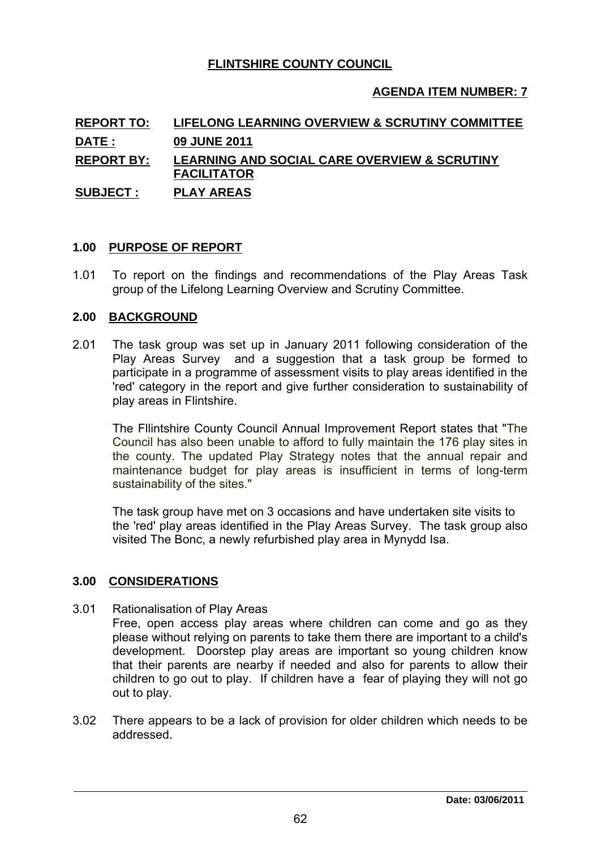### **FLINTSHIRE COUNTY COUNCIL**

### **AGENDA ITEM NUMBER: 7**

# **REPORT TO: LIFELONG LEARNING OVERVIEW & SCRUTINY COMMITTEE DATE : 09 JUNE 2011 REPORT BY: LEARNING AND SOCIAL CARE OVERVIEW & SCRUTINY FACILITATOR SUBJECT : PLAY AREAS <u>PAULITATOR</u>**<br>
<u>PLAY AREAS</u><br>
1.00 <u>PURPOSE OF REPORT</u><br>
1.01 To report on the findings and re

1.01 To report on the findings and recommendations of the Play Areas Task group of the Lifelong Learning Overview and Scrutiny Committee. **2.00 PURPOSE OF REPORT<br>
2.01 To report on the findings<br>
group of the Lifelong Learni<br>
2.00 BACKGROUND** 

2.01 The task group was set up in January 2011 following consideration of the<br>2.01 The task group was set up in January 2011 following consideration of the<br>2.01 The task group was set up in January 2011 following considera Play Areas Survey and a suggestion that a task group be formed to participate in a programme of assessment visits to play areas identified in the 'red' category in the report and give further consideration to sustainability of play areas in Flintshire.

The Fllintshire County Council Annual Improvement Report states that "The Council has also been unable to afford to fully maintain the 176 play sites in the county. The updated Play Strategy notes that the annual repair and maintenance budget for play areas is insufficient in terms of long-term sustainability of the sites."

The task group have met on 3 occasions and have undertaken site visits to the 'red' play areas identified in the Play Areas Survey. The task group also visited The Bonc, a newly refurbished play area in Mynydd Isa. The task group have met on 3<br>the 'red' play areas identified in<br>visited The Bonc, a newly refur<br>**3.00** CONSIDERATIONS

3.01 Rationalisation of Play Areas

Free, open access play areas where children can come and go as they please without relying on parents to take them there are important to a child's development. Doorstep play areas are important so young children know that their parents are nearby if needed and also for parents to allow their children to go out to play. If children have a fear of playing they will not go

out to play.<br>3.02 There appears to be a lack of provision for older children which needs to be addressed.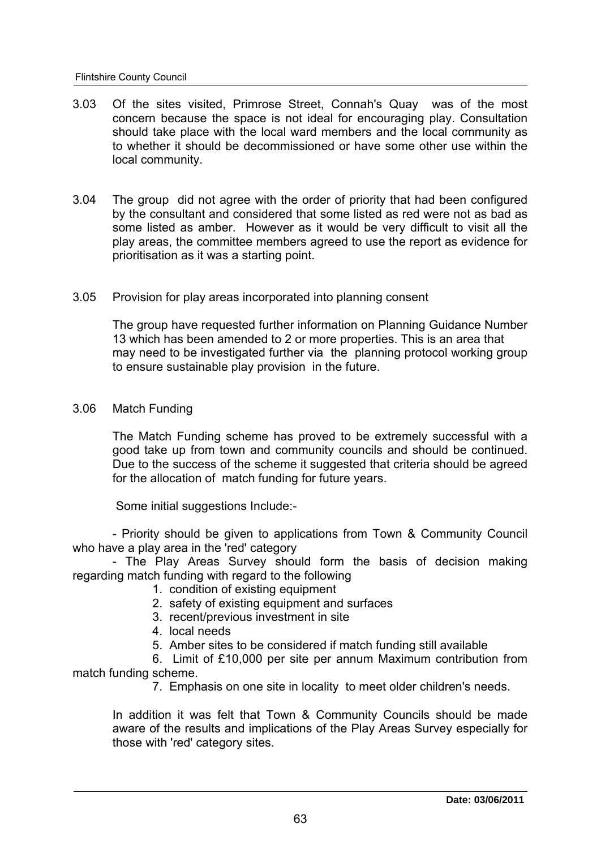- 3.03 Of the sites visited, Primrose Street, Connah's Quay was of the most concern because the space is not ideal for encouraging play. Consultation should take place with the local ward members and the local community as to whether it should be decommissioned or have some other use within the local community. should take place with the local ward members and the local community as<br>to whether it should be decommissioned or have some other use within the<br>local community.<br>3.04 The group did not agree with the order of priority tha
- some listed as amber. However as it would be very difficult to visit all the play areas, the committee members agreed to use the report as evidence for prioritisation as it was a starting point.
- 3.05 Provision for play areas incorporated into planning consent

The group have requested further information on Planning Guidance Number 13 which has been amended to 2 or more properties. This is an area that may need to be investigated further via the planning protocol working group to ensure sustainable play provision in the future.

3.06 Match Funding

The Match Funding scheme has proved to be extremely successful with a good take up from town and community councils and should be continued. Due to the success of the scheme it suggested that criteria should be agreed for the allocation of match funding for future years.

Some initial suggestions Include:-

- Priority should be given to applications from Town & Community Council<br>who have a play area in the 'red' category<br>- The Play Areas Survey should form the basis of decision making<br>regarding match funding with regard to th

- 1. condition of existing equipment
- 2. safety of existing equipment and surfaces
- 3. recent/previous investment in site
- 4. local needs
- 5. Amber sites to be considered if match funding still available

6. Limit of £10,000 per site per annum Maximum contribution from match funding scheme.

7. Emphasis on one site in locality to meet older children's needs.

In addition it was felt that Town & Community Councils should be made aware of the results and implications of the Play Areas Survey especially for those with 'red' category sites.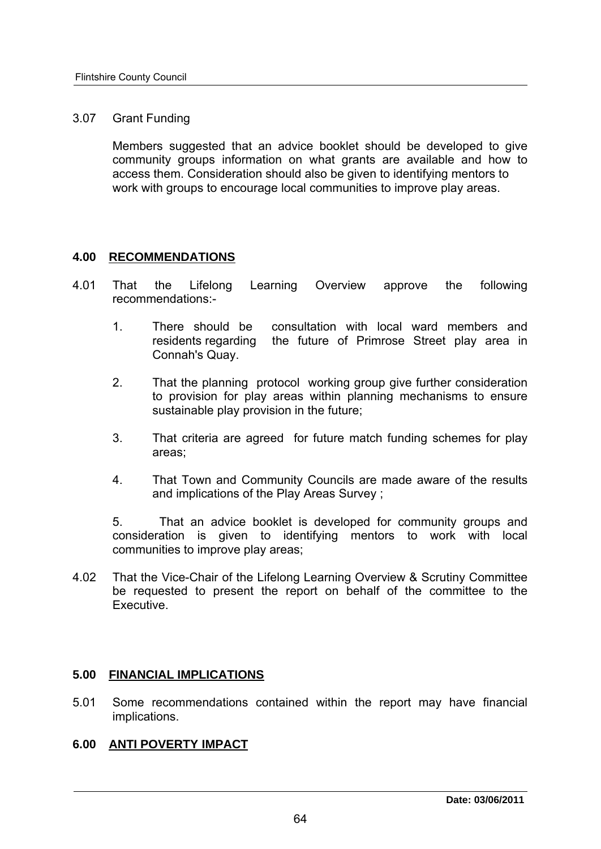### 3.07 Grant Funding

Members suggested that an advice booklet should be developed to give community groups information on what grants are available and how to access them. Consideration should also be given to identifying mentors to work with groups to encourage local communities to improve play areas.

# work with groups to encourage look<br>**4.00 RECOMMENDATIONS**

- 4.01 That the Lifelong Learning Overview approve the following recommendations:-
	- 1. There should be consultation with local ward members and residents regarding the future of Primrose Street play area in Connah's Quay.
	- 2. That the planning protocol working group give further consideration to provision for play areas within planning mechanisms to ensure sustainable play provision in the future;
	- 3. That criteria are agreed for future match funding schemes for play areas;
	- 4. That Town and Community Councils are made aware of the results and implications of the Play Areas Survey ;

5. That an advice booklet is developed for community groups and consideration is given to identifying mentors to work with local communities to improve play areas;

4.02 That the Vice-Chair of the Lifelong Learning Overview & Scrutiny Committee be requested to present the report on behalf of the committee to the Executive. Executive.<br>**5.00 FINANCIAL IMPLICATIONS**<br>F.<sup>04</sup> Same recommendations contained **w** 

5.01 Some recommendations contained within the report may have financial implications. **5.00 FINANCIAL IMPLICATIONS**<br>
5.01 Some recommendations containe<br>
implications.<br>
6.00 <u>ANTI POVERTY IMPACT</u>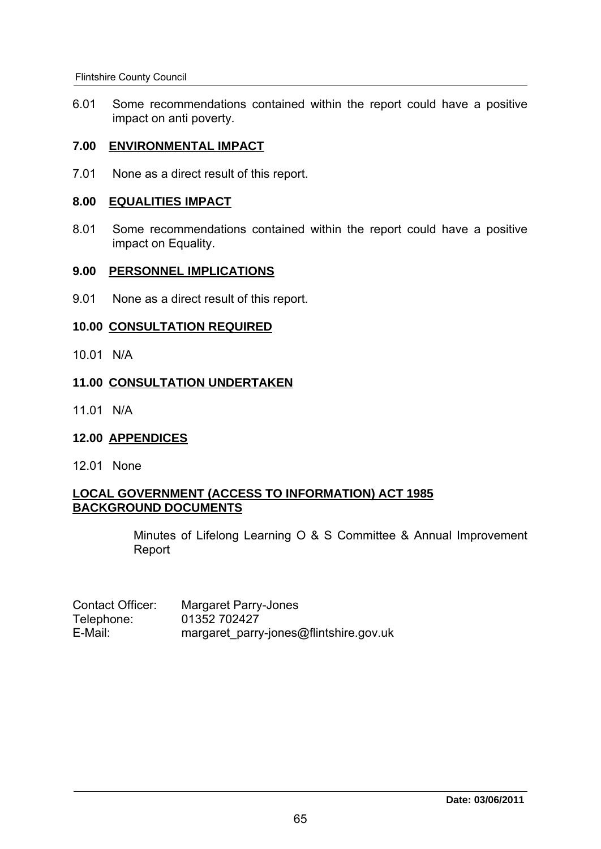6.01 Some recommendations contained within the report could have a positive impact on anti poverty. Flintshire County Council<br>
6.01 Some recommendations contained w<br>
impact on anti poverty.<br> **7.00 ENVIRONMENTAL IMPACT** 

7.01 None as a direct result of this report. **8.00 ENVIRONMENTAL IMPACT**<br>**8.00 EQUALITIES IMPACT**<br>**8.01 Some recommendations co** 

8.01 Some recommendations contained within the report could have a positive impact on Equality. **9.00 EQUALITIES IMPACT**<br>
9.01 Some recommendations contained withiting impact on Equality.<br>
9.00 PERSONNEL IMPLICATIONS<br>
9.04 Naps as a direct result of this report

9.01 None as a direct result of this report. 9.00 PERSONNEL IMPLICATIONS<br>9.01 None as a direct result of this report.<br>10.00 CONSULTATION REQUIRED<br><sup>10.01</sup> N<sup>IA</sup>

10.01 N/A

# 10.00 <u>CONSULTATION REQUIRED</u><br>10.01 N/A<br>11.00 <u>CONSULTATION UNDERTAKEN</u> 11.00 CONSULTATION UNDERTAKEN<br>11.01 N/A<br>12.00 APPENDICES

11.01 N/A

12.01 None

### **LOCAL GOVERNMENT (ACCESS TO INFORMATION) ACT 1985 BACKGROUND DOCUMENTS**

Minutes of Lifelong Learning O & S Committee & Annual Improvement Report

| Contact Officer: | <b>Margaret Parry-Jones</b>            |
|------------------|----------------------------------------|
| Telephone:       | 01352 702427                           |
| E-Mail:          | margaret_parry-jones@flintshire.gov.uk |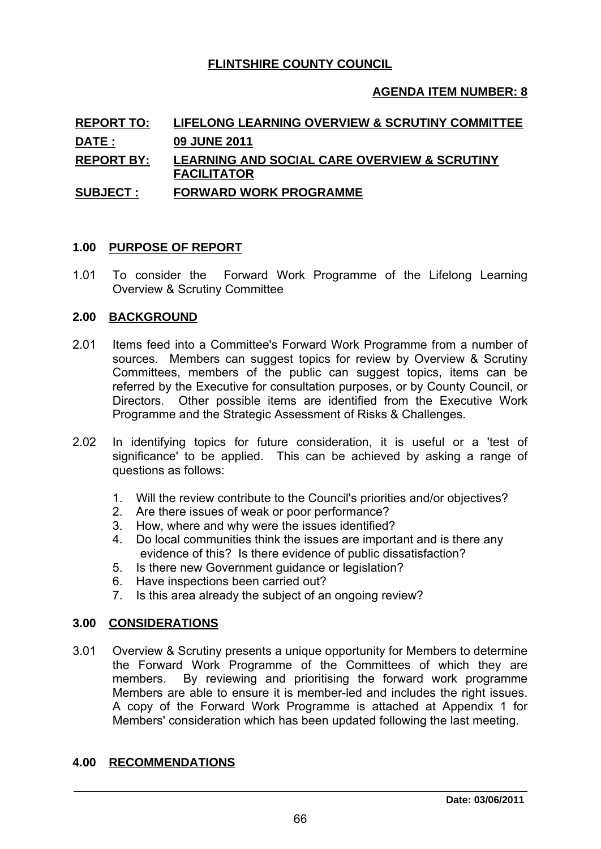### **FLINTSHIRE COUNTY COUNCIL**

### **AGENDA ITEM NUMBER: 8**

# **REPORT TO: LIFELONG LEARNING OVERVIEW & SCRUTINY COMMITTEE DATE : 09 JUNE 2011 REPORT BY: LEARNING AND SOCIAL CARE OVERVIEW & SCRUTINY FACILITATOR SUBJECT : FORWARD WORK PROGRAMME <u>FAULTIATURE</u>**<br> **1.00 PURPOSE OF REPORT**<br> **1.00 PURPOSE OF REPORT**

1.01 To consider the Forward Work Programme of the Lifelong Learning 1.00 PURPOSE OF REPORT<br>1.01 To consider the Forward W<br>Overview & Scrutiny Committee<br>2.00 BACKGROUND

- 2.01 Items feed into a Committee's Forward Work Programme from a number of sources. Members can suggest topics for review by Overview & Scrutiny Committees, members of the public can suggest topics, items can be referred by the Executive for consultation purposes, or by County Council, or Directors. Other possible items are identified from the Executive Work Programme and the Strategic Assessment of Risks & Challenges.
- 2.02 In identifying topics for future consideration, it is useful or a 'test of significance' to be applied. This can be achieved by asking a range of questions as follows:
	- 1. Will the review contribute to the Council's priorities and/or objectives?
	- 2. Are there issues of weak or poor performance?
	- 3. How, where and why were the issues identified?
	- 4. Do local communities think the issues are important and is there any evidence of this? Is there evidence of public dissatisfaction?
	- 5. Is there new Government guidance or legislation?
	- 6. Have inspections been carried out?
- 7. Is this area already the subject of an ongoing review? Evidence of this? Is there<br>
5. Is there new Government<br>
6. Have inspections been can<br>
7. Is this area already the sul<br>
3.00 **CONSIDERATIONS**

3.01 Overview & Scrutiny presents a unique opportunity for Members to determine the Forward Work Programme of the Committees of which they are members. By reviewing and prioritising the forward work programme Members are able to ensure it is member-led and includes the right issues. A copy of the Forward Work Programme is attached at Appendix 1 for Members' consideration which has been updated following the last meeting. Members are able to ensure it is<br>A copy of the Forward Work P<br>Members' consideration which has<br>**4.00 <u>RECOMMENDATIONS</u>**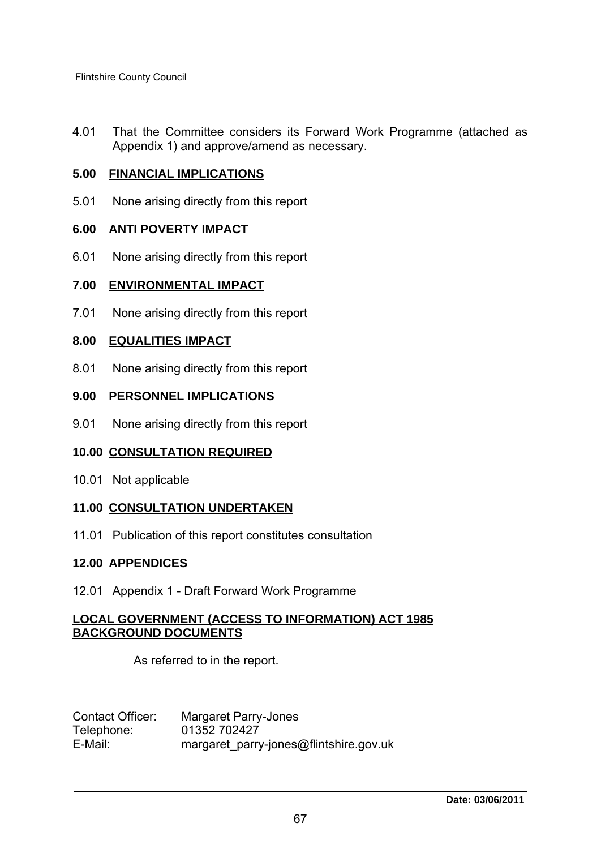4.01 That the Committee considers its Forward Work Programme (attached as Appendix 1) and approve/amend as necessary. 4.01 That the Committee considers its For<br>Appendix 1) and approve/amend as new<br>5.00 **FINANCIAL IMPLICATIONS** 

5.01 None arising directly from this report **6.00 FINANCIAL IMPLICATIONS<br>6.01 None arising directly from this report<br>6.00 ANTI POVERTY IMPACT** 

6.01 None arising directly from this report **6.00 ANTI POVERTY IMPACT<br>6.01 None arising directly from this report<br>7.00 ENVIRONMENTAL IMPACT** 

7.01 None arising directly from this report **8.00 ENVIRONMENTAL IMPACT**<br>**8.00 EQUALITIES IMPACT**<br>**8.00 EQUALITIES IMPACT** 

8.01 None arising directly from this report **9.00 EQUALITIES IMPACT<br>
9.01 None arising directly from this report<br>
9.00 PERSONNEL IMPLICATIONS** 

9.01 None arising directly from this report **10.00 PERSONNEL IMPLICATIONS<br>10.01 None arising directly from this report<br>10.00 CONSULTATION REQUIRED** 

10.01 Not applicable

# **10.00 <u>CONSULTATION REQUIRED</u><br>10.01 Not applicable<br>11.00 <u>CONSULTATION UNDERTAKEN</u>**

11.01 Publication of this report constitutes consultation 11.00 CONSULTATION UNDERTAKEN<br>11.01 Publication of this report constitute<br>12.00 APPENDICES

12.01 Appendix 1 - Draft Forward Work Programme

### **LOCAL GOVERNMENT (ACCESS TO INFORMATION) ACT 1985 BACKGROUND DOCUMENTS**

As referred to in the report.

| Contact Officer: | Margaret Parry-Jones                   |
|------------------|----------------------------------------|
| Telephone:       | 01352 702427                           |
| E-Mail:          | margaret_parry-jones@flintshire.gov.uk |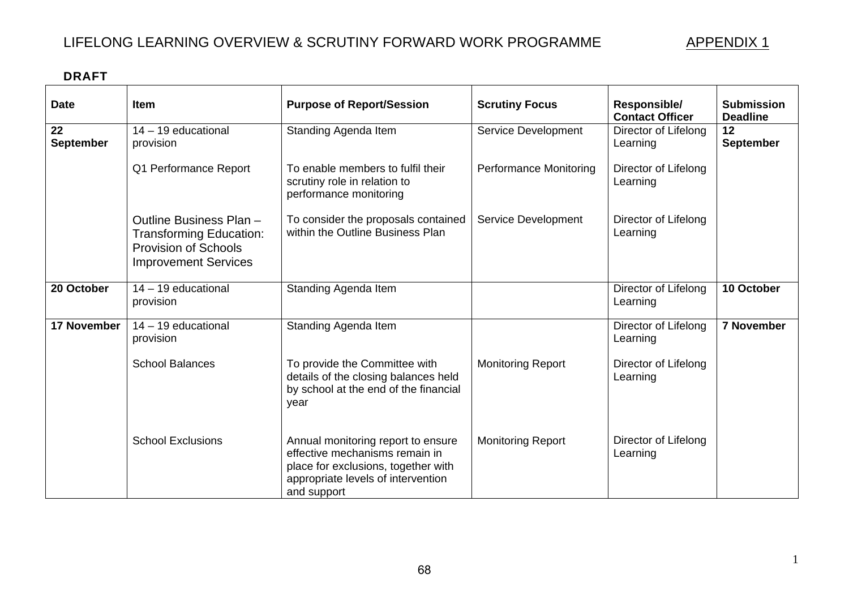# LIFELONG LEARNING OVERVIEW & SCRUTINY FORWARD WORK PROGRAMME

**APPENDIX 1** 

| <b>DRAFT</b>           |                                                                                                                         |                                                                                                                                                                  |                               |                                        |                                      |
|------------------------|-------------------------------------------------------------------------------------------------------------------------|------------------------------------------------------------------------------------------------------------------------------------------------------------------|-------------------------------|----------------------------------------|--------------------------------------|
| <b>Date</b>            | <b>Item</b>                                                                                                             | <b>Purpose of Report/Session</b>                                                                                                                                 | <b>Scrutiny Focus</b>         | Responsible/<br><b>Contact Officer</b> | <b>Submission</b><br><b>Deadline</b> |
| 22<br><b>September</b> | $14 - 19$ educational<br>provision                                                                                      | Standing Agenda Item                                                                                                                                             | <b>Service Development</b>    | Director of Lifelong<br>Learning       | 12<br><b>September</b>               |
|                        | Q1 Performance Report                                                                                                   | To enable members to fulfil their<br>scrutiny role in relation to<br>performance monitoring                                                                      | <b>Performance Monitoring</b> | Director of Lifelong<br>Learning       |                                      |
|                        | Outline Business Plan -<br><b>Transforming Education:</b><br><b>Provision of Schools</b><br><b>Improvement Services</b> | To consider the proposals contained<br>within the Outline Business Plan                                                                                          | <b>Service Development</b>    | Director of Lifelong<br>Learning       |                                      |
| 20 October             | 14 - 19 educational<br>provision                                                                                        | Standing Agenda Item                                                                                                                                             |                               | Director of Lifelong<br>Learning       | 10 October                           |
| <b>17 November</b>     | 14 - 19 educational<br>provision                                                                                        | Standing Agenda Item                                                                                                                                             |                               | Director of Lifelong<br>Learning       | <b>7 November</b>                    |
|                        | <b>School Balances</b>                                                                                                  | To provide the Committee with<br>details of the closing balances held<br>by school at the end of the financial<br>year                                           | <b>Monitoring Report</b>      | Director of Lifelong<br>Learning       |                                      |
|                        | <b>School Exclusions</b>                                                                                                | Annual monitoring report to ensure<br>effective mechanisms remain in<br>place for exclusions, together with<br>appropriate levels of intervention<br>and support | <b>Monitoring Report</b>      | Director of Lifelong<br>Learning       |                                      |